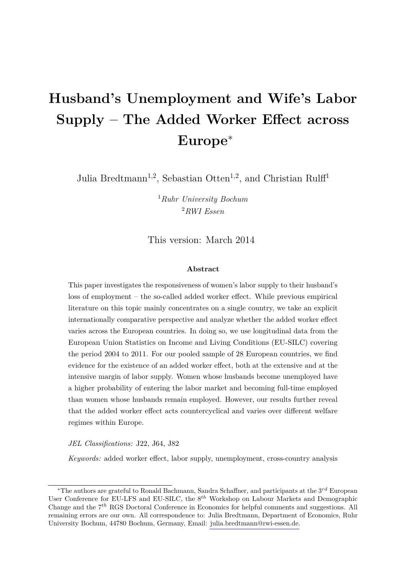# **Husband's Unemployment and Wife's Labor Supply – The Added Worker Effect across Europe**<sup>∗</sup>

Julia Bredtmann<sup>1,2</sup>, Sebastian Otten<sup>1,2</sup>, and Christian Rulff<sup>1</sup>

<sup>1</sup>*Ruhr University Bochum* <sup>2</sup>*RWI Essen*

### This version: March 2014

#### **Abstract**

This paper investigates the responsiveness of women's labor supply to their husband's loss of employment – the so-called added worker effect. While previous empirical literature on this topic mainly concentrates on a single country, we take an explicit internationally comparative perspective and analyze whether the added worker effect varies across the European countries. In doing so, we use longitudinal data from the European Union Statistics on Income and Living Conditions (EU-SILC) covering the period 2004 to 2011. For our pooled sample of 28 European countries, we find evidence for the existence of an added worker effect, both at the extensive and at the intensive margin of labor supply. Women whose husbands become unemployed have a higher probability of entering the labor market and becoming full-time employed than women whose husbands remain employed. However, our results further reveal that the added worker effect acts countercyclical and varies over different welfare regimes within Europe.

*JEL Classifications:* J22, J64, J82

*Keywords:* added worker effect, labor supply, unemployment, cross-country analysis

<sup>∗</sup>The authors are grateful to Ronald Bachmann, Sandra Schaffner, and participants at the 3*rd* European User Conference for EU-LFS and EU-SILC, the 8*th* Workshop on Labour Markets and Demographic Change and the 7*th* RGS Doctoral Conference in Economics for helpful comments and suggestions. All remaining errors are our own. All correspondence to: Julia Bredtmann, Department of Economics, Ruhr University Bochum, 44780 Bochum, Germany, Email: [julia.bredtmann@rwi-essen.de.](mailto:julia.bredtmann@rwi-essen.de)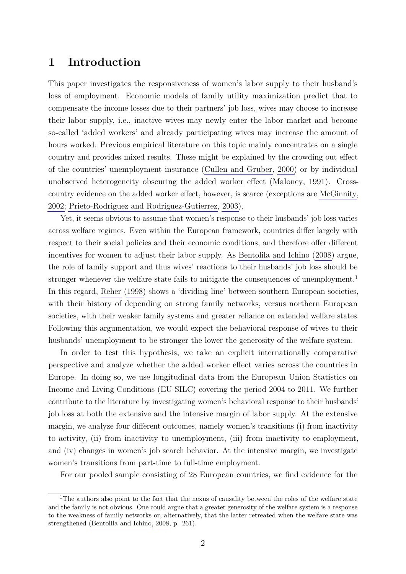### **1 Introduction**

This paper investigates the responsiveness of women's labor supply to their husband's loss of employment. Economic models of family utility maximization predict that to compensate the income losses due to their partners' job loss, wives may choose to increase their labor supply, i.e., inactive wives may newly enter the labor market and become so-called 'added workers' and already participating wives may increase the amount of hours worked. Previous empirical literature on this topic mainly concentrates on a single country and provides mixed results. These might be explained by the crowding out effect of the countries' unemployment insurance [\(Cullen and Gruber, 2000\)](#page-19-0) or by individual unobserved heterogeneity obscuring the added worker effect [\(Maloney, 1991\)](#page-20-0). Crosscountry evidence on the added worker effect, however, is scarce (exceptions are [McGinnity,](#page-20-1) [2002;](#page-20-1) [Prieto-Rodriguez and Rodriguez-Gutierrez, 2003\)](#page-20-2).

Yet, it seems obvious to assume that women's response to their husbands' job loss varies across welfare regimes. Even within the European framework, countries differ largely with respect to their social policies and their economic conditions, and therefore offer different incentives for women to adjust their labor supply. As [Bentolila and Ichino](#page-19-1) [\(2008\)](#page-19-1) argue, the role of family support and thus wives' reactions to their husbands' job loss should be stronger whenever the welfare state fails to mitigate the consequences of unemployment.<sup>1</sup> In this regard, [Reher](#page-20-3) [\(1998\)](#page-20-3) shows a 'dividing line' between southern European societies, with their history of depending on strong family networks, versus northern European societies, with their weaker family systems and greater reliance on extended welfare states. Following this argumentation, we would expect the behavioral response of wives to their husbands' unemployment to be stronger the lower the generosity of the welfare system.

In order to test this hypothesis, we take an explicit internationally comparative perspective and analyze whether the added worker effect varies across the countries in Europe. In doing so, we use longitudinal data from the European Union Statistics on Income and Living Conditions (EU-SILC) covering the period 2004 to 2011. We further contribute to the literature by investigating women's behavioral response to their husbands' job loss at both the extensive and the intensive margin of labor supply. At the extensive margin, we analyze four different outcomes, namely women's transitions (i) from inactivity to activity, (ii) from inactivity to unemployment, (iii) from inactivity to employment, and (iv) changes in women's job search behavior. At the intensive margin, we investigate women's transitions from part-time to full-time employment.

For our pooled sample consisting of 28 European countries, we find evidence for the

<sup>&</sup>lt;sup>1</sup>The authors also point to the fact that the nexus of causality between the roles of the welfare state and the family is not obvious. One could argue that a greater generosity of the welfare system is a response to the weakness of family networks or, alternatively, that the latter retreated when the welfare state was strengthened [\(Bentolila and Ichino, 2008,](#page-19-1) p. 261).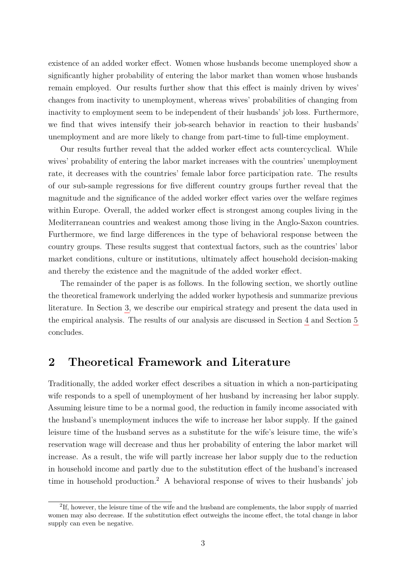existence of an added worker effect. Women whose husbands become unemployed show a significantly higher probability of entering the labor market than women whose husbands remain employed. Our results further show that this effect is mainly driven by wives' changes from inactivity to unemployment, whereas wives' probabilities of changing from inactivity to employment seem to be independent of their husbands' job loss. Furthermore, we find that wives intensify their job-search behavior in reaction to their husbands' unemployment and are more likely to change from part-time to full-time employment.

Our results further reveal that the added worker effect acts countercyclical. While wives' probability of entering the labor market increases with the countries' unemployment rate, it decreases with the countries' female labor force participation rate. The results of our sub-sample regressions for five different country groups further reveal that the magnitude and the significance of the added worker effect varies over the welfare regimes within Europe. Overall, the added worker effect is strongest among couples living in the Mediterranean countries and weakest among those living in the Anglo-Saxon countries. Furthermore, we find large differences in the type of behavioral response between the country groups. These results suggest that contextual factors, such as the countries' labor market conditions, culture or institutions, ultimately affect household decision-making and thereby the existence and the magnitude of the added worker effect.

The remainder of the paper is as follows. In the following section, we shortly outline the theoretical framework underlying the added worker hypothesis and summarize previous literature. In Section [3,](#page-4-0) we describe our empirical strategy and present the data used in the empirical analysis. The results of our analysis are discussed in Section [4](#page-12-0) and Section [5](#page-17-0) concludes.

### **2 Theoretical Framework and Literature**

Traditionally, the added worker effect describes a situation in which a non-participating wife responds to a spell of unemployment of her husband by increasing her labor supply. Assuming leisure time to be a normal good, the reduction in family income associated with the husband's unemployment induces the wife to increase her labor supply. If the gained leisure time of the husband serves as a substitute for the wife's leisure time, the wife's reservation wage will decrease and thus her probability of entering the labor market will increase. As a result, the wife will partly increase her labor supply due to the reduction in household income and partly due to the substitution effect of the husband's increased time in household production.<sup>2</sup> A behavioral response of wives to their husbands' job

<sup>&</sup>lt;sup>2</sup>If, however, the leisure time of the wife and the husband are complements, the labor supply of married women may also decrease. If the substitution effect outweighs the income effect, the total change in labor supply can even be negative.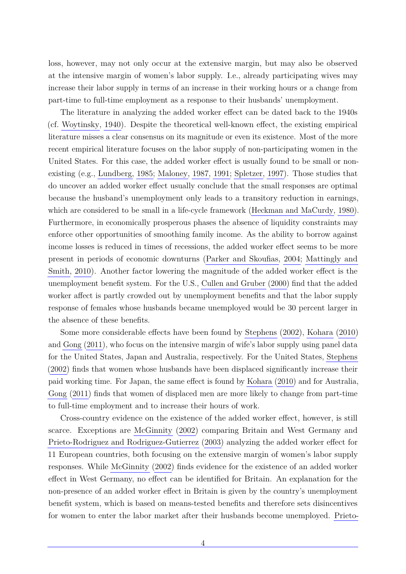loss, however, may not only occur at the extensive margin, but may also be observed at the intensive margin of women's labor supply. I.e., already participating wives may increase their labor supply in terms of an increase in their working hours or a change from part-time to full-time employment as a response to their husbands' unemployment.

The literature in analyzing the added worker effect can be dated back to the 1940s (cf. [Woytinsky, 1940\)](#page-20-4). Despite the theoretical well-known effect, the existing empirical literature misses a clear consensus on its magnitude or even its existence. Most of the more recent empirical literature focuses on the labor supply of non-participating women in the United States. For this case, the added worker effect is usually found to be small or nonexisting (e.g., [Lundberg, 1985;](#page-19-2) [Maloney, 1987,](#page-19-3) [1991;](#page-20-0) [Spletzer, 1997\)](#page-20-5). Those studies that do uncover an added worker effect usually conclude that the small responses are optimal because the husband's unemployment only leads to a transitory reduction in earnings, which are considered to be small in a life-cycle framework [\(Heckman and MaCurdy, 1980\)](#page-19-4). Furthermore, in economically prosperous phases the absence of liquidity constraints may enforce other opportunities of smoothing family income. As the ability to borrow against income losses is reduced in times of recessions, the added worker effect seems to be more present in periods of economic downturns [\(Parker and Skoufias, 2004;](#page-20-6) [Mattingly and](#page-20-7) [Smith, 2010\)](#page-20-7). Another factor lowering the magnitude of the added worker effect is the unemployment benefit system. For the U.S., [Cullen and Gruber](#page-19-0) [\(2000\)](#page-19-0) find that the added worker affect is partly crowded out by unemployment benefits and that the labor supply response of females whose husbands became unemployed would be 30 percent larger in the absence of these benefits.

Some more considerable effects have been found by [Stephens](#page-20-8) [\(2002\)](#page-20-8), [Kohara](#page-19-5) [\(2010\)](#page-19-5) and [Gong](#page-19-6) [\(2011\)](#page-19-6), who focus on the intensive margin of wife's labor supply using panel data for the United States, Japan and Australia, respectively. For the United States, [Stephens](#page-20-8) [\(2002\)](#page-20-8) finds that women whose husbands have been displaced significantly increase their paid working time. For Japan, the same effect is found by [Kohara](#page-19-5) [\(2010\)](#page-19-5) and for Australia, [Gong](#page-19-6) [\(2011\)](#page-19-6) finds that women of displaced men are more likely to change from part-time to full-time employment and to increase their hours of work.

Cross-country evidence on the existence of the added worker effect, however, is still scarce. Exceptions are [McGinnity](#page-20-1) [\(2002\)](#page-20-1) comparing Britain and West Germany and [Prieto-Rodriguez and Rodriguez-Gutierrez](#page-20-2) [\(2003\)](#page-20-2) analyzing the added worker effect for 11 European countries, both focusing on the extensive margin of women's labor supply responses. While [McGinnity](#page-20-1) [\(2002\)](#page-20-1) finds evidence for the existence of an added worker effect in West Germany, no effect can be identified for Britain. An explanation for the non-presence of an added worker effect in Britain is given by the country's unemployment benefit system, which is based on means-tested benefits and therefore sets disincentives for women to enter the labor market after their husbands become unemployed. [Prieto-](#page-20-2)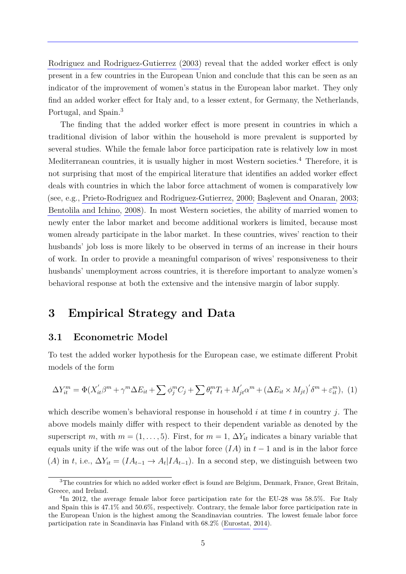[Rodriguez and Rodriguez-Gutierrez](#page-20-2) [\(2003\)](#page-20-2) reveal that the added worker effect is only present in a few countries in the European Union and conclude that this can be seen as an indicator of the improvement of women's status in the European labor market. They only find an added worker effect for Italy and, to a lesser extent, for Germany, the Netherlands, Portugal, and Spain.<sup>3</sup>

The finding that the added worker effect is more present in countries in which a traditional division of labor within the household is more prevalent is supported by several studies. While the female labor force participation rate is relatively low in most Mediterranean countries, it is usually higher in most Western societies.<sup>4</sup> Therefore, it is not surprising that most of the empirical literature that identifies an added worker effect deals with countries in which the labor force attachment of women is comparatively low (see, e.g., [Prieto-Rodriguez and Rodriguez-Gutierrez, 2000;](#page-20-9) [Başlevent and Onaran, 2003;](#page-19-7) [Bentolila and Ichino, 2008\)](#page-19-1). In most Western societies, the ability of married women to newly enter the labor market and become additional workers is limited, because most women already participate in the labor market. In these countries, wives' reaction to their husbands' job loss is more likely to be observed in terms of an increase in their hours of work. In order to provide a meaningful comparison of wives' responsiveness to their husbands' unemployment across countries, it is therefore important to analyze women's behavioral response at both the extensive and the intensive margin of labor supply.

### <span id="page-4-0"></span>**3 Empirical Strategy and Data**

### <span id="page-4-2"></span>**3.1 Econometric Model**

To test the added worker hypothesis for the European case, we estimate different Probit models of the form

<span id="page-4-1"></span>
$$
\Delta Y_{it}^{m} = \Phi(X_{it}'\beta^{m} + \gamma^{m}\Delta E_{it} + \sum \phi_{j}^{m}C_{j} + \sum \theta_{t}^{m}T_{t} + M_{jt}'\alpha^{m} + (\Delta E_{it} \times M_{jt})'\delta^{m} + \varepsilon_{it}^{m}), \tag{1}
$$

which describe women's behavioral response in household *i* at time *t* in country *j*. The above models mainly differ with respect to their dependent variable as denoted by the superscript *m*, with  $m = (1, \ldots, 5)$ . First, for  $m = 1$ ,  $\Delta Y_{it}$  indicates a binary variable that equals unity if the wife was out of the labor force  $(IA)$  in  $t-1$  and is in the labor force  $(A)$  in *t*, i.e.,  $\Delta Y_{it} = (IA_{t-1} \rightarrow A_t | IA_{t-1})$ . In a second step, we distinguish between two

<sup>3</sup>The countries for which no added worker effect is found are Belgium, Denmark, France, Great Britain, Greece, and Ireland.

<sup>&</sup>lt;sup>4</sup>In 2012, the average female labor force participation rate for the EU-28 was 58.5%. For Italy and Spain this is 47.1% and 50.6%, respectively. Contrary, the female labor force participation rate in the European Union is the highest among the Scandinavian countries. The lowest female labor force participation rate in Scandinavia has Finland with 68.2% [\(Eurostat, 2014\)](#page-19-8).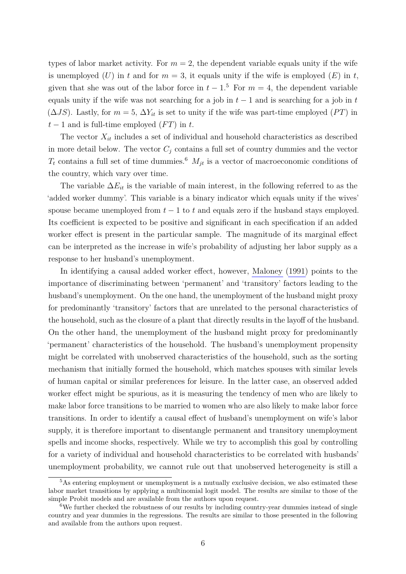types of labor market activity. For  $m = 2$ , the dependent variable equals unity if the wife is unemployed  $(U)$  in  $t$  and for  $m = 3$ , it equals unity if the wife is employed  $(E)$  in  $t$ , given that she was out of the labor force in  $t-1$ <sup>5</sup>. For  $m=4$ , the dependent variable equals unity if the wife was not searching for a job in  $t-1$  and is searching for a job in  $t$  $(\Delta JS)$ . Lastly, for  $m = 5$ ,  $\Delta Y_{it}$  is set to unity if the wife was part-time employed (*PT*) in  $t-1$  and is full-time employed  $(FT)$  in  $t$ .

The vector  $X_{it}$  includes a set of individual and household characteristics as described in more detail below. The vector  $C_j$  contains a full set of country dummies and the vector  $T_t$  contains a full set of time dummies.<sup>6</sup>  $M_{jt}$  is a vector of macroeconomic conditions of the country, which vary over time.

The variable  $\Delta E_{it}$  is the variable of main interest, in the following referred to as the 'added worker dummy'. This variable is a binary indicator which equals unity if the wives' spouse became unemployed from  $t-1$  to  $t$  and equals zero if the husband stays employed. Its coefficient is expected to be positive and significant in each specification if an added worker effect is present in the particular sample. The magnitude of its marginal effect can be interpreted as the increase in wife's probability of adjusting her labor supply as a response to her husband's unemployment.

In identifying a causal added worker effect, however, [Maloney](#page-20-0) [\(1991\)](#page-20-0) points to the importance of discriminating between 'permanent' and 'transitory' factors leading to the husband's unemployment. On the one hand, the unemployment of the husband might proxy for predominantly 'transitory' factors that are unrelated to the personal characteristics of the household, such as the closure of a plant that directly results in the layoff of the husband. On the other hand, the unemployment of the husband might proxy for predominantly 'permanent' characteristics of the household. The husband's unemployment propensity might be correlated with unobserved characteristics of the household, such as the sorting mechanism that initially formed the household, which matches spouses with similar levels of human capital or similar preferences for leisure. In the latter case, an observed added worker effect might be spurious, as it is measuring the tendency of men who are likely to make labor force transitions to be married to women who are also likely to make labor force transitions. In order to identify a causal effect of husband's unemployment on wife's labor supply, it is therefore important to disentangle permanent and transitory unemployment spells and income shocks, respectively. While we try to accomplish this goal by controlling for a variety of individual and household characteristics to be correlated with husbands' unemployment probability, we cannot rule out that unobserved heterogeneity is still a

<sup>5</sup>As entering employment or unemployment is a mutually exclusive decision, we also estimated these labor market transitions by applying a multinomial logit model. The results are similar to those of the simple Probit models and are available from the authors upon request.

<sup>6</sup>We further checked the robustness of our results by including country-year dummies instead of single country and year dummies in the regressions. The results are similar to those presented in the following and available from the authors upon request.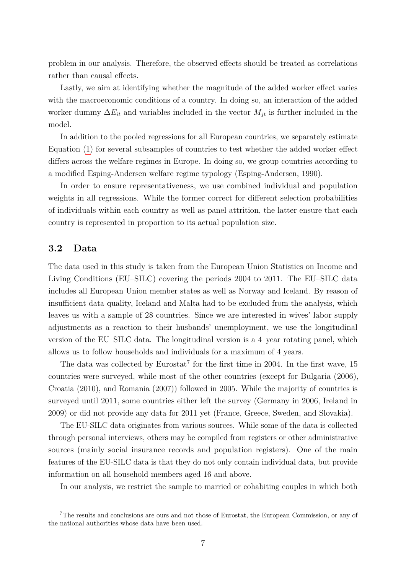problem in our analysis. Therefore, the observed effects should be treated as correlations rather than causal effects.

Lastly, we aim at identifying whether the magnitude of the added worker effect varies with the macroeconomic conditions of a country. In doing so, an interaction of the added worker dummy  $\Delta E_{it}$  and variables included in the vector  $M_{it}$  is further included in the model.

In addition to the pooled regressions for all European countries, we separately estimate Equation [\(1\)](#page-4-1) for several subsamples of countries to test whether the added worker effect differs across the welfare regimes in Europe. In doing so, we group countries according to a modified Esping-Andersen welfare regime typology [\(Esping-Andersen, 1990\)](#page-19-9).

In order to ensure representativeness, we use combined individual and population weights in all regressions. While the former correct for different selection probabilities of individuals within each country as well as panel attrition, the latter ensure that each country is represented in proportion to its actual population size.

### <span id="page-6-0"></span>**3.2 Data**

The data used in this study is taken from the European Union Statistics on Income and Living Conditions (EU–SILC) covering the periods 2004 to 2011. The EU–SILC data includes all European Union member states as well as Norway and Iceland. By reason of insufficient data quality, Iceland and Malta had to be excluded from the analysis, which leaves us with a sample of 28 countries. Since we are interested in wives' labor supply adjustments as a reaction to their husbands' unemployment, we use the longitudinal version of the EU–SILC data. The longitudinal version is a 4–year rotating panel, which allows us to follow households and individuals for a maximum of 4 years.

The data was collected by  $Eurostat^7$  for the first time in 2004. In the first wave, 15 countries were surveyed, while most of the other countries (except for Bulgaria (2006), Croatia (2010), and Romania (2007)) followed in 2005. While the majority of countries is surveyed until 2011, some countries either left the survey (Germany in 2006, Ireland in 2009) or did not provide any data for 2011 yet (France, Greece, Sweden, and Slovakia).

The EU-SILC data originates from various sources. While some of the data is collected through personal interviews, others may be compiled from registers or other administrative sources (mainly social insurance records and population registers). One of the main features of the EU-SILC data is that they do not only contain individual data, but provide information on all household members aged 16 and above.

In our analysis, we restrict the sample to married or cohabiting couples in which both

<sup>7</sup>The results and conclusions are ours and not those of Eurostat, the European Commission, or any of the national authorities whose data have been used.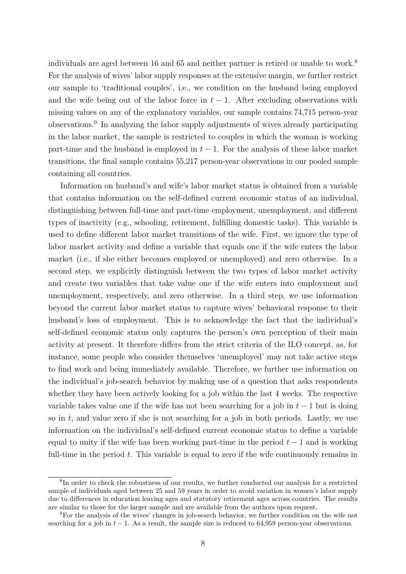individuals are aged between 16 and 65 and neither partner is retired or unable to work.<sup>8</sup> For the analysis of wives' labor supply responses at the extensive margin, we further restrict our sample to 'traditional couples', i.e., we condition on the husband being employed and the wife being out of the labor force in  $t - 1$ . After excluding observations with missing values on any of the explanatory variables, our sample contains 74,715 person-year observations.<sup>9</sup> In analyzing the labor supply adjustments of wives already participating in the labor market, the sample is restricted to couples in which the woman is working part-time and the husband is employed in  $t-1$ . For the analysis of these labor market transitions, the final sample contains 55,217 person-year observations in our pooled sample containing all countries.

Information on husband's and wife's labor market status is obtained from a variable that contains information on the self-defined current economic status of an individual, distinguishing between full-time and part-time employment, unemployment, and different types of inactivity (e.g., schooling, retirement, fulfilling domestic tasks). This variable is used to define different labor market transitions of the wife. First, we ignore the type of labor market activity and define a variable that equals one if the wife enters the labor market (i.e., if she either becomes employed or unemployed) and zero otherwise. In a second step, we explicitly distinguish between the two types of labor market activity and create two variables that take value one if the wife enters into employment and unemployment, respectively, and zero otherwise. In a third step, we use information beyond the current labor market status to capture wives' behavioral response to their husband's loss of employment. This is to acknowledge the fact that the individual's self-defined economic status only captures the person's own perception of their main activity at present. It therefore differs from the strict criteria of the ILO concept, as, for instance, some people who consider themselves 'unemployed' may not take active steps to find work and being immediately available. Therefore, we further use information on the individual's job-search behavior by making use of a question that asks respondents whether they have been actively looking for a job within the last 4 weeks. The respective variable takes value one if the wife has not been searching for a job in  $t-1$  but is doing so in *t*, and value zero if she is not searching for a job in both periods. Lastly, we use information on the individual's self-defined current economic status to define a variable equal to unity if the wife has been working part-time in the period  $t-1$  and is working full-time in the period *t*. This variable is equal to zero if the wife continuously remains in

<sup>&</sup>lt;sup>8</sup>In order to check the robustness of our results, we further conducted our analysis for a restricted sample of individuals aged between 25 and 59 years in order to avoid variation in women's labor supply due to differences in education leaving ages and statutory retirement ages across countries. The results are similar to those for the larger sample and are available from the authors upon request.

<sup>9</sup>For the analysis of the wives' changes in job-search behavior, we further condition on the wife not searching for a job in  $t - 1$ . As a result, the sample size is reduced to 64,959 person-year observations.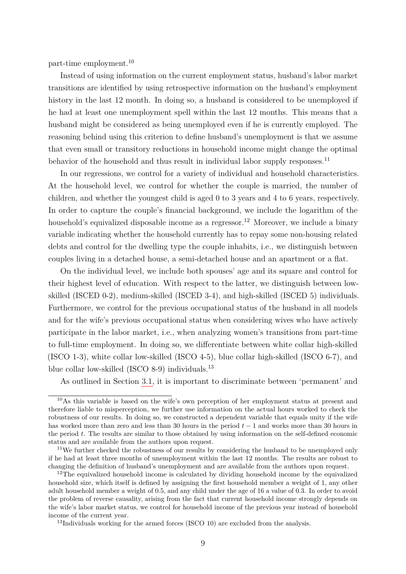part-time employment.<sup>10</sup>

Instead of using information on the current employment status, husband's labor market transitions are identified by using retrospective information on the husband's employment history in the last 12 month. In doing so, a husband is considered to be unemployed if he had at least one unemployment spell within the last 12 months. This means that a husband might be considered as being unemployed even if he is currently employed. The reasoning behind using this criterion to define husband's unemployment is that we assume that even small or transitory reductions in household income might change the optimal behavior of the household and thus result in individual labor supply responses.<sup>11</sup>

In our regressions, we control for a variety of individual and household characteristics. At the household level, we control for whether the couple is married, the number of children, and whether the youngest child is aged 0 to 3 years and 4 to 6 years, respectively. In order to capture the couple's financial background, we include the logarithm of the household's equivalized disposable income as a regressor.<sup>12</sup> Moreover, we include a binary variable indicating whether the household currently has to repay some non-housing related debts and control for the dwelling type the couple inhabits, i.e., we distinguish between couples living in a detached house, a semi-detached house and an apartment or a flat.

On the individual level, we include both spouses' age and its square and control for their highest level of education. With respect to the latter, we distinguish between lowskilled (ISCED 0-2), medium-skilled (ISCED 3-4), and high-skilled (ISCED 5) individuals. Furthermore, we control for the previous occupational status of the husband in all models and for the wife's previous occupational status when considering wives who have actively participate in the labor market, i.e., when analyzing women's transitions from part-time to full-time employment. In doing so, we differentiate between white collar high-skilled (ISCO 1-3), white collar low-skilled (ISCO 4-5), blue collar high-skilled (ISCO 6-7), and blue collar low-skilled (ISCO 8-9) individuals.<sup>13</sup>

As outlined in Section [3.1,](#page-4-2) it is important to discriminate between 'permanent' and

<sup>&</sup>lt;sup>10</sup>As this variable is based on the wife's own perception of her employment status at present and therefore liable to misperception, we further use information on the actual hours worked to check the robustness of our results. In doing so, we constructed a dependent variable that equals unity if the wife has worked more than zero and less than 30 hours in the period *t* − 1 and works more than 30 hours in the period *t*. The results are similar to those obtained by using information on the self-defined economic status and are available from the authors upon request.

<sup>&</sup>lt;sup>11</sup>We further checked the robustness of our results by considering the husband to be unemployed only if he had at least three months of unemployment within the last 12 months. The results are robust to changing the definition of husband's unemployment and are available from the authors upon request.

<sup>&</sup>lt;sup>12</sup>The equivalized household income is calculated by dividing household income by the equivalized household size, which itself is defined by assigning the first household member a weight of 1, any other adult household member a weight of 0.5, and any child under the age of 16 a value of 0.3. In order to avoid the problem of reverse causality, arising from the fact that current household income strongly depends on the wife's labor market status, we control for household income of the previous year instead of household income of the current year.

<sup>&</sup>lt;sup>13</sup>Individuals working for the armed forces (ISCO 10) are excluded from the analysis.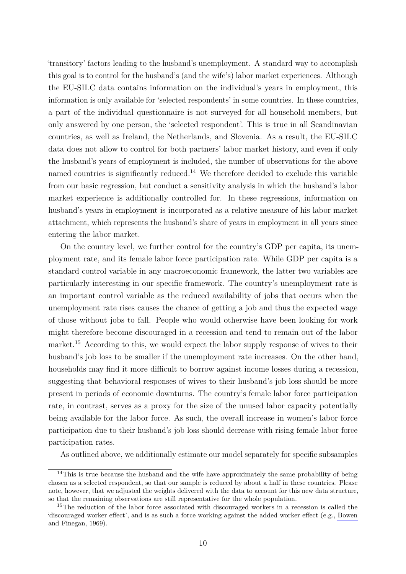'transitory' factors leading to the husband's unemployment. A standard way to accomplish this goal is to control for the husband's (and the wife's) labor market experiences. Although the EU-SILC data contains information on the individual's years in employment, this information is only available for 'selected respondents' in some countries. In these countries, a part of the individual questionnaire is not surveyed for all household members, but only answered by one person, the 'selected respondent'. This is true in all Scandinavian countries, as well as Ireland, the Netherlands, and Slovenia. As a result, the EU-SILC data does not allow to control for both partners' labor market history, and even if only the husband's years of employment is included, the number of observations for the above named countries is significantly reduced.<sup>14</sup> We therefore decided to exclude this variable from our basic regression, but conduct a sensitivity analysis in which the husband's labor market experience is additionally controlled for. In these regressions, information on husband's years in employment is incorporated as a relative measure of his labor market attachment, which represents the husband's share of years in employment in all years since entering the labor market.

On the country level, we further control for the country's GDP per capita, its unemployment rate, and its female labor force participation rate. While GDP per capita is a standard control variable in any macroeconomic framework, the latter two variables are particularly interesting in our specific framework. The country's unemployment rate is an important control variable as the reduced availability of jobs that occurs when the unemployment rate rises causes the chance of getting a job and thus the expected wage of those without jobs to fall. People who would otherwise have been looking for work might therefore become discouraged in a recession and tend to remain out of the labor market.<sup>15</sup> According to this, we would expect the labor supply response of wives to their husband's job loss to be smaller if the unemployment rate increases. On the other hand, households may find it more difficult to borrow against income losses during a recession, suggesting that behavioral responses of wives to their husband's job loss should be more present in periods of economic downturns. The country's female labor force participation rate, in contrast, serves as a proxy for the size of the unused labor capacity potentially being available for the labor force. As such, the overall increase in women's labor force participation due to their husband's job loss should decrease with rising female labor force participation rates.

As outlined above, we additionally estimate our model separately for specific subsamples

<sup>&</sup>lt;sup>14</sup>This is true because the husband and the wife have approximately the same probability of being chosen as a selected respondent, so that our sample is reduced by about a half in these countries. Please note, however, that we adjusted the weights delivered with the data to account for this new data structure, so that the remaining observations are still representative for the whole population.

<sup>&</sup>lt;sup>15</sup>The reduction of the labor force associated with discouraged workers in a recession is called the 'discouraged worker effect', and is as such a force working against the added worker effect (e.g., [Bowen](#page-19-10) [and Finegan, 1969\)](#page-19-10).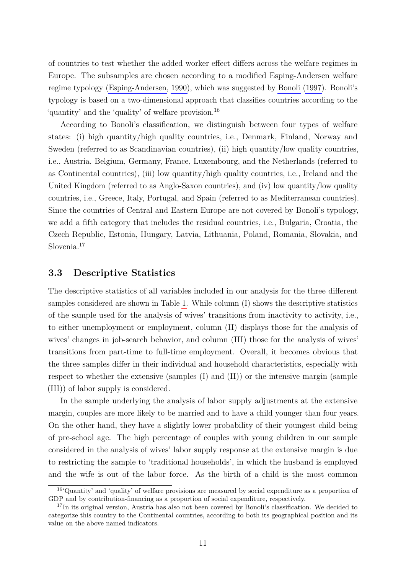of countries to test whether the added worker effect differs across the welfare regimes in Europe. The subsamples are chosen according to a modified Esping-Andersen welfare regime typology [\(Esping-Andersen, 1990\)](#page-19-9), which was suggested by [Bonoli](#page-19-11) [\(1997\)](#page-19-11). Bonoli's typology is based on a two-dimensional approach that classifies countries according to the 'quantity' and the 'quality' of welfare provision.<sup>16</sup>

According to Bonoli's classification, we distinguish between four types of welfare states: (i) high quantity/high quality countries, i.e., Denmark, Finland, Norway and Sweden (referred to as Scandinavian countries), (ii) high quantity/low quality countries, i.e., Austria, Belgium, Germany, France, Luxembourg, and the Netherlands (referred to as Continental countries), (iii) low quantity/high quality countries, i.e., Ireland and the United Kingdom (referred to as Anglo-Saxon countries), and (iv) low quantity/low quality countries, i.e., Greece, Italy, Portugal, and Spain (referred to as Mediterranean countries). Since the countries of Central and Eastern Europe are not covered by Bonoli's typology, we add a fifth category that includes the residual countries, i.e., Bulgaria, Croatia, the Czech Republic, Estonia, Hungary, Latvia, Lithuania, Poland, Romania, Slovakia, and Slovenia.<sup>17</sup>

### **3.3 Descriptive Statistics**

The descriptive statistics of all variables included in our analysis for the three different samples considered are shown in Table [1.](#page-21-0) While column (I) shows the descriptive statistics of the sample used for the analysis of wives' transitions from inactivity to activity, i.e., to either unemployment or employment, column (II) displays those for the analysis of wives' changes in job-search behavior, and column (III) those for the analysis of wives' transitions from part-time to full-time employment. Overall, it becomes obvious that the three samples differ in their individual and household characteristics, especially with respect to whether the extensive (samples (I) and (II)) or the intensive margin (sample (III)) of labor supply is considered.

In the sample underlying the analysis of labor supply adjustments at the extensive margin, couples are more likely to be married and to have a child younger than four years. On the other hand, they have a slightly lower probability of their youngest child being of pre-school age. The high percentage of couples with young children in our sample considered in the analysis of wives' labor supply response at the extensive margin is due to restricting the sample to 'traditional households', in which the husband is employed and the wife is out of the labor force. As the birth of a child is the most common

<sup>16</sup>'Quantity' and 'quality' of welfare provisions are measured by social expenditure as a proportion of GDP and by contribution-financing as a proportion of social expenditure, respectively.

<sup>&</sup>lt;sup>17</sup>In its original version, Austria has also not been covered by Bonoli's classification. We decided to categorize this country to the Continental countries, according to both its geographical position and its value on the above named indicators.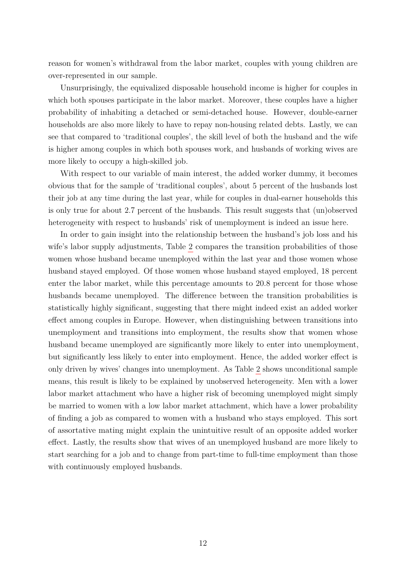reason for women's withdrawal from the labor market, couples with young children are over-represented in our sample.

Unsurprisingly, the equivalized disposable household income is higher for couples in which both spouses participate in the labor market. Moreover, these couples have a higher probability of inhabiting a detached or semi-detached house. However, double-earner households are also more likely to have to repay non-housing related debts. Lastly, we can see that compared to 'traditional couples', the skill level of both the husband and the wife is higher among couples in which both spouses work, and husbands of working wives are more likely to occupy a high-skilled job.

With respect to our variable of main interest, the added worker dummy, it becomes obvious that for the sample of 'traditional couples', about 5 percent of the husbands lost their job at any time during the last year, while for couples in dual-earner households this is only true for about 2.7 percent of the husbands. This result suggests that (un)observed heterogeneity with respect to husbands' risk of unemployment is indeed an issue here.

In order to gain insight into the relationship between the husband's job loss and his wife's labor supply adjustments, Table [2](#page-22-0) compares the transition probabilities of those women whose husband became unemployed within the last year and those women whose husband stayed employed. Of those women whose husband stayed employed, 18 percent enter the labor market, while this percentage amounts to 20.8 percent for those whose husbands became unemployed. The difference between the transition probabilities is statistically highly significant, suggesting that there might indeed exist an added worker effect among couples in Europe. However, when distinguishing between transitions into unemployment and transitions into employment, the results show that women whose husband became unemployed are significantly more likely to enter into unemployment, but significantly less likely to enter into employment. Hence, the added worker effect is only driven by wives' changes into unemployment. As Table [2](#page-22-0) shows unconditional sample means, this result is likely to be explained by unobserved heterogeneity. Men with a lower labor market attachment who have a higher risk of becoming unemployed might simply be married to women with a low labor market attachment, which have a lower probability of finding a job as compared to women with a husband who stays employed. This sort of assortative mating might explain the unintuitive result of an opposite added worker effect. Lastly, the results show that wives of an unemployed husband are more likely to start searching for a job and to change from part-time to full-time employment than those with continuously employed husbands.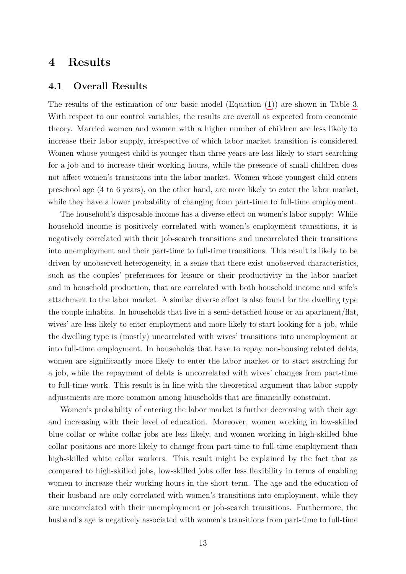### <span id="page-12-0"></span>**4 Results**

#### **4.1 Overall Results**

The results of the estimation of our basic model (Equation [\(1\)](#page-4-1)) are shown in Table [3.](#page-23-0) With respect to our control variables, the results are overall as expected from economic theory. Married women and women with a higher number of children are less likely to increase their labor supply, irrespective of which labor market transition is considered. Women whose youngest child is younger than three years are less likely to start searching for a job and to increase their working hours, while the presence of small children does not affect women's transitions into the labor market. Women whose youngest child enters preschool age (4 to 6 years), on the other hand, are more likely to enter the labor market, while they have a lower probability of changing from part-time to full-time employment.

The household's disposable income has a diverse effect on women's labor supply: While household income is positively correlated with women's employment transitions, it is negatively correlated with their job-search transitions and uncorrelated their transitions into unemployment and their part-time to full-time transitions. This result is likely to be driven by unobserved heterogeneity, in a sense that there exist unobserved characteristics, such as the couples' preferences for leisure or their productivity in the labor market and in household production, that are correlated with both household income and wife's attachment to the labor market. A similar diverse effect is also found for the dwelling type the couple inhabits. In households that live in a semi-detached house or an apartment/flat, wives' are less likely to enter employment and more likely to start looking for a job, while the dwelling type is (mostly) uncorrelated with wives' transitions into unemployment or into full-time employment. In households that have to repay non-housing related debts, women are significantly more likely to enter the labor market or to start searching for a job, while the repayment of debts is uncorrelated with wives' changes from part-time to full-time work. This result is in line with the theoretical argument that labor supply adjustments are more common among households that are financially constraint.

Women's probability of entering the labor market is further decreasing with their age and increasing with their level of education. Moreover, women working in low-skilled blue collar or white collar jobs are less likely, and women working in high-skilled blue collar positions are more likely to change from part-time to full-time employment than high-skilled white collar workers. This result might be explained by the fact that as compared to high-skilled jobs, low-skilled jobs offer less flexibility in terms of enabling women to increase their working hours in the short term. The age and the education of their husband are only correlated with women's transitions into employment, while they are uncorrelated with their unemployment or job-search transitions. Furthermore, the husband's age is negatively associated with women's transitions from part-time to full-time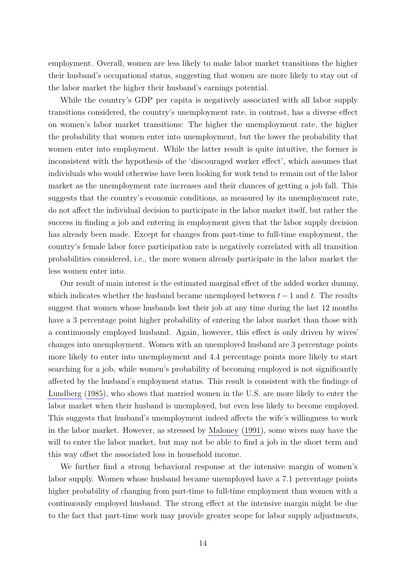employment. Overall, women are less likely to make labor market transitions the higher their husband's occupational status, suggesting that women are more likely to stay out of the labor market the higher their husband's earnings potential.

While the country's GDP per capita is negatively associated with all labor supply transitions considered, the country's unemployment rate, in contrast, has a diverse effect on women's labor market transitions: The higher the unemployment rate, the higher the probability that women enter into unemployment, but the lower the probability that women enter into employment. While the latter result is quite intuitive, the former is inconsistent with the hypothesis of the 'discouraged worker effect', which assumes that individuals who would otherwise have been looking for work tend to remain out of the labor market as the unemployment rate increases and their chances of getting a job fall. This suggests that the country's economic conditions, as measured by its unemployment rate, do not affect the individual decision to participate in the labor market itself, but rather the success in finding a job and entering in employment given that the labor supply decision has already been made. Except for changes from part-time to full-time employment, the country's female labor force participation rate is negatively correlated with all transition probabilities considered, i.e., the more women already participate in the labor market the less women enter into.

Our result of main interest is the estimated marginal effect of the added worker dummy, which indicates whether the husband became unemployed between  $t-1$  and  $t$ . The results suggest that women whose husbands lost their job at any time during the last 12 months have a 3 percentage point higher probability of entering the labor market than those with a continuously employed husband. Again, however, this effect is only driven by wives' changes into unemployment. Women with an unemployed husband are 3 percentage points more likely to enter into unemployment and 4.4 percentage points more likely to start searching for a job, while women's probability of becoming employed is not significantly affected by the husband's employment status. This result is consistent with the findings of [Lundberg](#page-19-2) [\(1985\)](#page-19-2), who shows that married women in the U.S. are more likely to enter the labor market when their husband is unemployed, but even less likely to become employed. This suggests that husband's unemployment indeed affects the wife's willingness to work in the labor market. However, as stressed by [Maloney](#page-20-0) [\(1991\)](#page-20-0), some wives may have the will to enter the labor market, but may not be able to find a job in the short term and this way offset the associated loss in household income.

We further find a strong behavioral response at the intensive margin of women's labor supply. Women whose husband became unemployed have a 7.1 percentage points higher probability of changing from part-time to full-time employment than women with a continuously employed husband. The strong effect at the intensive margin might be due to the fact that part-time work may provide greater scope for labor supply adjustments,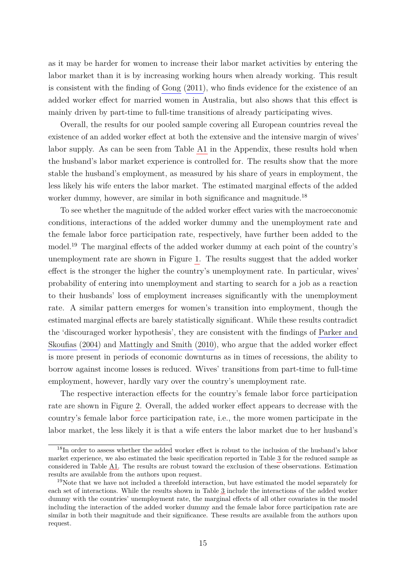as it may be harder for women to increase their labor market activities by entering the labor market than it is by increasing working hours when already working. This result is consistent with the finding of [Gong](#page-19-6) [\(2011\)](#page-19-6), who finds evidence for the existence of an added worker effect for married women in Australia, but also shows that this effect is mainly driven by part-time to full-time transitions of already participating wives.

Overall, the results for our pooled sample covering all European countries reveal the existence of an added worker effect at both the extensive and the intensive margin of wives' labor supply. As can be seen from Table [A1](#page-27-0) in the Appendix, these results hold when the husband's labor market experience is controlled for. The results show that the more stable the husband's employment, as measured by his share of years in employment, the less likely his wife enters the labor market. The estimated marginal effects of the added worker dummy, however, are similar in both significance and magnitude.<sup>18</sup>

To see whether the magnitude of the added worker effect varies with the macroeconomic conditions, interactions of the added worker dummy and the unemployment rate and the female labor force participation rate, respectively, have further been added to the model.<sup>19</sup> The marginal effects of the added worker dummy at each point of the country's unemployment rate are shown in Figure [1.](#page-25-0) The results suggest that the added worker effect is the stronger the higher the country's unemployment rate. In particular, wives' probability of entering into unemployment and starting to search for a job as a reaction to their husbands' loss of employment increases significantly with the unemployment rate. A similar pattern emerges for women's transition into employment, though the estimated marginal effects are barely statistically significant. While these results contradict the 'discouraged worker hypothesis', they are consistent with the findings of [Parker and](#page-20-6) [Skoufias](#page-20-6) [\(2004\)](#page-20-6) and [Mattingly and Smith](#page-20-7) [\(2010\)](#page-20-7), who argue that the added worker effect is more present in periods of economic downturns as in times of recessions, the ability to borrow against income losses is reduced. Wives' transitions from part-time to full-time employment, however, hardly vary over the country's unemployment rate.

The respective interaction effects for the country's female labor force participation rate are shown in Figure [2.](#page-26-0) Overall, the added worker effect appears to decrease with the country's female labor force participation rate, i.e., the more women participate in the labor market, the less likely it is that a wife enters the labor market due to her husband's

<sup>&</sup>lt;sup>18</sup>In order to assess whether the added worker effect is robust to the inclusion of the husband's labor market experience, we also estimated the basic specification reported in Table [3](#page-23-0) for the reduced sample as considered in Table [A1.](#page-27-0) The results are robust toward the exclusion of these observations. Estimation results are available from the authors upon request.

<sup>&</sup>lt;sup>19</sup>Note that we have not included a threefold interaction, but have estimated the model separately for each set of interactions. While the results shown in Table [3](#page-23-0) include the interactions of the added worker dummy with the countries' unemployment rate, the marginal effects of all other covariates in the model including the interaction of the added worker dummy and the female labor force participation rate are similar in both their magnitude and their significance. These results are available from the authors upon request.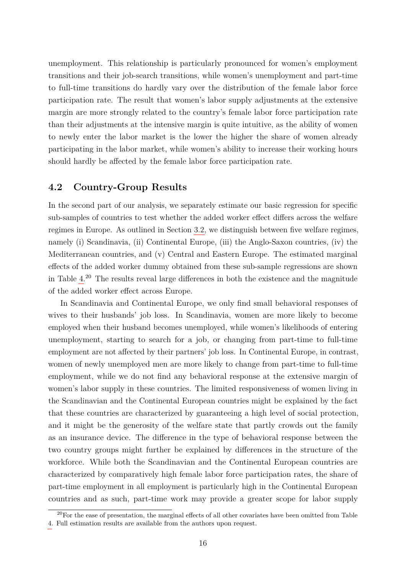unemployment. This relationship is particularly pronounced for women's employment transitions and their job-search transitions, while women's unemployment and part-time to full-time transitions do hardly vary over the distribution of the female labor force participation rate. The result that women's labor supply adjustments at the extensive margin are more strongly related to the country's female labor force participation rate than their adjustments at the intensive margin is quite intuitive, as the ability of women to newly enter the labor market is the lower the higher the share of women already participating in the labor market, while women's ability to increase their working hours should hardly be affected by the female labor force participation rate.

### **4.2 Country-Group Results**

In the second part of our analysis, we separately estimate our basic regression for specific sub-samples of countries to test whether the added worker effect differs across the welfare regimes in Europe. As outlined in Section [3.2,](#page-6-0) we distinguish between five welfare regimes, namely (i) Scandinavia, (ii) Continental Europe, (iii) the Anglo-Saxon countries, (iv) the Mediterranean countries, and (v) Central and Eastern Europe. The estimated marginal effects of the added worker dummy obtained from these sub-sample regressions are shown in Table [4.](#page-24-0)<sup>20</sup> The results reveal large differences in both the existence and the magnitude of the added worker effect across Europe.

In Scandinavia and Continental Europe, we only find small behavioral responses of wives to their husbands' job loss. In Scandinavia, women are more likely to become employed when their husband becomes unemployed, while women's likelihoods of entering unemployment, starting to search for a job, or changing from part-time to full-time employment are not affected by their partners' job loss. In Continental Europe, in contrast, women of newly unemployed men are more likely to change from part-time to full-time employment, while we do not find any behavioral response at the extensive margin of women's labor supply in these countries. The limited responsiveness of women living in the Scandinavian and the Continental European countries might be explained by the fact that these countries are characterized by guaranteeing a high level of social protection, and it might be the generosity of the welfare state that partly crowds out the family as an insurance device. The difference in the type of behavioral response between the two country groups might further be explained by differences in the structure of the workforce. While both the Scandinavian and the Continental European countries are characterized by comparatively high female labor force participation rates, the share of part-time employment in all employment is particularly high in the Continental European countries and as such, part-time work may provide a greater scope for labor supply

 $20$ For the ease of presentation, the marginal effects of all other covariates have been omitted from Table [4.](#page-24-0) Full estimation results are available from the authors upon request.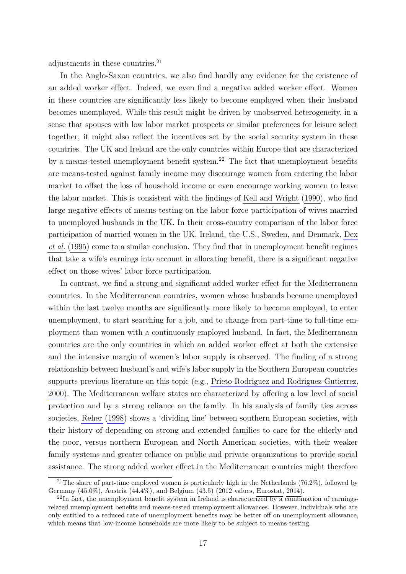adjustments in these countries.<sup>21</sup>

In the Anglo-Saxon countries, we also find hardly any evidence for the existence of an added worker effect. Indeed, we even find a negative added worker effect. Women in these countries are significantly less likely to become employed when their husband becomes unemployed. While this result might be driven by unobserved heterogeneity, in a sense that spouses with low labor market prospects or similar preferences for leisure select together, it might also reflect the incentives set by the social security system in these countries. The UK and Ireland are the only countries within Europe that are characterized by a means-tested unemployment benefit system.<sup>22</sup> The fact that unemployment benefits are means-tested against family income may discourage women from entering the labor market to offset the loss of household income or even encourage working women to leave the labor market. This is consistent with the findings of [Kell and Wright](#page-19-12) [\(1990\)](#page-19-12), who find large negative effects of means-testing on the labor force participation of wives married to unemployed husbands in the UK. In their cross-country comparison of the labor force participation of married women in the UK, Ireland, the U.S., Sweden, and Denmark, [Dex](#page-19-13) *[et al.](#page-19-13)* [\(1995\)](#page-19-13) come to a similar conclusion. They find that in unemployment benefit regimes that take a wife's earnings into account in allocating benefit, there is a significant negative effect on those wives' labor force participation.

In contrast, we find a strong and significant added worker effect for the Mediterranean countries. In the Mediterranean countries, women whose husbands became unemployed within the last twelve months are significantly more likely to become employed, to enter unemployment, to start searching for a job, and to change from part-time to full-time employment than women with a continuously employed husband. In fact, the Mediterranean countries are the only countries in which an added worker effect at both the extensive and the intensive margin of women's labor supply is observed. The finding of a strong relationship between husband's and wife's labor supply in the Southern European countries supports previous literature on this topic (e.g., [Prieto-Rodriguez and Rodriguez-Gutierrez,](#page-20-9) [2000\)](#page-20-9). The Mediterranean welfare states are characterized by offering a low level of social protection and by a strong reliance on the family. In his analysis of family ties across societies, [Reher](#page-20-3) [\(1998\)](#page-20-3) shows a 'dividing line' between southern European societies, with their history of depending on strong and extended families to care for the elderly and the poor, versus northern European and North American societies, with their weaker family systems and greater reliance on public and private organizations to provide social assistance. The strong added worker effect in the Mediterranean countries might therefore

<sup>&</sup>lt;sup>21</sup>The share of part-time employed women is particularly high in the Netherlands (76.2%), followed by Germany (45.0%), Austria (44.4%), and Belgium (43.5) (2012 values, [Eurostat, 2014\)](#page-19-8).

 $^{22}$ In fact, the unemployment benefit system in Ireland is characterized by a combination of earningsrelated unemployment benefits and means-tested unemployment allowances. However, individuals who are only entitled to a reduced rate of unemployment benefits may be better off on unemployment allowance, which means that low-income households are more likely to be subject to means-testing.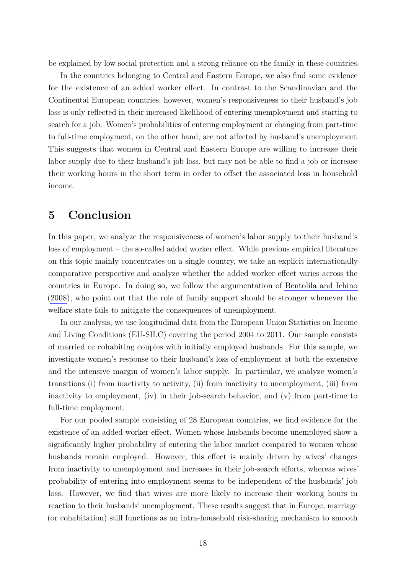be explained by low social protection and a strong reliance on the family in these countries.

In the countries belonging to Central and Eastern Europe, we also find some evidence for the existence of an added worker effect. In contrast to the Scandinavian and the Continental European countries, however, women's responsiveness to their husband's job loss is only reflected in their increased likelihood of entering unemployment and starting to search for a job. Women's probabilities of entering employment or changing from part-time to full-time employment, on the other hand, are not affected by husband's unemployment. This suggests that women in Central and Eastern Europe are willing to increase their labor supply due to their husband's job loss, but may not be able to find a job or increase their working hours in the short term in order to offset the associated loss in household income.

# <span id="page-17-0"></span>**5 Conclusion**

In this paper, we analyze the responsiveness of women's labor supply to their husband's loss of employment – the so-called added worker effect. While previous empirical literature on this topic mainly concentrates on a single country, we take an explicit internationally comparative perspective and analyze whether the added worker effect varies across the countries in Europe. In doing so, we follow the argumentation of [Bentolila and Ichino](#page-19-1) [\(2008\)](#page-19-1), who point out that the role of family support should be stronger whenever the welfare state fails to mitigate the consequences of unemployment.

In our analysis, we use longitudinal data from the European Union Statistics on Income and Living Conditions (EU-SILC) covering the period 2004 to 2011. Our sample consists of married or cohabiting couples with initially employed husbands. For this sample, we investigate women's response to their husband's loss of employment at both the extensive and the intensive margin of women's labor supply. In particular, we analyze women's transitions (i) from inactivity to activity, (ii) from inactivity to unemployment, (iii) from inactivity to employment, (iv) in their job-search behavior, and (v) from part-time to full-time employment.

For our pooled sample consisting of 28 European countries, we find evidence for the existence of an added worker effect. Women whose husbands become unemployed show a significantly higher probability of entering the labor market compared to women whose husbands remain employed. However, this effect is mainly driven by wives' changes from inactivity to unemployment and increases in their job-search efforts, whereas wives' probability of entering into employment seems to be independent of the husbands' job loss. However, we find that wives are more likely to increase their working hours in reaction to their husbands' unemployment. These results suggest that in Europe, marriage (or cohabitation) still functions as an intra-household risk-sharing mechanism to smooth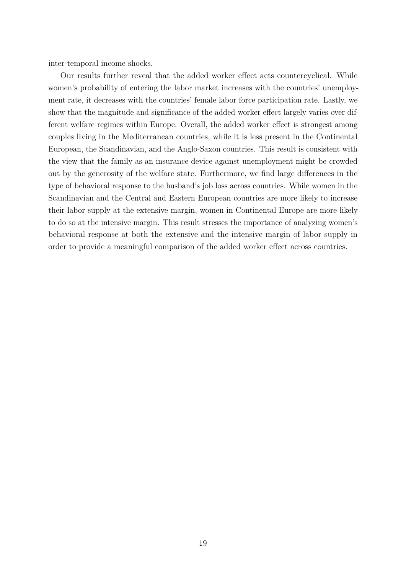inter-temporal income shocks.

Our results further reveal that the added worker effect acts countercyclical. While women's probability of entering the labor market increases with the countries' unemployment rate, it decreases with the countries' female labor force participation rate. Lastly, we show that the magnitude and significance of the added worker effect largely varies over different welfare regimes within Europe. Overall, the added worker effect is strongest among couples living in the Mediterranean countries, while it is less present in the Continental European, the Scandinavian, and the Anglo-Saxon countries. This result is consistent with the view that the family as an insurance device against unemployment might be crowded out by the generosity of the welfare state. Furthermore, we find large differences in the type of behavioral response to the husband's job loss across countries. While women in the Scandinavian and the Central and Eastern European countries are more likely to increase their labor supply at the extensive margin, women in Continental Europe are more likely to do so at the intensive margin. This result stresses the importance of analyzing women's behavioral response at both the extensive and the intensive margin of labor supply in order to provide a meaningful comparison of the added worker effect across countries.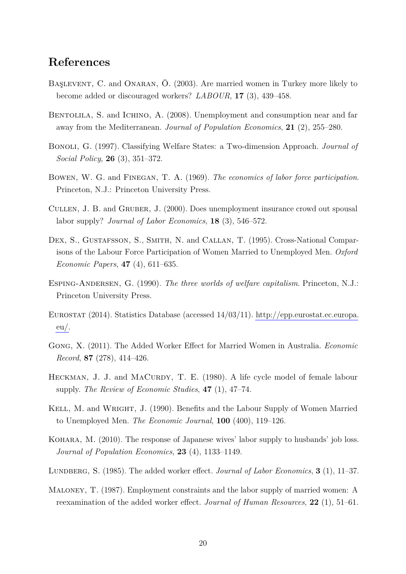# **References**

- <span id="page-19-7"></span>Başlevent, C. and Onaran, Ö. (2003). Are married women in Turkey more likely to become added or discouraged workers? *LABOUR*, **17** (3), 439–458.
- <span id="page-19-1"></span>BENTOLILA, S. and ICHINO, A. (2008). Unemployment and consumption near and far away from the Mediterranean. *Journal of Population Economics*, **21** (2), 255–280.
- <span id="page-19-11"></span>Bonoli, G. (1997). Classifying Welfare States: a Two-dimension Approach. *Journal of Social Policy*, **26** (3), 351–372.
- <span id="page-19-10"></span>Bowen, W. G. and Finegan, T. A. (1969). *The economics of labor force participation*. Princeton, N.J.: Princeton University Press.
- <span id="page-19-0"></span>Cullen, J. B. and Gruber, J. (2000). Does unemployment insurance crowd out spousal labor supply? *Journal of Labor Economics*, **18** (3), 546–572.
- <span id="page-19-13"></span>DEX, S., GUSTAFSSON, S., SMITH, N. and CALLAN, T. (1995). Cross-National Comparisons of the Labour Force Participation of Women Married to Unemployed Men. *Oxford Economic Papers*, **47** (4), 611–635.
- <span id="page-19-9"></span>Esping-Andersen, G. (1990). *The three worlds of welfare capitalism*. Princeton, N.J.: Princeton University Press.
- <span id="page-19-8"></span>Eurostat (2014). Statistics Database (accessed 14/03/11). [http://epp.eurostat.ec.europa.](http://epp.eurostat.ec.europa.eu/) [eu/.](http://epp.eurostat.ec.europa.eu/)
- <span id="page-19-6"></span>Gong, X. (2011). The Added Worker Effect for Married Women in Australia. *Economic Record*, **87** (278), 414–426.
- <span id="page-19-4"></span>HECKMAN, J. J. and MACURDY, T. E. (1980). A life cycle model of female labour supply. *The Review of Economic Studies*, **47** (1), 47–74.
- <span id="page-19-12"></span>Kell, M. and Wright, J. (1990). Benefits and the Labour Supply of Women Married to Unemployed Men. *The Economic Journal*, **100** (400), 119–126.
- <span id="page-19-5"></span>Kohara, M. (2010). The response of Japanese wives' labor supply to husbands' job loss. *Journal of Population Economics*, **23** (4), 1133–1149.
- <span id="page-19-2"></span>Lundberg, S. (1985). The added worker effect. *Journal of Labor Economics*, **3** (1), 11–37.
- <span id="page-19-3"></span>Maloney, T. (1987). Employment constraints and the labor supply of married women: A reexamination of the added worker effect. *Journal of Human Resources*, **22** (1), 51–61.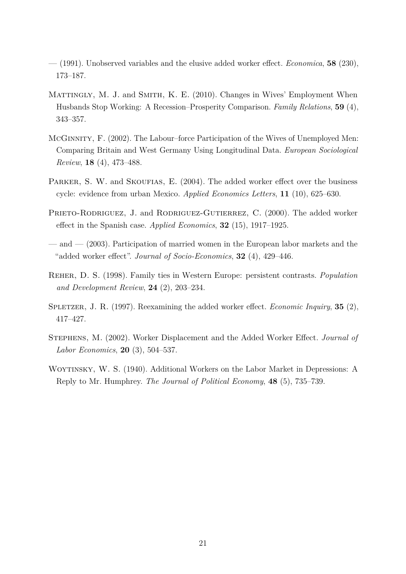- <span id="page-20-0"></span>— (1991). Unobserved variables and the elusive added worker effect. *Economica*, **58** (230), 173–187.
- <span id="page-20-7"></span>MATTINGLY, M. J. and SMITH, K. E. (2010). Changes in Wives' Employment When Husbands Stop Working: A Recession–Prosperity Comparison. *Family Relations*, **59** (4), 343–357.
- <span id="page-20-1"></span>McGinnity, F. (2002). The Labour–force Participation of the Wives of Unemployed Men: Comparing Britain and West Germany Using Longitudinal Data. *European Sociological Review*, **18** (4), 473–488.
- <span id="page-20-6"></span>PARKER, S. W. and SKOUFIAS, E. (2004). The added worker effect over the business cycle: evidence from urban Mexico. *Applied Economics Letters*, **11** (10), 625–630.
- <span id="page-20-9"></span>PRIETO-RODRIGUEZ, J. and RODRIGUEZ-GUTIERREZ, C. (2000). The added worker effect in the Spanish case. *Applied Economics*, **32** (15), 1917–1925.
- <span id="page-20-2"></span>— and — (2003). Participation of married women in the European labor markets and the "added worker effect". *Journal of Socio-Economics*, **32** (4), 429–446.
- <span id="page-20-3"></span>Reher, D. S. (1998). Family ties in Western Europe: persistent contrasts. *Population and Development Review*, **24** (2), 203–234.
- <span id="page-20-5"></span>Spletzer, J. R. (1997). Reexamining the added worker effect. *Economic Inquiry*, **35** (2), 417–427.
- <span id="page-20-8"></span>Stephens, M. (2002). Worker Displacement and the Added Worker Effect. *Journal of Labor Economics*, **20** (3), 504–537.
- <span id="page-20-4"></span>WOYTINSKY, W. S. (1940). Additional Workers on the Labor Market in Depressions: A Reply to Mr. Humphrey. *The Journal of Political Economy*, **48** (5), 735–739.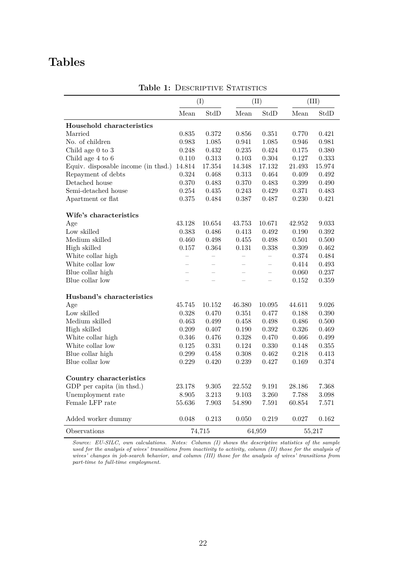# **Tables**

<span id="page-21-0"></span>

|                                     | (I)                      |                          |        | (II)                 |           | (III)     |  |
|-------------------------------------|--------------------------|--------------------------|--------|----------------------|-----------|-----------|--|
|                                     | Mean                     | StdD                     | Mean   | StdD                 | Mean      | StdD      |  |
| Household characteristics           |                          |                          |        |                      |           |           |  |
| Married                             | $0.835\,$                | $0.372\,$                | 0.856  | 0.351                | 0.770     | 0.421     |  |
| No. of children                     | 0.983                    | 1.085                    | 0.941  | 1.085                | 0.946     | 0.981     |  |
| Child age $0$ to $3$                | 0.248                    | 0.432                    | 0.235  | 0.424                | 0.175     | 0.380     |  |
| Child age 4 to 6                    | 0.110                    | 0.313                    | 0.103  | 0.304                | 0.127     | 0.333     |  |
| Equiv. disposable income (in thsd.) | 14.814                   | 17.354                   | 14.348 | 17.132               | 21.493    | 15.974    |  |
| Repayment of debts                  | 0.324                    | 0.468                    | 0.313  | 0.464                | 0.409     | 0.492     |  |
| Detached house                      | 0.370                    | 0.483                    | 0.370  | 0.483                | $0.399\,$ | 0.490     |  |
| Semi-detached house                 | 0.254                    | $0.435\,$                | 0.243  | 0.429                | 0.371     | 0.483     |  |
| Apartment or flat                   | 0.375                    | 0.484                    | 0.387  | 0.487                | 0.230     | 0.421     |  |
| Wife's characteristics              |                          |                          |        |                      |           |           |  |
| Age                                 | 43.128                   | 10.654                   | 43.753 | 10.671               | 42.952    | 9.033     |  |
| Low skilled                         | 0.383                    | 0.486                    | 0.413  | 0.492                | 0.190     | 0.392     |  |
| Medium skilled                      | 0.460                    | 0.498                    | 0.455  | 0.498                | 0.501     | $0.500\,$ |  |
| High skilled                        | 0.157                    | 0.364                    | 0.131  | 0.338                | 0.309     | 0.462     |  |
| White collar high                   |                          |                          |        |                      | $0.374\,$ | 0.484     |  |
| White collar low                    | $\overline{\phantom{0}}$ | $\overline{\phantom{0}}$ |        |                      | 0.414     | 0.493     |  |
| Blue collar high                    |                          |                          |        |                      | 0.060     | 0.237     |  |
| Blue collar low                     |                          | L.                       |        |                      | 0.152     | $0.359\,$ |  |
| Husband's characteristics           |                          |                          |        |                      |           |           |  |
| Age                                 | 45.745                   | 10.152                   | 46.380 | 10.095               | 44.611    | 9.026     |  |
| Low skilled                         | 0.328                    | 0.470                    | 0.351  | 0.477                | 0.188     | 0.390     |  |
| Medium skilled                      | 0.463                    | 0.499                    | 0.458  | 0.498                | 0.486     | 0.500     |  |
| High skilled                        | 0.209                    | 0.407                    | 0.190  | $\,0.392\,$          | 0.326     | 0.469     |  |
| White collar high                   | 0.346                    | 0.476                    | 0.328  | 0.470                | 0.466     | 0.499     |  |
| White collar low                    | $0.125\,$                | 0.331                    | 0.124  | $0.330\,$            | 0.148     | 0.355     |  |
| Blue collar high                    | 0.299                    | 0.458                    | 0.308  | 0.462                | 0.218     | 0.413     |  |
| Blue collar low                     | 0.229                    | 0.420                    | 0.239  | 0.427                | 0.169     | $0.374\,$ |  |
| Country characteristics             |                          |                          |        |                      |           |           |  |
| GDP per capita (in thsd.)           | 23.178                   | 9.305                    | 22.552 | $\boldsymbol{9.191}$ | 28.186    | 7.368     |  |
| Unemployment rate                   | 8.905                    | 3.213                    | 9.103  | 3.260                | 7.788     | 3.098     |  |
| Female LFP rate                     | 55.636                   | 7.903                    | 54.890 | 7.591                | 60.854    | 7.571     |  |
| Added worker dummy                  | 0.048                    | 0.213                    | 0.050  | 0.219                | 0.027     | 0.162     |  |
| Observations                        |                          | 74,715                   |        | 64,959               |           | 55,217    |  |

**Table 1: DESCRIPTIVE STATISTICS** 

*Source: EU-SILC, own calculations. Notes: Column (I) shows the descriptive statistics of the sample* used for the analysis of wives' transitions from inactivity to activity, column (II) those for the analysis of *wives' changes in job-search behavior, and column (III) those for the analysis of wives' transitions from part-time to full-time employment.*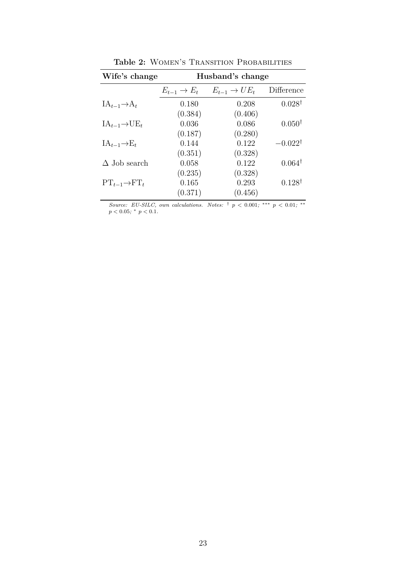<span id="page-22-0"></span>

| Wife's change               | Husband's change  |                            |                    |  |  |  |  |
|-----------------------------|-------------------|----------------------------|--------------------|--|--|--|--|
|                             | $E_{t-1} \to E_t$ | $E_{t-1} \rightarrow UE_t$ | Difference         |  |  |  |  |
| $IA_{t-1} \rightarrow A_t$  | 0.180             | 0.208                      | $0.028^{\dagger}$  |  |  |  |  |
|                             | (0.384)           | (0.406)                    |                    |  |  |  |  |
| $IA_{t-1} \rightarrow UE_t$ | 0.036             | 0.086                      | $0.050^{\dagger}$  |  |  |  |  |
|                             | (0.187)           | (0.280)                    |                    |  |  |  |  |
| $IA_{t-1} \rightarrow E_t$  | 0.144             | 0.122                      | $-0.022^{\dagger}$ |  |  |  |  |
|                             | (0.351)           | (0.328)                    |                    |  |  |  |  |
| $\Delta$ Job search         | 0.058             | 0.122                      | $0.064^{\dagger}$  |  |  |  |  |
|                             | (0.235)           | (0.328)                    |                    |  |  |  |  |
| $PT_{t-1} \rightarrow FT_t$ | 0.165             | 0.293                      | $0.128^{\dagger}$  |  |  |  |  |
|                             | (0.371)           | (0.456)                    |                    |  |  |  |  |

Table 2: WOMEN'S TRANSITION PROBABILITIES

*Source: EU-SILC, own calculations. Notes:*  $\dagger$   $p$  < 0.001*;* \*\*\*  $p$  < 0.01*;* \*\*  $p < 0.05$ ; \*  $p < 0.1$ *.*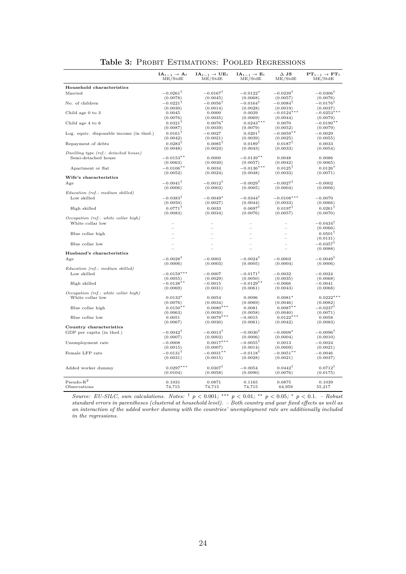<span id="page-23-0"></span>

|                                          | $IA_{t-1} \rightarrow A_t$<br>ME/StdE | $IA_{t-1} \rightarrow UE_t$<br>ME/StdE | $\mathbf{IA}_{t-1} \rightarrow \mathbf{E}_t$<br>ME/StdE | $\Delta$ JS<br>ME/StdE | $\mathbf{PT}_{t-1}\to\mathbf{FT}_t$<br>ME/StdE |
|------------------------------------------|---------------------------------------|----------------------------------------|---------------------------------------------------------|------------------------|------------------------------------------------|
| Household characteristics                |                                       |                                        |                                                         |                        |                                                |
| Married                                  | $-0.0261^{\dagger}$                   | $-0.0167^{\dagger}$                    | $-0.0122*$                                              | $-0.0239$ <sup>T</sup> | $-0.0306$ <sup>T</sup>                         |
|                                          | (0.0078)                              | (0.0045)                               | (0.0068)                                                | (0.0057)               | (0.0076)                                       |
| No. of children                          | $-0.0221$ <sup>T</sup>                | $-0.0056$ <sup>T</sup>                 | $-0.0164$ <sup>T</sup>                                  | $-0.0084$ <sup>T</sup> | $-0.0176$ <sup>T</sup>                         |
|                                          | (0.0030)                              | (0.0014)                               | (0.0028)                                                | (0.0019)               | (0.0037)                                       |
| Child age 0 to 3                         | 0.0045                                | 0.0000                                 | 0.0039                                                  | $-0.0124*$             | $-0.0253*$                                     |
|                                          | (0.0076)                              | (0.0035)                               | (0.0069)                                                | (0.0044)               | (0.0079)                                       |
| Child age 4 to 6                         | $0.0321^{\dagger}$                    | $0.0076*$                              | $0.0243***$                                             | 0.0070                 | $-0.0190**$                                    |
|                                          | (0.0087)                              | (0.0039)                               | (0.0079)                                                | (0.0052)               | (0.0079)                                       |
| Log. equiv. disposable income (in thsd.) | $0.0161^{\dagger}$                    | $-0.0027$                              | $0.0201^{\dagger}$                                      | $-0.0059**$            | $-0.0029$                                      |
|                                          | (0.0042)                              | (0.0021)                               | (0.0039)                                                | (0.0025)               | (0.0055)                                       |
| Repayment of debts                       | $0.0283^{\dagger}$                    | $0.0085$ <sup>T</sup>                  | $0.0189^{\dagger}$                                      | $0.0187$ <sup>T</sup>  | 0.0033                                         |
|                                          | (0.0048)                              | (0.0024)                               | (0.0043)                                                | (0.0033)               | (0.0054)                                       |
| Dwelling type (ref.: detached house)     |                                       |                                        |                                                         |                        |                                                |
| Semi-detached house                      | $-0.0153**$                           | 0.0000                                 | $-0.0139**$                                             | 0.0048                 | 0.0086                                         |
|                                          | (0.0063)                              | (0.0030)                               | (0.0057)                                                | (0.0042)               | (0.0065)                                       |
| Apartment or flat                        | $-0.0106**$                           | 0.0034                                 | $-0.0136***$                                            | $0.0125$ <sup>T</sup>  | $0.0126*$                                      |
|                                          | (0.0052)                              | (0.0024)                               | (0.0048)                                                | (0.0033)               | (0.0071)                                       |
| Wife's characteristics                   |                                       |                                        |                                                         |                        |                                                |
| Age                                      | $-0.0041^{\dagger}$                   | $-0.0012$ <sup>T</sup>                 | $-0.0029^{\dagger}$                                     | $-0.0027^{\dagger}$    | $-0.0002$                                      |
|                                          | (0.0006)                              | (0.0003)                               | (0.0005)                                                | (0.0004)               | (0.0006)                                       |
| Education (ref.: medium skilled)         |                                       |                                        |                                                         |                        |                                                |
| Low skilled                              | $-0.0383^{\dagger}$                   | $-0.0049*$                             | $-0.0344$ <sup>T</sup>                                  | $-0.0108***$           | $-0.0070$                                      |
|                                          | (0.0050)                              | (0.0027)                               | (0.0044)                                                | (0.0033)               | (0.0066)                                       |
| High skilled                             | $0.0771^{\dagger}$                    | 0.0033                                 | $0.0697^{\dagger}$                                      | $0.0197^{\dagger}$     | $0.0261^{\dagger}$                             |
|                                          | (0.0083)                              | (0.0034)                               | (0.0076)                                                | (0.0057)               | (0.0070)                                       |
| Occupation (ref.: white collar high)     |                                       |                                        |                                                         |                        |                                                |
| White collar low                         |                                       |                                        |                                                         |                        | $-0.0434$ <sup>T</sup>                         |
|                                          | $\equiv$                              |                                        |                                                         |                        | (0.0066)                                       |
| Blue collar high                         |                                       |                                        |                                                         |                        | $0.0501$ <sup>T</sup>                          |
|                                          |                                       |                                        |                                                         |                        | (0.0131)                                       |
| Blue collar low                          |                                       |                                        |                                                         |                        | $-0.0357$ <sup>T</sup>                         |
|                                          |                                       |                                        |                                                         |                        | (0.0088)                                       |
| Husband's characteristics                |                                       |                                        |                                                         |                        |                                                |
| Age                                      | $-0.0028$ <sup>T</sup>                | $-0.0003$                              | $-0.0024$ <sup>T</sup>                                  | $-0.0003$              | $-0.0049$ <sup>T</sup>                         |
|                                          | (0.0006)                              | (0.0003)                               | (0.0005)                                                | (0.0004)               | (0.0006)                                       |
| Education (ref.: medium skilled)         |                                       |                                        |                                                         |                        |                                                |
| Low skilled                              | $-0.0159***$                          | $-0.0007$                              | $-0.0171^{\dagger}$                                     | $-0.0032$              | $-0.0024$                                      |
|                                          | (0.0055)                              | (0.0029)                               | (0.0050)                                                | (0.0035)               | (0.0068)                                       |
| High skilled                             | $-0.0138**$                           | $-0.0015$                              | $-0.0129**$                                             | $-0.0066$              | $-0.0041$                                      |
| Occupation (ref.: white collar high)     | (0.0069)                              | (0.0031)                               | (0.0061)                                                | (0.0043)               | (0.0068)                                       |
| White collar low                         | $0.0133*$                             | 0.0054                                 | 0.0096                                                  | $0.0081*$              | $0.0222***$                                    |
|                                          | (0.0076)                              | (0.0034)                               | (0.0069)                                                | (0.0046)               | (0.0082)                                       |
| Blue collar high                         | $0.0150**$                            | $0.0080***$                            | 0.0081                                                  | $0.0087**$             | $-0.0237^{\dagger}$                            |
|                                          | (0.0063)                              | (0.0030)                               | (0.0058)                                                | (0.0040)               | (0.0071)                                       |
| Blue collar low                          | 0.0051                                | $0.0079***$                            | $-0.0015$                                               | $0.0122***$            | 0.0058                                         |
|                                          | (0.0067)                              | (0.0030)                               | (0.0061)                                                | (0.0042)               | (0.0083)                                       |
| Country characteristics                  |                                       |                                        |                                                         |                        |                                                |
| GDP per capita (in thsd.)                | $-0.0042$ <sup>T</sup>                | $-0.0013$ <sup>T</sup>                 | $-0.0030$ <sup>T</sup>                                  | $-0.0009*$             | $-0.0096$ <sup>T</sup>                         |
|                                          | (0.0007)                              | (0.0003)                               | (0.0006)                                                | (0.0004)               | (0.0010)                                       |
| Unemployment rate                        | $-0.0008$                             | $0.0017***$                            | $-0.0055^{\dagger}$                                     | 0.0013                 | $-0.0024$                                      |
|                                          | (0.0015)                              | (0.0007)                               | (0.0014)                                                | (0.0009)               | (0.0021)                                       |
| Female LFP rate                          | $-0.0131$ <sup>T</sup>                | $-0.0031$ **                           | $-0.0118$ <sup>T</sup>                                  | $-0.0051$ **           | $-0.0046$                                      |
|                                          | (0.0031)                              | (0.0015)                               | (0.0028)                                                | (0.0021)               | (0.0037)                                       |
|                                          |                                       |                                        |                                                         |                        |                                                |
| Added worker dummy                       | $0.0297***$                           | $0.0307^{\dagger}$                     | $-0.0054$                                               | $0.0442^{\dagger}$     | $0.0712$ <sup>T</sup>                          |
|                                          | (0.0104)                              | (0.0058)                               | (0.0090)                                                | (0.0076)               | (0.0175)                                       |
|                                          |                                       |                                        |                                                         |                        |                                                |
| $Pseudo-R2$                              | 0.1031                                | 0.0871                                 | 0.1165                                                  | 0.0875                 | 0.1039                                         |
| Observations                             | 74,715                                | 74,715                                 | 74,715                                                  | 64,959                 | 55,217                                         |

Table 3: PROBIT ESTIMATIONS: POOLED REGRESSIONS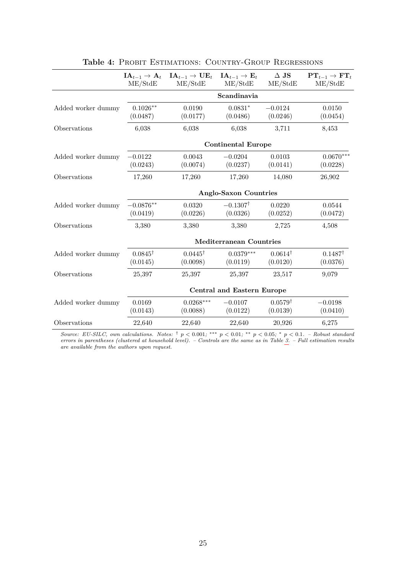<span id="page-24-0"></span>

|                    | $\mathbf{IA}_{t-1} \to \mathbf{A}_t$<br>ME/StdE | $IA_{t-1} \rightarrow UE_t$<br>ME/StdE | $IA_{t-1} \rightarrow E_t$<br>ME/StdE | $\Delta$ JS<br>ME/StdE         | $PT_{t-1} \rightarrow FT_t$<br>ME/StdE |  |  |  |
|--------------------|-------------------------------------------------|----------------------------------------|---------------------------------------|--------------------------------|----------------------------------------|--|--|--|
|                    |                                                 |                                        | Scandinavia                           |                                |                                        |  |  |  |
| Added worker dummy | $0.1026**$<br>(0.0487)                          | 0.0190<br>(0.0177)                     | $0.0831*$<br>(0.0486)                 | $-0.0124$<br>(0.0246)          | 0.0150<br>(0.0454)                     |  |  |  |
| Observations       | 6,038                                           | 6,038                                  | 6,038                                 | 3,711                          | 8,453                                  |  |  |  |
|                    |                                                 | <b>Continental Europe</b>              |                                       |                                |                                        |  |  |  |
| Added worker dummy | $-0.0122$<br>(0.0243)                           | 0.0043<br>(0.0074)                     | $-0.0204$<br>(0.0237)                 | 0.0103<br>(0.0141)             | $0.0670***$<br>(0.0228)                |  |  |  |
| Observations       | 17,260                                          | 17,260                                 | 17,260                                | 14,080                         | 26,902                                 |  |  |  |
|                    | <b>Anglo-Saxon Countries</b>                    |                                        |                                       |                                |                                        |  |  |  |
| Added worker dummy | $-0.0876**$<br>(0.0419)                         | 0.0320<br>(0.0226)                     | $-0.1307^{\dagger}$<br>(0.0326)       | 0.0220<br>(0.0252)             | 0.0544<br>(0.0472)                     |  |  |  |
| Observations       | 3,380                                           | 3,380                                  | 3,380                                 | 2,725                          | 4,508                                  |  |  |  |
|                    |                                                 | <b>Mediterranean Countries</b>         |                                       |                                |                                        |  |  |  |
| Added worker dummy | $0.0845^{\dagger}$<br>(0.0145)                  | $0.0445^{\dagger}$<br>(0.0098)         | $0.0379***$<br>(0.0119)               | $0.0614^{\dagger}$<br>(0.0120) | $0.1487^{\dagger}$<br>(0.0376)         |  |  |  |
| Observations       | 25,397                                          | 25,397                                 | 25,397                                | 23,517                         | 9,079                                  |  |  |  |
|                    |                                                 | <b>Central and Eastern Europe</b>      |                                       |                                |                                        |  |  |  |
| Added worker dummy | 0.0169<br>(0.0143)                              | $0.0268***$<br>(0.0088)                | $-0.0107$<br>(0.0122)                 | $0.0579^{\dagger}$<br>(0.0139) | $-0.0198$<br>(0.0410)                  |  |  |  |
| Observations       | 22,640                                          | 22,640                                 | 22,640                                | 20,926                         | 6,275                                  |  |  |  |

| Table 4: PROBIT ESTIMATIONS: COUNTRY-GROUP REGRESSIONS |
|--------------------------------------------------------|
|--------------------------------------------------------|

*Source: EU-SILC, own calculations. Notes:*  $\dagger$   $p$  < 0.001; \*\*  $p$  < 0.01; \*\*  $p$  < 0.05;  $\dagger$   $p$  < 0.1. – Robust standard *errors in parentheses (clustered at household level). – Controls are the same as in Table [3.](#page-23-0) – Full estimation results are available from the authors upon request.*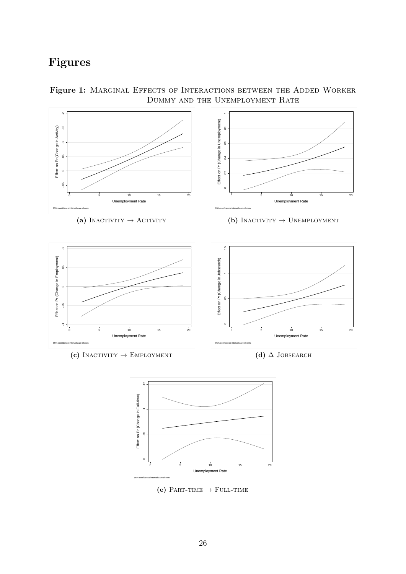# **Figures**



<span id="page-25-0"></span>Figure 1: MARGINAL EFFECTS OF INTERACTIONS BETWEEN THE ADDED WORKER Dummy and the Unemployment Rate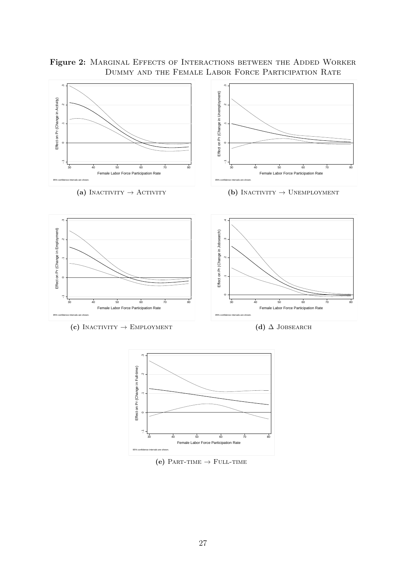<span id="page-26-0"></span>Figure 2: MARGINAL EFFECTS OF INTERACTIONS BETWEEN THE ADDED WORKER Dummy and the Female Labor Force Participation Rate





 $(e)$  Part-time  $\rightarrow$  Full-time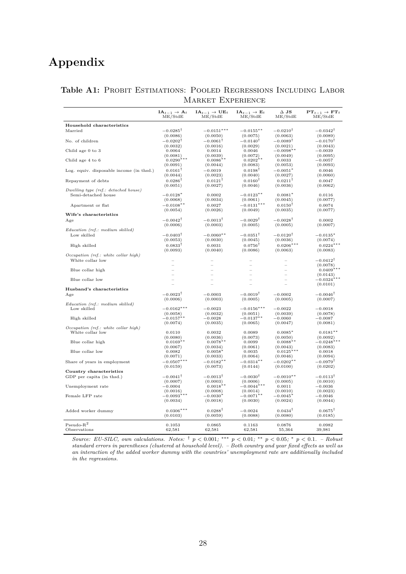# **Appendix**

|                                          | $IA_{t-1} \rightarrow A_t$<br>ME/StdE | $IA_{t-1} \rightarrow UE_t$<br>ME/StdE | $IA_{t-1} \rightarrow E_t$<br>ME/StdE | $\Delta$ JS<br>ME/StdE            | $PT_{t-1} \rightarrow FT_t$<br>ME/StdE |
|------------------------------------------|---------------------------------------|----------------------------------------|---------------------------------------|-----------------------------------|----------------------------------------|
| Household characteristics                |                                       |                                        |                                       |                                   |                                        |
| Married                                  | $-0.0285^{\dagger}$                   | $-0.0151***$                           | $-0.0155***$                          | $-0.0210^{\dagger}$               | $-0.0342^{\dagger}$                    |
|                                          | (0.0086)                              | (0.0050)                               | (0.0075)                              | (0.0063)                          | (0.0089)                               |
| No. of children                          | $-0.0202$ <sup>T</sup>                | $-0.0061$ <sup>T</sup>                 | $-0.0140^\intercal$                   | $-0.0089$ <sup>T</sup>            | $-0.0170$ <sup>T</sup>                 |
|                                          | (0.0032)                              | (0.0016)                               | (0.0029)                              | (0.0021)                          | (0.0043)                               |
| Child age 0 to 3                         | 0.0064                                | 0.0014                                 | 0.0046                                | $-0.0098**$                       | $-0.0039$                              |
|                                          | (0.0081)                              | (0.0039)                               | (0.0072)                              | (0.0049)                          | (0.0095)                               |
| Child age 4 to 6                         | $0.0290***$                           | $0.0086**$                             | $0.0202**$                            | 0.0033                            | $-0.0057$                              |
|                                          | (0.0091)                              | (0.0044)                               | (0.0083)                              | (0.0053)                          | (0.0093)                               |
| Log. equiv. disposable income (in thsd.) | $0.0161$ <sup>T</sup>                 | $-0.0019$                              | $0.0198$ <sup>T</sup>                 | $-0.0051*$                        | 0.0046                                 |
|                                          | (0.0044)<br>$0.0286^{\dagger}$        | (0.0023)<br>$0.0121^{\dagger}$         | (0.0040)<br>$0.0160^{\dagger}$        | (0.0027)<br>$0.0211$ <sup>T</sup> | (0.0060)<br>0.0047                     |
| Repayment of debts                       | (0.0051)                              | (0.0027)                               | (0.0046)                              | (0.0036)                          | (0.0062)                               |
| Dwelling type (ref.: detached house)     |                                       |                                        |                                       |                                   |                                        |
| Semi-detached house                      | $-0.0128*$                            | 0.0002                                 | $-0.0123**$                           | $0.0081*$                         | 0.0116                                 |
|                                          | (0.0068)                              | (0.0034)                               | (0.0061)                              | (0.0045)                          | (0.0077)                               |
| Apartment or flat                        | $-0.0108**$                           | 0.0027                                 | $-0.0131***$                          | $0.0150$ <sup>T</sup>             | 0.0074                                 |
|                                          | (0.0054)                              | (0.0026)                               | (0.0049)                              | (0.0035)                          | (0.0077)                               |
| Wife's characteristics                   |                                       |                                        |                                       |                                   |                                        |
| Age                                      | $-0.0042^{\dagger}$                   | $-0.0013^{\dagger}$                    | $-0.0029^{\dagger}$                   | $-0.0028^{\dagger}$               | 0.0002                                 |
|                                          | (0.0006)                              | (0.0003)                               | (0.0005)                              | (0.0005)                          | (0.0007)                               |
| Education (ref.: medium skilled)         |                                       |                                        |                                       |                                   |                                        |
| Low skilled                              | $-0.0403^{\dagger}$                   | $-0.0060**$                            | $-0.0351^{\dagger}$                   | $-0.0120^{\dagger}$               | $-0.0135*$                             |
|                                          | (0.0053)                              | (0.0030)                               | (0.0045)                              | (0.0036)                          | (0.0074)                               |
| High skilled                             | $0.0833^{\dagger}$                    | 0.0031                                 | $0.0756^{\dagger}$                    | $0.0206***$                       | $0.0224***$                            |
|                                          | (0.0093)                              | (0.0040)                               | (0.0086)                              | (0.0063)                          | (0.0083)                               |
| $Occupation$ (ref.: white collar high)   |                                       |                                        |                                       |                                   |                                        |
| White collar low                         |                                       |                                        |                                       |                                   | $-0.0412$ <sup>T</sup>                 |
| Blue collar high                         |                                       |                                        |                                       |                                   | (0.0078)<br>$0.0409$ ***               |
|                                          |                                       |                                        |                                       |                                   | (0.0143)                               |
| Blue collar low                          |                                       |                                        |                                       |                                   | $-0.0324$ <sup>*</sup>                 |
|                                          |                                       |                                        |                                       |                                   | (0.0101)                               |
| Husband's characteristics                |                                       |                                        |                                       |                                   |                                        |
| Age                                      | $-0.0023^{\dagger}$                   | $-0.0003$                              | $-0.0019^{\dagger}$                   | $-0.0002$                         | $-0.0046^{\dagger}$                    |
|                                          | (0.0006)                              | (0.0003)                               | (0.0005)                              | (0.0005)                          | (0.0007)                               |
| Education (ref.: medium skilled)         |                                       |                                        |                                       |                                   |                                        |
| Low skilled                              | $-0.0162***$                          | $-0.0023$<br>(0.0032)                  | $-0.0156***$                          | $-0.0022$                         | $-0.0018$                              |
| High skilled                             | (0.0058)<br>$-0.0157**$               | $-0.0028$                              | (0.0051)<br>$-0.0137**$               | (0.0039)<br>$-0.0060$             | (0.0078)<br>$-0.0087$                  |
|                                          | (0.0074)                              | (0.0035)                               | (0.0065)                              | (0.0047)                          | (0.0081)                               |
| Occupation (ref.: white collar high)     |                                       |                                        |                                       |                                   |                                        |
| White collar low                         | 0.0110                                | 0.0032                                 | 0.0089                                | $0.0085*$                         | $0.0181**$                             |
|                                          | (0.0080)                              | (0.0036)                               | (0.0073)                              | (0.0050)                          | (0.0092)                               |
| Blue collar high                         | $0.0169**$                            | $0.0078**$                             | 0.0099                                | $0.0088**$                        | $-0.0248***$                           |
|                                          | (0.0067)                              | (0.0034)                               | (0.0061)                              | (0.0043)                          | (0.0083)                               |
| Blue collar low                          | 0.0082                                | $0.0058*$                              | 0.0035                                | $0.0125***$                       | 0.0018                                 |
|                                          | (0.0071)                              | (0.0033)                               | (0.0064)                              | (0.0046)                          | (0.0094)<br>$-0.0979^{\dagger}$        |
| Share of years in employment             | $-0.0507***$<br>(0.0159)              | $-0.0182**$<br>(0.0073)                | $-0.0314**$<br>(0.0144)               | $-0.0202**$<br>(0.0100)           | (0.0202)                               |
| Country characteristics                  |                                       |                                        |                                       |                                   |                                        |
| GDP per capita (in thsd.)                | $-0.0041^{\dagger}$                   | $-0.0013$ <sup>T</sup>                 | $-0.0030$ <sup>T</sup>                | $-0.0010**$                       | $-0.0113$ <sup>T</sup>                 |
|                                          | (0.0007)                              | (0.0003)                               | (0.0006)                              | (0.0005)                          | (0.0010)                               |
| Unemployment rate                        | $-0.0004$                             | $0.0018**$                             | $-0.0044**$                           | 0.0011                            | $-0.0036$                              |
|                                          | (0.0016)                              | (0.0008)                               | (0.0014)                              | (0.0010)                          | (0.0023)                               |
| Female LFP rate                          | $-0.0093***$                          | $-0.0030*$                             | $-0.0071**$                           | $-0.0045*$                        | $-0.0046$                              |
|                                          | (0.0034)                              | (0.0018)                               | (0.0030)                              | (0.0024)                          | (0.0044)                               |
|                                          |                                       |                                        |                                       |                                   |                                        |
| Added worker dummy                       | $0.0306***$                           | $0.0288^{\dagger}$                     | $-0.0024$                             | $0.0434^{\dagger}$                | $0.0675^{\dagger}$                     |
|                                          | (0.0103)                              | (0.0059)                               | (0.0088)                              | (0.0080)                          | (0.0185)                               |
| $Pseudo-R2$                              | 0.1053                                | 0.0865                                 | 0.1163                                | 0.0876                            | 0.0982                                 |
| Observations                             | 62,581                                | 62,581                                 | 62,581                                | 55,364                            | 39,981                                 |

### <span id="page-27-0"></span>Table A1: PROBIT ESTIMATIONS: POOLED REGRESSIONS INCLUDING LABOR Market Experience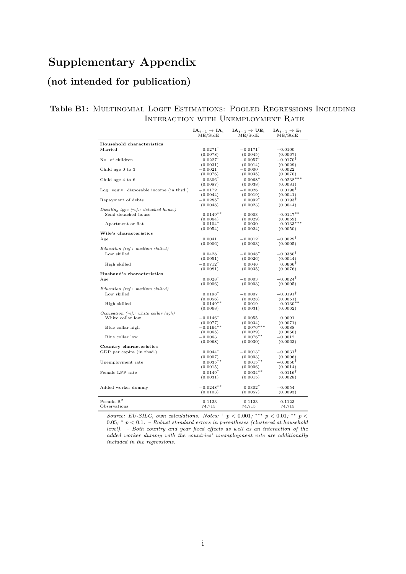# **Supplementary Appendix**

# **(not intended for publication)**

### Table B1: MULTINOMIAL LOGIT ESTIMATIONS: POOLED REGRESSIONS INCLUDING Interaction with Unemployment Rate

|                                          | $IA_{t-1} \rightarrow IA_t$<br>ME/StdE | $IA_{t-1} \rightarrow UE_t$<br>ME/StdE | $IA_{t-1} \rightarrow E_t$<br>ME/StdE |
|------------------------------------------|----------------------------------------|----------------------------------------|---------------------------------------|
| Household characteristics                |                                        |                                        |                                       |
| Married                                  | $0.0271^{\dagger}$                     | $-0.0171^{\dagger}$                    | $-0.0100$                             |
|                                          | (0.0078)                               | (0.0045)                               | (0.0067)                              |
| No. of children                          | $0.0227^{\dagger}$                     | $-0.0057^{\dagger}$                    | $-0.0170^{\dagger}$                   |
|                                          | (0.0031)                               | (0.0014)                               | (0.0029)                              |
| Child age 0 to 3                         | $-0.0021$                              | $-0.0000$                              | 0.0022                                |
|                                          | (0.0076)                               | (0.0035)                               | (0.0070)                              |
| Child age 4 to 6                         | $-0.0306$ <sup>T</sup>                 | $0.0068*$                              | $0.0238***$                           |
|                                          | (0.0087)                               | (0.0038)                               | (0.0081)                              |
| Log. equiv. disposable income (in thsd.) | $-0.0172$ <sup>T</sup>                 | $-0.0026$                              | $0.0198$ <sup>T</sup>                 |
|                                          | (0.0044)                               | (0.0019)                               | (0.0041)                              |
| Repayment of debts                       | $-0.0285^{\dagger}$                    | $0.0092^{\dagger}$                     | $0.0193^{\dagger}$                    |
|                                          | (0.0048)                               | (0.0023)                               | (0.0044)                              |
| Dwelling type (ref.: detached house)     |                                        |                                        |                                       |
| Semi-detached house                      | $0.0149**$                             | $-0.0003$                              | $-0.0147**$                           |
|                                          | (0.0064)                               | (0.0029)                               | (0.0059)                              |
| Apartment or flat                        | $0.0104*$                              | 0.0030                                 | $-0.0133***$                          |
|                                          | (0.0054)                               | (0.0024)                               | (0.0050)                              |
| Wife's characteristics                   |                                        |                                        |                                       |
| Age                                      | $0.0041^{\dagger}$                     | $-0.0012^{\dagger}$                    | $-0.0029^{\dagger}$                   |
|                                          | (0.0006)                               | (0.0003)                               | (0.0005)                              |
| Education (ref.: medium skilled)         |                                        |                                        |                                       |
| Low skilled                              | $0.0428^{\dagger}$                     | $-0.0048*$                             | $-0.0380^{\dagger}$                   |
|                                          | (0.0051)                               | (0.0026)                               | (0.0044)                              |
| High skilled                             | $-0.0712^{\dagger}$                    | 0.0046                                 | $0.0666^{\dagger}$                    |
|                                          | (0.0081)                               | (0.0035)                               | (0.0076)                              |
| Husband's characteristics                |                                        |                                        |                                       |
| Age                                      | $0.0028^{\dagger}$                     | $-0.0003$                              | $-0.0024^{\dagger}$                   |
|                                          | (0.0006)                               | (0.0003)                               | (0.0005)                              |
| Education (ref.: medium skilled)         |                                        |                                        |                                       |
| Low skilled                              | $0.0198^{\dagger}$                     | $-0.0007$                              | $-0.0191^{\dagger}$                   |
|                                          | (0.0056)                               | (0.0028)                               | (0.0051)                              |
| High skilled                             | $0.0149**$                             | $-0.0019$                              | $-0.0130**$                           |
| Occupation (ref.: white collar high)     | (0.0068)                               | (0.0031)                               | (0.0062)                              |
| White collar low                         | $-0.0146*$                             | 0.0055                                 | 0.0091                                |
|                                          | (0.0077)                               | (0.0034)                               | (0.0071)                              |
| Blue collar high                         | $-0.0164**$                            | $0.0076***$                            | 0.0088                                |
|                                          | (0.0065)                               | (0.0029)                               | (0.0060)                              |
| Blue collar low                          | $-0.0063$                              | $0.0076**$                             | $-0.0012$                             |
|                                          | (0.0068)                               | (0.0030)                               | (0.0063)                              |
| Country characteristics                  |                                        |                                        |                                       |
| GDP per capita (in thsd.)                | $0.0044^{\dagger}$                     | $-0.0013^{\dagger}$                    | $-0.0031^{\dagger}$                   |
|                                          | (0.0007)                               | (0.0003)                               | (0.0006)                              |
| Unemployment rate                        | $0.0035**$                             | $0.0015**$                             | $-0.0050^{\dagger}$                   |
|                                          | (0.0015)                               | (0.0006)                               | (0.0014)                              |
| Female LFP rate                          | $0.0149^{\dagger}$                     | $-0.0034**$                            | $-0.0116^{\dagger}$                   |
|                                          | (0.0031)                               | (0.0015)                               | (0.0028)                              |
|                                          |                                        |                                        |                                       |
| Added worker dummy                       | $-0.0248**$                            | $0.0302^{\dagger}$                     | $-0.0054$                             |
|                                          | (0.0103)                               | (0.0057)                               | (0.0093)                              |
|                                          |                                        |                                        |                                       |
| $Pseudo-R2$                              | 0.1123                                 | 0.1123                                 | 0.1123                                |
| Observations                             | 74,715                                 | 74,715                                 | 74,715                                |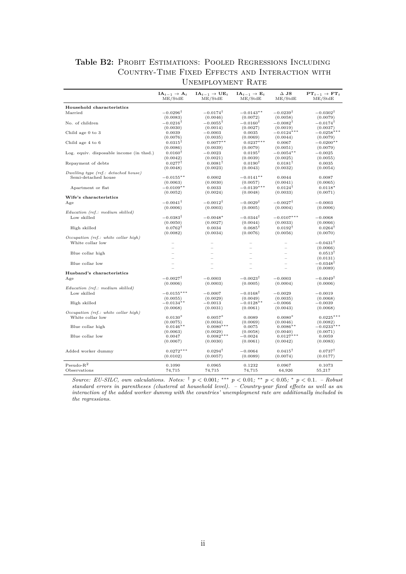### Table B2: PROBIT ESTIMATIONS: POOLED REGRESSIONS INCLUDING Country-Time Fixed Effects and Interaction with Unemployment Rate

|                                          | $IA_{t-1} \rightarrow A_t$<br>ME/StdE | $IA_{t-1} \rightarrow UE_t$<br>ME/StdE | $IA_{t-1} \rightarrow E_t$<br>ME/StdE | $\Delta$ JS<br>ME/StdE | $PT_{t-1} \rightarrow FT_t$<br>ME/StdE |
|------------------------------------------|---------------------------------------|----------------------------------------|---------------------------------------|------------------------|----------------------------------------|
|                                          |                                       |                                        |                                       |                        |                                        |
| Household characteristics                |                                       |                                        |                                       |                        |                                        |
| Married                                  | $-0.0296$ <sup>T</sup>                | $-0.0174$ <sup>T</sup>                 | $-0.0143**$                           | $-0.0239$ <sup>T</sup> | $-0.0302$ <sup>T</sup>                 |
|                                          | (0.0083)                              | (0.0046)                               | (0.0072)                              | (0.0058)               | (0.0079)                               |
| No. of children                          | $-0.0216$ <sup>T</sup>                | $-0.0055$ <sup>T</sup>                 | $-0.0160^{\dagger}$                   | $-0.0082$ <sup>T</sup> | $-0.0174$ <sup>T</sup>                 |
|                                          | (0.0030)                              | (0.0014)                               | (0.0027)                              | (0.0019)               | (0.0037)                               |
| Child age 0 to 3                         | 0.0039                                | $-0.0003$                              | 0.0035                                | $-0.0124***$           | $-0.0258*$                             |
|                                          | (0.0076)                              | (0.0035)                               | (0.0069)                              | (0.0044)               | (0.0079)                               |
| Child age 4 to 6                         | $0.0315$ <sup>T</sup>                 | $0.0077**$                             | $0.0237***$                           | 0.0067                 | $-0.0200**$                            |
|                                          | (0.0086)                              | (0.0039)                               | (0.0079)                              | (0.0051)               | (0.0079)                               |
| Log. equiv. disposable income (in thsd.) | $0.0160$ <sup>T</sup>                 | $-0.0023$                              | $0.0195$ <sup>T</sup>                 | $-0.0054**$            | $-0.0025$                              |
|                                          | (0.0042)                              | (0.0021)                               | (0.0039)                              | (0.0025)               | (0.0055)                               |
| Repayment of debts                       | $0.0277$ <sup>T</sup>                 | $0.0081$ <sup>T</sup>                  | $0.0190^{\dagger}$                    | $0.0181$ <sup>T</sup>  | 0.0035                                 |
|                                          | (0.0048)                              | (0.0023)                               | (0.0043)                              | (0.0032)               | (0.0054)                               |
| Dwelling type (ref.: detached house)     |                                       |                                        |                                       |                        |                                        |
| Semi-detached house                      | $-0.0155**$                           | 0.0002                                 | $-0.0141**$                           | 0.0044                 | 0.0087                                 |
|                                          | (0.0063)                              | (0.0030)                               | (0.0057)                              | (0.0041)               | (0.0065)                               |
| Apartment or flat                        | $-0.0109**$                           | 0.0033                                 | $-0.0139***$                          | $0.0124^{\dagger}$     | $0.0118*$                              |
|                                          | (0.0052)                              | (0.0024)                               | (0.0048)                              | (0.0033)               | (0.0071)                               |
| Wife's characteristics                   |                                       |                                        |                                       |                        |                                        |
| Age                                      | $-0.0041^{\dagger}$                   | $-0.0012$ <sup>T</sup>                 | $-0.0029^{\dagger}$                   | $-0.0027^{\dagger}$    | $-0.0003$                              |
|                                          | (0.0006)                              | (0.0003)                               | (0.0005)                              | (0.0004)               | (0.0006)                               |
| Education (ref.: medium skilled)         |                                       |                                        |                                       |                        |                                        |
| Low skilled                              | $-0.0383^{\dagger}$                   | $-0.0048*$                             | $-0.0344^{\dagger}$                   | $-0.0107***$           | $-0.0068$                              |
|                                          | (0.0050)                              | (0.0027)                               | (0.0044)                              | (0.0033)               | (0.0066)                               |
| High skilled                             | $0.0762^{\dagger}$                    | 0.0034                                 | $0.0685$ <sup>T</sup>                 | $0.0192$ <sup>T</sup>  | $0.0264$ <sup>T</sup>                  |
|                                          | (0.0082)                              | (0.0034)                               | (0.0076)                              | (0.0056)               | (0.0070)                               |
| Occupation (ref.: white collar high)     |                                       |                                        |                                       |                        |                                        |
| White collar low                         |                                       |                                        |                                       |                        | $-0.0431$ <sup>T</sup>                 |
|                                          |                                       |                                        |                                       |                        | (0.0066)                               |
| Blue collar high                         |                                       |                                        |                                       |                        | $0.0513$ <sup>T</sup>                  |
|                                          |                                       |                                        |                                       |                        | (0.0131)                               |
| Blue collar low                          |                                       |                                        |                                       |                        | $-0.0348^{\dagger}$                    |
|                                          |                                       |                                        |                                       |                        | (0.0089)                               |
| Husband's characteristics                |                                       |                                        |                                       |                        |                                        |
| Age                                      | $-0.0027^{\dagger}$                   | $-0.0003$                              | $-0.0023$ <sup>T</sup>                | $-0.0003$              | $-0.0049$ <sup>T</sup>                 |
|                                          | (0.0006)                              | (0.0003)                               | (0.0005)                              | (0.0004)               | (0.0006)                               |
| Education (ref.: medium skilled)         |                                       |                                        |                                       |                        |                                        |
| Low skilled                              | $-0.0155***$                          | $-0.0007$                              | $-0.0168^{\dagger}$                   | $-0.0029$              | $-0.0019$                              |
|                                          | (0.0055)                              | (0.0029)                               | (0.0049)                              | (0.0035)               | (0.0068)                               |
| High skilled                             | $-0.0134$ **                          | $-0.0013$                              | $-0.0128***$                          | $-0.0066$              | $-0.0039$                              |
|                                          | (0.0068)                              | (0.0031)                               | (0.0061)                              | (0.0043)               | (0.0068)                               |
| Occupation (ref.: white collar high)     |                                       |                                        |                                       |                        |                                        |
| White collar low                         | $0.0130*$                             | $0.0057*$                              | 0.0089                                | $0.0080*$              | $0.0225***$                            |
|                                          | (0.0075)                              | (0.0034)                               | (0.0069)                              | (0.0046)               | (0.0082)                               |
| Blue collar high                         | $0.0146**$<br>(0.0063)                | $0.0080***$<br>(0.0029)                | 0.0075<br>(0.0058)                    | $0.0086**$<br>(0.0040) | $-0.0233***$<br>(0.0071)               |
| Blue collar low                          | 0.0047                                | $0.0082***$                            | $-0.0024$                             | $0.0127***$            | 0.0059                                 |
|                                          | (0.0067)                              | (0.0030)                               | (0.0061)                              | (0.0042)               | (0.0083)                               |
|                                          |                                       |                                        |                                       |                        |                                        |
| Added worker dummy                       | $0.0272***$                           | $0.0294^{\dagger}$                     | $-0.0064$                             | $0.0415^{\dagger}$     | $0.0737^{\dagger}$                     |
|                                          | (0.0102)                              | (0.0057)                               | (0.0089)                              | (0.0074)               | (0.0177)                               |
|                                          |                                       |                                        |                                       |                        |                                        |
| $Pseudo-R2$                              | 0.1090                                | 0.0965                                 | 0.1232                                | 0.0967                 | 0.1073                                 |
| Observations                             | 74,715                                | 74,715                                 | 74,715                                | 64,926                 | 55,217                                 |
|                                          |                                       |                                        |                                       |                        |                                        |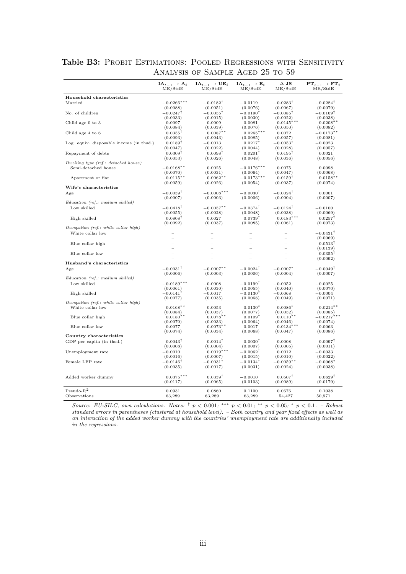|                                          | $IA_{t-1} \rightarrow A_t$<br>ME/StdE | $IA_{t-1} \rightarrow UE_t$<br>ME/StdE | $IA_{t-1} \rightarrow E_t$<br>ME/StdE | $\Delta$ JS<br>ME/StdE | $PT_{t-1} \rightarrow FT_t$<br>ME/StdE |
|------------------------------------------|---------------------------------------|----------------------------------------|---------------------------------------|------------------------|----------------------------------------|
| Household characteristics                |                                       |                                        |                                       |                        |                                        |
| Married                                  | $-0.0266***$                          | $-0.0182^{\dagger}$                    | $-0.0119$                             | $-0.0283^{\dagger}$    | $-0.0284^{\dagger}$                    |
|                                          | (0.0088)                              | (0.0051)                               | (0.0076)                              | (0.0067)               | (0.0079)                               |
| No. of children                          | $-0.0247^{\dagger}$                   | $-0.0055^{\dagger}$                    | $-0.0190^{\dagger}$                   | $-0.0085^{\dagger}$    | $-0.0169^{\dagger}$                    |
|                                          | (0.0033)                              | (0.0015)                               | (0.0030)                              | (0.0022)               | (0.0038)                               |
| Child age 0 to 3                         | 0.0097                                | 0.0009                                 | 0.0081                                | $-0.0145'$             | $-0.0208**$                            |
|                                          | (0.0084)                              | (0.0039)                               | (0.0076)                              | (0.0050)               | (0.0082)                               |
| Child age 4 to 6                         | $0.0355^{\dagger}$                    | $0.0087**$                             | $0.0265***$                           | 0.0072                 | $-0.0173**$                            |
|                                          | (0.0093)                              | (0.0043)                               | (0.0085)                              | (0.0057)               | (0.0081)                               |
| Log. equiv. disposable income (in thsd.) | $0.0189^{\dagger}$                    | $-0.0013$                              | $0.0217$ <sup>T</sup>                 | $-0.0053*$             | $-0.0023$                              |
|                                          | (0.0047)                              | (0.0022)                               | (0.0044)                              | (0.0028)               | (0.0057)                               |
| Repayment of debts                       | $0.0309^{\dagger}$                    | $0.0098^{\dagger}$                     | $0.0201^{\dagger}$                    | $0.0195^{\dagger}$     | 0.0021                                 |
| Dwelling type (ref.: detached house)     | (0.0053)                              | (0.0026)                               | (0.0048)                              | (0.0036)               | (0.0056)                               |
| Semi-detached house                      | $-0.0168***$                          | 0.0025                                 | $-0.0176***$                          | 0.0075                 | 0.0098                                 |
|                                          | (0.0070)                              | (0.0031)                               | (0.0064)                              | (0.0047)               | (0.0068)                               |
| Apartment or flat                        | $-0.0115***$                          | $0.0062**$                             | $-0.0173***$                          | $0.0159^{\dagger}$     | $0.0158**$                             |
|                                          | (0.0059)                              | (0.0026)                               | (0.0054)                              | (0.0037)               | (0.0074)                               |
| Wife's characteristics                   |                                       |                                        |                                       |                        |                                        |
| Age                                      | $-0.0039^{\dagger}$                   | $-0.0008***$                           | $-0.0030^{\dagger}$                   | $-0.0024^{\dagger}$    | 0.0001                                 |
|                                          | (0.0007)                              | (0.0003)                               | (0.0006)                              | (0.0004)               | (0.0007)                               |
| Education (ref.: medium skilled)         |                                       |                                        |                                       |                        |                                        |
| Low skilled                              | $-0.0418^{\dagger}$                   | $-0.0057**$                            | $-0.0374^{\dagger}$                   | $-0.0124^{\dagger}$    | $-0.0100$                              |
|                                          | (0.0055)                              | (0.0028)                               | (0.0048)                              | (0.0038)               | (0.0069)                               |
| High skilled                             | $0.0808^{\dagger}$                    | 0.0027                                 | $0.0739^{\dagger}$                    | $0.0183***$            | $0.0257^{\dagger}$                     |
|                                          | (0.0092)                              | (0.0037)                               | (0.0085)                              | (0.0061)               | (0.0073)                               |
| Occupation (ref.: white collar high)     |                                       |                                        |                                       |                        |                                        |
| White collar low                         |                                       |                                        |                                       |                        | $-0.0431^{\dagger}$                    |
|                                          |                                       |                                        |                                       |                        | (0.0069)                               |
| Blue collar high                         |                                       |                                        |                                       |                        | $0.0513$ <sup>T</sup>                  |
|                                          |                                       |                                        |                                       |                        | (0.0139)                               |
| Blue collar low                          |                                       |                                        |                                       |                        | $-0.0355^{\dagger}$                    |
|                                          |                                       |                                        |                                       |                        | (0.0092)                               |
| Husband's characteristics                |                                       |                                        |                                       |                        |                                        |
| Age                                      | $-0.0031^{\dagger}$                   | $-0.0007**$                            | $-0.0024^{\dagger}$                   | $-0.0007*$             | $-0.0049$ <sup>T</sup>                 |
|                                          | (0.0006)                              | (0.0003)                               | (0.0006)                              | (0.0004)               | (0.0007)                               |
| Education (ref.: medium skilled)         |                                       |                                        |                                       |                        |                                        |
| Low skilled                              | $-0.0189***$                          | $-0.0008$                              | $-0.0199$ <sup>T</sup>                | $-0.0052$              | $-0.0025$                              |
| High skilled                             | (0.0061)<br>$-0.0141^*$               | (0.0030)<br>$-0.0017$                  | (0.0055)<br>$-0.0130*$                | (0.0040)<br>$-0.0068$  | (0.0070)<br>$-0.0004$                  |
|                                          | (0.0077)                              | (0.0035)                               | (0.0068)                              | (0.0049)               | (0.0071)                               |
| Occupation (ref.: white collar high)     |                                       |                                        |                                       |                        |                                        |
| White collar low                         | $0.0168**$                            | 0.0053                                 | $0.0130*$                             | $0.0086*$              | $0.0214**$                             |
|                                          | (0.0084)                              | (0.0037)                               | (0.0077)                              | (0.0052)               | (0.0085)                               |
| Blue collar high                         | $0.0180**$                            | $0.0078**$                             | $0.0109*$                             | $0.0110**$             | $-0.0217***$                           |
|                                          | (0.0070)                              | (0.0033)                               | (0.0064)                              | (0.0046)               | (0.0074)                               |
| Blue collar low                          | 0.0077                                | $0.0073**$                             | 0.0017                                | $0.0134***$            | 0.0063                                 |
|                                          | (0.0074)                              | (0.0034)                               | (0.0068)                              | (0.0047)               | (0.0086)                               |
| Country characteristics                  |                                       |                                        |                                       |                        |                                        |
| GDP per capita (in thsd.)                | $-0.0043^{\dagger}$                   | $-0.0014^{\dagger}$                    | $-0.0030^{\dagger}$                   | $-0.0008$              | $-0.0097^{\dagger}$                    |
|                                          | (0.0008)                              | (0.0004)                               | (0.0007)                              | (0.0005)               | (0.0011)                               |
| Unemployment rate                        | $-0.0010$                             | $0.0019***$                            | $-0.0062^{\dagger}$                   | 0.0012                 | $-0.0033$                              |
|                                          | (0.0016)                              | (0.0007)                               | (0.0015)                              | (0.0010)               | (0.0022)                               |
| Female LFP rate                          | $-0.0146^{\dagger}$                   | $-0.0031*$                             | $-0.0134^{\dagger}$                   | $-0.0059**$            | $-0.0068*$                             |
|                                          | (0.0035)                              | (0.0017)                               | (0.0031)                              | (0.0024)               | (0.0038)                               |
|                                          |                                       |                                        |                                       |                        |                                        |
| Added worker dummy                       | $0.0375***$                           | $0.0339^{\dagger}$                     | $-0.0010$                             | $0.0507^{\dagger}$     | $0.0629^{\dagger}$                     |
|                                          | (0.0117)                              | (0.0065)                               | (0.0103)                              | (0.0089)               | (0.0179)                               |
| $Pseudo-R2$                              | 0.0931                                | 0.0860                                 | 0.1100                                | 0.0676                 | 0.1038                                 |
| Observations                             | 63,289                                | 63,289                                 | 63,289                                | 54,427                 | 50,971                                 |
|                                          |                                       |                                        |                                       |                        |                                        |

Table B3: PROBIT ESTIMATIONS: POOLED REGRESSIONS WITH SENSITIVITY Analysis of Sample Aged 25 to 59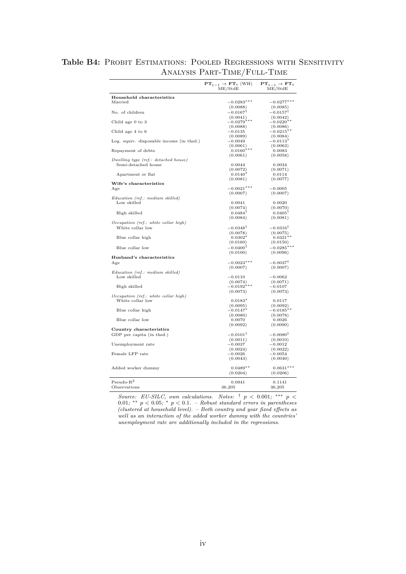|                                          | $PT_{t-1} \rightarrow FT_t$ (WH)<br>ME/StdE | ${\bf PT}_{t-1} \rightarrow {\bf FT}_{t}$<br>ME/StdE |
|------------------------------------------|---------------------------------------------|------------------------------------------------------|
| Household characteristics                |                                             |                                                      |
| Married                                  | $-0.0283***$                                | $-0.0277***$                                         |
|                                          | (0.0088)                                    | (0.0085)                                             |
| No. of children                          | $-0.0167$ <sup>T</sup>                      | $-0.0157$                                            |
|                                          | (0.0041)                                    | (0.0042)                                             |
| Child age 0 to 3                         | $-0.0279***$                                | $-0.0220**$                                          |
|                                          | (0.0088)                                    | (0.0086)                                             |
| Child age 4 to 6                         | $-0.0135$<br>(0.0089)                       | $-0.0215***$<br>(0.0084)                             |
| Log. equiv. disposable income (in thsd.) | $-0.0049$                                   | $-0.0113*$                                           |
|                                          | (0.0061)                                    | (0.0063)                                             |
| Repayment of debts                       | $0.0160***$                                 | 0.0083                                               |
|                                          | (0.0061)                                    | (0.0058)                                             |
| Dwelling type (ref.: detached house)     |                                             |                                                      |
| Semi-detached house                      | 0.0044                                      | 0.0034                                               |
| Apartment or flat                        | (0.0072)<br>$0.0140*$                       | (0.0071)<br>0.0114                                   |
|                                          | (0.0081)                                    | (0.0077)                                             |
| Wife's characteristics                   |                                             |                                                      |
| Age                                      | $-0.0021***$                                | $-0.0005$                                            |
|                                          | (0.0007)                                    | (0.0007)                                             |
| Education (ref.: medium skilled)         |                                             |                                                      |
| Low skilled                              | 0.0041                                      | 0.0020                                               |
|                                          | (0.0074)                                    | (0.0070)                                             |
| High skilled                             | $0.0484^{\dagger}$                          | $0.0405^{\dagger}$                                   |
| Occupation (ref.: white collar high)     | (0.0084)                                    | (0.0081)                                             |
| White collar low                         | $-0.0348^{\dagger}$                         | $-0.0316^{\dagger}$                                  |
|                                          | (0.0078)                                    | (0.0075)                                             |
| Blue collar high                         | $0.0302*$                                   | $0.0321**$                                           |
|                                          | (0.0160)                                    | (0.0150)                                             |
| Blue collar low                          | $-0.0400^{\dagger}$                         | $-0.0285***$                                         |
|                                          | (0.0100)                                    | (0.0096)                                             |
| Husband's characteristics                |                                             |                                                      |
| Age                                      | $-0.0023***$                                | $-0.0037^{\dagger}$                                  |
|                                          | (0.0007)                                    | (0.0007)                                             |
| Education (ref.: medium skilled)         |                                             |                                                      |
| Low skilled                              | $-0.0110$<br>(0.0074)                       | $-0.0062$<br>(0.0071)                                |
| High skilled                             | $-0.0192***$                                | $-0.0107$                                            |
|                                          | (0.0073)                                    | (0.0073)                                             |
| Occupation (ref.: white collar high)     |                                             |                                                      |
| White collar low                         | $0.0183*$                                   | 0.0117                                               |
|                                          | (0.0095)                                    | (0.0092)                                             |
| Blue collar high                         | $-0.0147*$                                  | $-0.0185**$                                          |
| Blue collar low                          | (0.0080)                                    | (0.0078)                                             |
|                                          | 0.0070<br>(0.0092)                          | 0.0026<br>(0.0090)                                   |
| Country characteristics                  |                                             |                                                      |
| GDP per capita (in thsd.)                | $-0.0101$ <sup>T</sup>                      | $-0.0080$ <sup>T</sup>                               |
|                                          | (0.0011)                                    | (0.0010)                                             |
| Unemployment rate                        | $-0.0037$                                   | $-0.0012$                                            |
|                                          | (0.0024)                                    | (0.0022)                                             |
| Female LFP rate                          | $-0.0026$                                   | $-0.0054$                                            |
|                                          | (0.0043)                                    | (0.0040)                                             |
|                                          | $0.0489**$                                  | $0.0631***$                                          |
| Added worker dummy                       | (0.0204)                                    | (0.0206)                                             |
|                                          |                                             |                                                      |
| $Pseudo-R2$                              | 0.0941                                      | 0.1141                                               |
| Observations                             | 36,205                                      | 36,205                                               |

### Table B4: PROBIT ESTIMATIONS: POOLED REGRESSIONS WITH SENSITIVITY Analysis Part-Time/Full-Time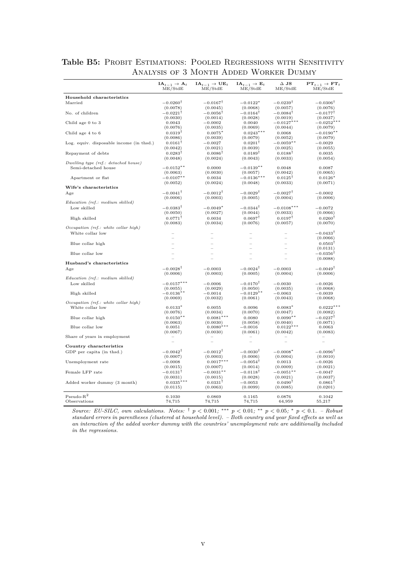|                                                             | $IA_{t-1} \rightarrow A_t$<br>ME/StdE | $IA_{t-1} \rightarrow UE_t$<br>ME/StdE | $IA_{t-1} \rightarrow E_t$<br>ME/StdE | $\Delta$ JS<br>ME/StdE | $PT_{t-1} \rightarrow FT_t$<br>ME/StdE |
|-------------------------------------------------------------|---------------------------------------|----------------------------------------|---------------------------------------|------------------------|----------------------------------------|
| Household characteristics                                   |                                       |                                        |                                       |                        |                                        |
| Married                                                     | $-0.0260^{\dagger}$                   | $-0.0167^{\dagger}$                    | $-0.0122*$                            | $-0.0239^{\dagger}$    | $-0.0306^{\dagger}$                    |
|                                                             | (0.0078)                              | (0.0045)                               | (0.0068)                              | (0.0057)               | (0.0076)                               |
| No. of children                                             | $-0.0221^{\dagger}$                   | $-0.0056^{\dagger}$                    | $-0.0164^{\dagger}$                   | $-0.0084^{\dagger}$    | $-0.0177^{\dagger}$                    |
|                                                             | (0.0030)                              | (0.0014)                               | (0.0028)                              | (0.0019)               | (0.0037)                               |
| Child age 0 to 3                                            | 0.0043<br>(0.0076)                    | $-0.0002$<br>(0.0035)                  | 0.0040<br>(0.0069)                    | $-0.0127*$<br>(0.0044) | $-0.0252*$<br>(0.0079)                 |
| Child age 4 to 6                                            | $0.0319$ <sup>T</sup>                 | $0.0075*$                              | $0.0243***$                           | 0.0068                 | $-0.0190**$                            |
|                                                             | (0.0086)                              | (0.0039)                               | (0.0079)                              | (0.0052)               | (0.0079)                               |
| Log. equiv. disposable income (in thsd.)                    | $0.0161$ <sup>T</sup>                 | $-0.0027$                              | $0.0201$ <sup>T</sup>                 | $-0.0059**$            | $-0.0029$                              |
|                                                             | (0.0042)                              | (0.0021)                               | (0.0039)                              | (0.0025)               | (0.0055)                               |
| Repayment of debts                                          | $0.0283$ <sup>T</sup>                 | $0.0086$ <sup>T</sup>                  | $0.0189^{\dagger}$                    | $0.0188$ <sup>T</sup>  | 0.0035                                 |
|                                                             | (0.0048)                              | (0.0024)                               | (0.0043)                              | (0.0033)               | (0.0054)                               |
| Dwelling type (ref.: detached house)<br>Semi-detached house | $-0.0152**$                           | 0.0000                                 | $-0.0139**$                           | 0.0048                 | 0.0087                                 |
|                                                             | (0.0063)                              | (0.0030)                               | (0.0057)                              | (0.0042)               | (0.0065)                               |
| Apartment or flat                                           | $-0.0107**$                           | 0.0034                                 | $-0.0136***$                          | $0.0125^{\dagger}$     | $0.0126*$                              |
|                                                             | (0.0052)                              | (0.0024)                               | (0.0048)                              | (0.0033)               | (0.0071)                               |
| Wife's characteristics                                      |                                       |                                        |                                       |                        |                                        |
| Age                                                         | $-0.0041^{\dagger}$                   | $-0.0012$ <sup>T</sup>                 | $-0.0029$ <sup>T</sup>                | $-0.0027$ <sup>T</sup> | $-0.0002$                              |
| Education (ref.: medium skilled)                            | (0.0006)                              | (0.0003)                               | (0.0005)                              | (0.0004)               | (0.0006)                               |
| Low skilled                                                 | $-0.0383^{\dagger}$                   | $-0.0049*$                             | $-0.0344^{\dagger}$                   | $-0.0108***$           | $-0.0072$                              |
|                                                             | (0.0050)                              | (0.0027)                               | (0.0044)                              | (0.0033)               | (0.0066)                               |
| High skilled                                                | $0.0771^{\dagger}$                    | 0.0034                                 | $0.0697^{\dagger}$                    | $0.0197^{\dagger}$     | $0.0260^{\dagger}$                     |
|                                                             | (0.0083)                              | (0.0034)                               | (0.0076)                              | (0.0057)               | (0.0070)                               |
| Occupation (ref.: white collar high)                        |                                       |                                        |                                       |                        |                                        |
| White collar low                                            |                                       | $\sim$                                 |                                       |                        | $-0.0433^{\dagger}$                    |
|                                                             |                                       |                                        |                                       |                        | (0.0066)<br>$0.0503^{\dagger}$         |
| Blue collar high                                            |                                       |                                        |                                       |                        | (0.0131)                               |
| Blue collar low                                             |                                       |                                        |                                       |                        | $-0.0356^{\dagger}$                    |
|                                                             |                                       |                                        |                                       |                        | (0.0088)                               |
| Husband's characteristics                                   |                                       |                                        |                                       |                        |                                        |
| Age                                                         | $-0.0028^{\dagger}$                   | $-0.0003$                              | $-0.0024^{\dagger}$                   | $-0.0003$              | $-0.0049^{\dagger}$                    |
|                                                             | (0.0006)                              | (0.0003)                               | (0.0005)                              | (0.0004)               | (0.0006)                               |
| Education (ref.: medium skilled)                            | $-0.0157***$                          | $-0.0006$                              | $-0.0170^{\dagger}$                   | $-0.0030$              |                                        |
| Low skilled                                                 | (0.0055)                              | (0.0029)                               | (0.0050)                              | (0.0035)               | $-0.0026$<br>(0.0068)                  |
| High skilled                                                | $-0.0136**$                           | $-0.0014$                              | $-0.0129**$                           | $-0.0063$              | $-0.0039$                              |
|                                                             | (0.0069)                              | (0.0032)                               | (0.0061)                              | (0.0043)               | (0.0068)                               |
| Occupation (ref.: white collar high)                        |                                       |                                        |                                       |                        |                                        |
| White collar low                                            | $0.0133*$                             | 0.0055                                 | 0.0096                                | $0.0083*$              | $0.0222***$                            |
| Blue collar high                                            | (0.0076)<br>$0.0150**$                | (0.0034)<br>$0.0081**$                 | (0.0070)<br>0.0080                    | (0.0047)<br>$0.0090**$ | (0.0082)<br>$-0.0237$ <sup>T</sup>     |
|                                                             | (0.0063)                              | (0.0030)                               | (0.0058)                              | (0.0040)               | (0.0071)                               |
| Blue collar low                                             | 0.0051                                | $0.0080**$                             | $-0.0016$                             | $0.0122*$              | 0.0063                                 |
|                                                             | (0.0067)                              | (0.0030)                               | (0.0061)                              | (0.0042)               | (0.0083)                               |
| Share of years in employment                                |                                       |                                        |                                       |                        |                                        |
| Country characteristics                                     |                                       |                                        |                                       |                        |                                        |
| GDP per capita (in thsd.)                                   | $-0.0042^{\dagger}$                   | $-0.0012$ <sup>T</sup>                 | $-0.0030^{\dagger}$                   | $-0.0008*$             | $-0.0096$ <sup>T</sup>                 |
|                                                             | (0.0007)                              | (0.0003)                               | (0.0006)                              | (0.0004)               | (0.0010)                               |
| Unemployment rate                                           | $-0.0008$                             | $0.0017***$                            | $-0.0054^{\dagger}$                   | 0.0013                 | $-0.0026$                              |
|                                                             | (0.0015)                              | (0.0007)                               | (0.0014)                              | (0.0009)               | (0.0021)                               |
| Female LFP rate                                             | $-0.0131^{\dagger}$                   | $-0.0031**$                            | $-0.0118^{\dagger}$                   | $-0.0051**$            | $-0.0047$                              |
|                                                             | (0.0031)                              | (0.0015)                               | (0.0028)                              | (0.0021)               | (0.0037)                               |
| Added worker dummy (3 month)                                | $0.0335***$                           | $0.0331$ <sup>T</sup>                  | $-0.0053$                             | $0.0490$ <sup>T</sup>  | $0.0861$ <sup>T</sup>                  |
|                                                             | (0.0115)                              | (0.0063)                               | (0.0099)                              | (0.0085)               | (0.0201)                               |
| $Pseudo-R2$                                                 | 0.1030                                | 0.0869                                 | 0.1165                                | 0.0876                 | 0.1042                                 |
| Observations                                                | 74,715                                | 74,715                                 | 74,715                                | 64,959                 | 55,217                                 |

Table B5: PROBIT ESTIMATIONS: POOLED REGRESSIONS WITH SENSITIVITY Analysis of 3 Month Added Worker Dummy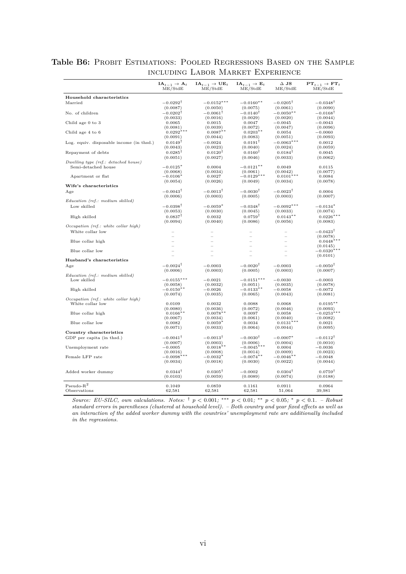|                                          | $IA_{t-1} \rightarrow A_t$<br>ME/StdE | $IA_{t-1} \rightarrow UE_t$<br>ME/StdE | $IA_{t-1} \rightarrow E_t$<br>ME/StdE | $\Delta$ JS<br>ME/StdE   | ${\bf PT}_{t-1} \rightarrow {\bf FT}_{t}$<br>ME/StdE |
|------------------------------------------|---------------------------------------|----------------------------------------|---------------------------------------|--------------------------|------------------------------------------------------|
| Household characteristics                |                                       |                                        |                                       |                          |                                                      |
| Married                                  | $-0.0292^{\dagger}$                   | $-0.0152***$                           | $-0.0160**$                           | $-0.0205^{\dagger}$      | $-0.0348^{\dagger}$                                  |
|                                          | (0.0087)                              | (0.0050)                               | (0.0075)                              | (0.0061)                 | (0.0090)                                             |
| No. of children                          | $-0.0202$ <sup>T</sup>                | $-0.0061^{\dagger}$                    | $-0.0140^{\dagger}$                   | $-0.0050**$              | $-0.0168^{\dagger}$                                  |
|                                          | (0.0033)                              | (0.0016)                               | (0.0029)                              | (0.0020)                 | (0.0044)                                             |
| Child age 0 to 3                         | 0.0065                                | 0.0015                                 | 0.0047                                | $-0.0045$                | $-0.0043$                                            |
|                                          | (0.0081)                              | (0.0039)                               | (0.0072)                              | (0.0047)                 | (0.0096)                                             |
| Child age 4 to 6                         | $0.0292*$                             | $0.0087**$                             | $0.0203**$                            | 0.0054                   | $-0.0060$                                            |
| Log. equiv. disposable income (in thsd.) | (0.0091)<br>$0.0149$ <sup>T</sup>     | (0.0044)<br>$-0.0024$                  | (0.0083)<br>$0.0191$ <sup>T</sup>     | (0.0051)<br>$-0.0063***$ | (0.0093)<br>0.0012                                   |
|                                          | (0.0043)                              | (0.0023)                               | (0.0040)                              | (0.0024)                 | (0.0059)                                             |
| Repayment of debts                       | $0.0285^{\dagger}$                    | $0.0120^{\dagger}$                     | $0.0160^{\dagger}$                    | $0.0184^{\dagger}$       | 0.0045                                               |
|                                          | (0.0051)                              | (0.0027)                               | (0.0046)                              | (0.0033)                 | (0.0062)                                             |
| Dwelling type (ref.: detached house)     |                                       |                                        |                                       |                          |                                                      |
| Semi-detached house                      | $-0.0125*$                            | 0.0004                                 | $-0.0121***$                          | 0.0049                   | 0.0115                                               |
|                                          | (0.0068)                              | (0.0034)                               | (0.0061)                              | (0.0042)                 | (0.0077)                                             |
| Apartment or flat                        | $-0.0106*$                            | 0.0027                                 | $-0.0129$ <sup>***</sup>              | $0.0101*$                | 0.0084                                               |
|                                          | (0.0054)                              | (0.0026)                               | (0.0049)                              | (0.0034)                 | (0.0078)                                             |
| Wife's characteristics                   |                                       |                                        |                                       |                          |                                                      |
| Age                                      | $-0.0043$ <sup>T</sup>                | $-0.0013^{\dagger}$                    | $-0.0030$ <sup>T</sup>                | $-0.0023$ <sup>T</sup>   | 0.0004                                               |
| Education (ref.: medium skilled)         | (0.0006)                              | (0.0003)                               | (0.0005)                              | (0.0003)                 | (0.0007)                                             |
| Low skilled                              | $-0.0398$ <sup>T</sup>                | $-0.0059*$                             | $-0.0348$                             | $-0.0092***$             | $-0.0134*$                                           |
|                                          | (0.0053)                              | (0.0030)                               | (0.0045)                              | (0.0033)                 | (0.0074)                                             |
| High skilled                             | $0.0837^{\dagger}$                    | 0.0032                                 | $0.0759^{\dagger}$                    | $0.0143**$               | $0.0226***$                                          |
|                                          | (0.0094)                              | (0.0040)                               | (0.0086)                              | (0.0056)                 | (0.0083)                                             |
| Occupation (ref.: white collar high)     |                                       |                                        |                                       |                          |                                                      |
| White collar low                         |                                       |                                        |                                       |                          | $-0.0423^{\dagger}$                                  |
|                                          |                                       |                                        |                                       |                          | (0.0078)                                             |
| Blue collar high                         |                                       |                                        |                                       |                          | $0.0448***$                                          |
|                                          |                                       | $\frac{1}{2}$                          |                                       |                          | (0.0145)                                             |
| Blue collar low                          |                                       |                                        |                                       |                          | $-0.0320***$                                         |
|                                          |                                       |                                        |                                       |                          | (0.0101)                                             |
| Husband's characteristics                |                                       |                                        |                                       |                          |                                                      |
| Age                                      | $-0.0024$ <sup>T</sup>                | $-0.0003$                              | $-0.0020$ <sup>T</sup>                | $-0.0003$                | $-0.0050$ <sup>T</sup>                               |
| Education (ref.: medium skilled)         | (0.0006)                              | (0.0003)                               | (0.0005)                              | (0.0003)                 | (0.0007)                                             |
| Low skilled                              | $-0.0155***$                          | $-0.0021$                              | $-0.0151***$                          | $-0.0030$                | $-0.0003$                                            |
|                                          | (0.0058)                              | (0.0032)                               | (0.0051)                              | (0.0035)                 | (0.0078)                                             |
| High skilled                             | $-0.0150**$                           | $-0.0026$                              | $-0.0133**$                           | $-0.0058$                | $-0.0072$                                            |
|                                          | (0.0074)                              | (0.0035)                               | (0.0065)                              | (0.0043)                 | (0.0081)                                             |
| Occupation (ref.: white collar high)     |                                       |                                        |                                       |                          |                                                      |
| White collar low                         | 0.0109                                | 0.0032                                 | 0.0088                                | 0.0068                   | $0.0195**$                                           |
|                                          | (0.0080)                              | (0.0036)                               | (0.0072)                              | (0.0046)                 | (0.0093)                                             |
| Blue collar high                         | $0.0166**$                            | $0.0078**$                             | 0.0097<br>(0.0061)                    | 0.0058                   | $-0.0253***$                                         |
| Blue collar low                          | (0.0067)<br>0.0082                    | (0.0034)<br>$0.0059*$                  | 0.0034                                | (0.0040)<br>$0.0131***$  | (0.0082)<br>0.0021                                   |
|                                          | (0.0071)                              | (0.0033)                               | (0.0064)                              | (0.0044)                 | (0.0095)                                             |
| Country characteristics                  |                                       |                                        |                                       |                          |                                                      |
| GDP per capita (in thsd.)                | $-0.0041^{\dagger}$                   | $-0.0013$ <sup>T</sup>                 | $-0.0030$ <sup>T</sup>                | $-0.0007*$               | $-0.0112$ <sup>T</sup>                               |
|                                          | (0.0007)                              | (0.0003)                               | (0.0006)                              | (0.0004)                 | (0.0010)                                             |
| Unemployment rate                        | $-0.0005$                             | $0.0018**$                             | $-0.0045***$                          | 0.0004                   | $-0.0036$                                            |
|                                          | (0.0016)                              | (0.0008)                               | (0.0014)                              | (0.0009)                 | (0.0023)                                             |
| Female LFP rate                          | **<br>$-0.0098*$                      | $-0.0032*$                             | $-0.0074**$                           | $-0.0046$ **             | $-0.0048$                                            |
|                                          | (0.0034)                              | (0.0018)                               | (0.0030)                              | (0.0022)                 | (0.0044)                                             |
|                                          |                                       |                                        |                                       |                          |                                                      |
| Added worker dummy                       | $0.0344$ <sup>T</sup>                 | $0.0305$ <sup>T</sup>                  | $-0.0002$                             | $0.0304$ <sup>T</sup>    | $0.0759^{\dagger}$                                   |
|                                          | (0.0103)                              | (0.0059)                               | (0.0089)                              | (0.0074)                 | (0.0188)                                             |
| $\mbox{Pseudo-R}^2$                      | 0.1049                                | 0.0859                                 | 0.1161                                | 0.0911                   | 0.0964                                               |
| Observations                             | 62,581                                | 62,581                                 | 62,581                                | 51,064                   | 39,981                                               |
|                                          |                                       |                                        |                                       |                          |                                                      |

Table B6: PROBIT ESTIMATIONS: POOLED REGRESSIONS BASED ON THE SAMPLE including Labor Market Experience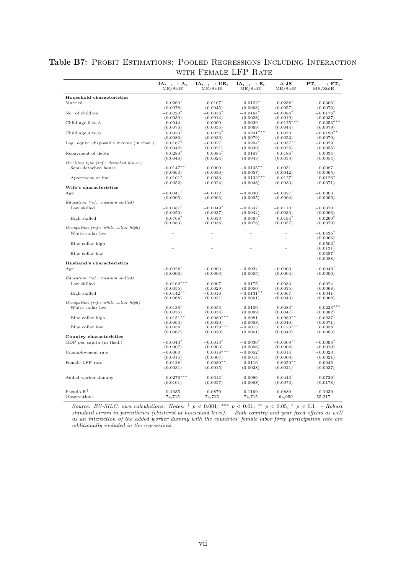|                                          | $IA_{t-1} \rightarrow A_t$<br>ME/StdE | $IA_{t-1} \rightarrow UE_t$<br>ME/StdE | $IA_{t-1} \rightarrow E_t$<br>ME/StdE | $\Delta$ JS<br>ME/StdE         | $PT_{t-1} \rightarrow FT_t$<br>ME/StdE |
|------------------------------------------|---------------------------------------|----------------------------------------|---------------------------------------|--------------------------------|----------------------------------------|
| Household characteristics                |                                       |                                        |                                       |                                |                                        |
| Married                                  | $-0.0260^{\dagger}$                   | $-0.0167^{\dagger}$                    | $-0.0122*$                            | $-0.0238^{\dagger}$            | $-0.0306^{\dagger}$                    |
|                                          | (0.0078)                              | (0.0045)                               | (0.0068)                              | (0.0057)                       | (0.0076)                               |
| No. of children                          | $-0.0220$ <sup>T</sup>                | $-0.0056^{\dagger}$                    | $-0.0164^{\dagger}$                   | $-0.0084^{\dagger}$            | $-0.0176$ <sup>T</sup>                 |
|                                          | (0.0030)                              | (0.0014)                               | (0.0028)                              | (0.0019)                       | (0.0037)                               |
| Child age 0 to 3                         | 0.0044<br>(0.0076)                    | 0.0000<br>(0.0035)                     | 0.0039<br>(0.0069)                    | $-0.0125***$<br>(0.0044)       | $-0.0253**$<br>(0.0079)                |
| Child age 4 to 6                         | $0.0320^{\dagger}$                    | $0.0076*$                              | $0.0241***$                           | 0.0070                         | $-0.0190**$                            |
|                                          | (0.0086)                              | (0.0039)                               | (0.0079)                              | (0.0052)                       | (0.0079)                               |
| Log. equiv. disposable income (in thsd.) | $0.0167$ <sup>T</sup>                 | $-0.0027$                              | $0.0204$ <sup>T</sup>                 | $-0.0057***$                   | $-0.0029$                              |
|                                          | (0.0042)                              | (0.0021)                               | (0.0039)                              | (0.0025)                       | (0.0055)                               |
| Repayment of debts                       | $0.0280$ <sup>T</sup>                 | $0.0085$ <sup>T</sup>                  | $0.0187^{\dagger}$                    | $0.0186$ <sup>T</sup>          | 0.0034                                 |
|                                          | (0.0048)                              | (0.0024)                               | (0.0043)                              | (0.0033)                       | (0.0054)                               |
| Dwelling type (ref.: detached house)     |                                       |                                        |                                       |                                |                                        |
| Semi-detached house                      | $-0.0147***$<br>(0.0063)              | 0.0000<br>(0.0030)                     | $-0.0135***$<br>(0.0057)              | 0.0051<br>(0.0042)             | 0.0087<br>(0.0065)                     |
| Apartment or flat                        | $-0.0101*$                            | 0.0033                                 | $-0.0132***$                          | $0.0127^{\dagger}$             | $0.0126*$                              |
|                                          | (0.0052)                              | (0.0024)                               | (0.0048)                              | (0.0033)                       | (0.0071)                               |
| Wife's characteristics                   |                                       |                                        |                                       |                                |                                        |
| Age                                      | $-0.0041^{\dagger}$                   | $-0.0012$ <sup>T</sup>                 | $-0.0030$ <sup>T</sup>                | $-0.0027^{\dagger}$            | $-0.0003$                              |
|                                          | (0.0006)                              | (0.0003)                               | (0.0005)                              | (0.0004)                       | (0.0006)                               |
| Education (ref.: medium skilled)         |                                       |                                        |                                       |                                |                                        |
| Low skilled                              | $-0.0387^{\dagger}$                   | $-0.0049*$                             | $-0.0347^{\dagger}$                   | $-0.0110^{\dagger}$            | $-0.0070$                              |
|                                          | (0.0050)                              | (0.0027)                               | (0.0044)                              | (0.0033)                       | (0.0066)                               |
| High skilled                             | $0.0768^{\dagger}$<br>(0.0083)        | 0.0033<br>(0.0034)                     | $0.0695^{\dagger}$<br>(0.0076)        | $0.0194^{\dagger}$<br>(0.0057) | $0.0260^{\dagger}$<br>(0.0070)         |
| Occupation (ref.: white collar high)     |                                       |                                        |                                       |                                |                                        |
| White collar low                         |                                       |                                        |                                       |                                | $-0.0435^{\dagger}$                    |
|                                          |                                       |                                        |                                       |                                | (0.0066)                               |
| Blue collar high                         |                                       |                                        |                                       |                                | $0.0502^{\dagger}$                     |
|                                          |                                       |                                        |                                       |                                | (0.0131)                               |
| Blue collar low                          |                                       |                                        |                                       |                                | $-0.0357^{\dagger}$                    |
|                                          |                                       |                                        |                                       |                                | (0.0088)                               |
| Husband's characteristics                |                                       |                                        |                                       |                                |                                        |
| Age                                      | $-0.0028^{\dagger}$<br>(0.0006)       | $-0.0003$<br>(0.0003)                  | $-0.0024^{\dagger}$<br>(0.0005)       | $-0.0003$<br>(0.0004)          | $-0.0049^{\dagger}$<br>(0.0006)        |
| Education (ref.: medium skilled)         |                                       |                                        |                                       |                                |                                        |
| Low skilled                              | $-0.0162***$                          | $-0.0007$                              | $-0.0175^{\dagger}$                   | $-0.0033$                      | $-0.0024$                              |
|                                          | (0.0055)                              | (0.0029)                               | (0.0050)                              | (0.0035)                       | (0.0068)                               |
| High skilled                             | $-0.0142**$                           | $-0.0016$                              | $-0.0131**$                           | $-0.0067$                      | $-0.0041$                              |
|                                          | (0.0068)                              | (0.0031)                               | (0.0061)                              | (0.0043)                       | (0.0068)                               |
| Occupation (ref.: white collar high)     |                                       |                                        |                                       |                                | $0.0223***$                            |
| White collar low                         | $0.0136*$<br>(0.0076)                 | 0.0053<br>(0.0034)                     | 0.0100<br>(0.0069)                    | $0.0083*$<br>(0.0047)          | (0.0082)                               |
| Blue collar high                         | $0.0151**$                            | $0.0080***$                            | 0.0081                                | $0.0089**$                     | $-0.0237^{\dagger}$                    |
|                                          | (0.0063)                              | (0.0030)                               | (0.0058)                              | (0.0040)                       | (0.0071)                               |
| Blue collar low                          | 0.0054                                | $0.0079*$                              | $-0.0013$                             | $0.0123***$                    | 0.0058                                 |
|                                          | (0.0067)                              | (0.0030)                               | (0.0061)                              | (0.0042)                       | (0.0083)                               |
| Country characteristics                  |                                       |                                        |                                       |                                |                                        |
| GDP per capita (in thsd.)                | $-0.0043^{\dagger}$                   | $-0.0013^{\dagger}$                    | $-0.0030^{\dagger}$                   | $-0.0009$ **                   | $-0.0096^{\dagger}$                    |
|                                          | (0.0007)                              | (0.0003)                               | (0.0006)                              | (0.0004)                       | (0.0010)                               |
| Unemployment rate                        | $-0.0003$<br>(0.0015)                 | $0.0018***$<br>(0.0007)                | $-0.0052^{\dagger}$<br>(0.0014)       | 0.0014<br>(0.0009)             | $-0.0023$<br>(0.0021)                  |
| Female LFP rate                          | $-0.0128$ <sup>T</sup>                | $-0.0030**$                            | $-0.0116$ <sup>T</sup>                | $-0.0050**$                    | $-0.0046$                              |
|                                          | (0.0031)                              | (0.0015)                               | (0.0028)                              | (0.0021)                       | (0.0037)                               |
|                                          |                                       |                                        |                                       |                                |                                        |
| Added worker dummy                       | $0.0276***$                           | $0.0313$ <sup>T</sup>                  | $-0.0096$                             | $0.0443$ <sup>T</sup>          | $0.0726^{\dagger}$                     |
|                                          | (0.0101)                              | (0.0057)                               | (0.0088)                              | (0.0073)                       | (0.0178)                               |
|                                          |                                       |                                        |                                       |                                |                                        |
| $Pseudo-R2$<br>Observations              | 0.1035                                | 0.0870                                 | 0.1169                                | 0.0880                         | 0.1039                                 |
|                                          | 74,715                                | 74,715                                 | 74,715                                | 64,959                         | 55,217                                 |

Table B7: PROBIT ESTIMATIONS: POOLED REGRESSIONS INCLUDING INTERACTION WITH FEMALE LFP RATE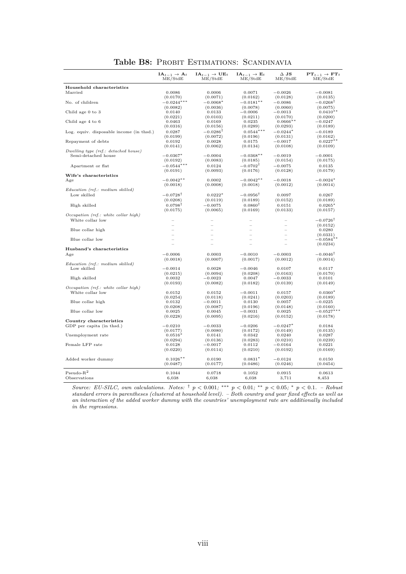|                                          | $IA_{t-1} \rightarrow A_t$<br>ME/StdE | $IA_{t-1} \rightarrow UE_t$<br>ME/StdE | $IA_{t-1} \rightarrow E_t$<br>ME/StdE | $\Delta$ JS<br>ME/StdE | $PT_{t-1} \rightarrow FT_t$<br>ME/StdE |
|------------------------------------------|---------------------------------------|----------------------------------------|---------------------------------------|------------------------|----------------------------------------|
| Household characteristics                |                                       |                                        |                                       |                        |                                        |
| Married                                  | 0.0086                                | 0.0006                                 | 0.0071                                | $-0.0026$              | $-0.0081$                              |
|                                          | (0.0170)                              | (0.0071)                               | (0.0162)                              | (0.0128)               | (0.0135)                               |
| No. of children                          | $-0.0244***$                          | $-0.0068*$                             | $-0.0181***$                          | $-0.0086$              | $-0.0268$ <sup>T</sup>                 |
|                                          | (0.0082)                              | (0.0036)                               | (0.0078)                              | (0.0060)               | (0.0075)                               |
| Child age 0 to 3                         | 0.0140                                | 0.0133                                 | $-0.0006$                             | $-0.0013$              | $0.0410**$                             |
|                                          | (0.0221)                              | (0.0103)                               | (0.0211)                              | (0.0170)               | (0.0200)                               |
| Child age 4 to 6                         | 0.0463                                | 0.0169                                 | 0.0235                                | $0.0666**$             | $-0.0247$                              |
|                                          | (0.0316)                              | (0.0156)                               | (0.0289)                              | (0.0293)               | (0.0189)                               |
| Log. equiv. disposable income (in thsd.) | 0.0287                                | $-0.0286$ <sup>T</sup>                 | $0.0544***$                           | $-0.0244*$             | $-0.0189$                              |
| Repayment of debts                       | (0.0199)                              | (0.0072)<br>0.0028                     | (0.0196)<br>0.0175                    | (0.0131)<br>$-0.0017$  | (0.0162)<br>$0.0227**$                 |
|                                          | 0.0192<br>(0.0141)                    | (0.0062)                               | (0.0134)                              | (0.0108)               | (0.0109)                               |
| Dwelling type (ref.: detached house)     |                                       |                                        |                                       |                        |                                        |
| Semi-detached house                      | $-0.0367*$                            | $-0.0004$                              | $-0.0368**$                           | $-0.0019$              | $-0.0001$                              |
|                                          | (0.0192)                              | (0.0083)                               | (0.0185)                              | (0.0154)               | (0.0175)                               |
| Apartment or flat                        | $-0.0544***$                          | 0.0124                                 | $-0.0702$ <sup>T</sup>                | $-0.0075$              | 0.0135                                 |
|                                          | (0.0191)                              | (0.0093)                               | (0.0176)                              | (0.0128)               | (0.0179)                               |
| Wife's characteristics                   |                                       |                                        |                                       |                        |                                        |
| Age                                      | $-0.0042$ **                          | 0.0002                                 | $-0.0042**$                           | $-0.0018$              | $-0.0024*$                             |
|                                          | (0.0018)                              | (0.0008)                               | (0.0018)                              | (0.0012)               | (0.0014)                               |
| Education (ref.: medium skilled)         |                                       |                                        |                                       |                        |                                        |
| Low skilled                              | $-0.0728$ †                           | $0.0222*$                              | $-0.0956^{\dagger}$                   | 0.0097                 | 0.0267                                 |
|                                          | (0.0208)                              | (0.0119)                               | (0.0189)                              | (0.0152)               | (0.0189)                               |
| High skilled                             | $0.0798^{\dagger}$                    | $-0.0075$                              | $0.0860^{\dagger}$                    | 0.0151                 | $0.0265*$                              |
|                                          | (0.0175)                              | (0.0065)                               | (0.0169)                              | (0.0133)               | (0.0157)                               |
| Occupation (ref.: white collar high)     |                                       |                                        |                                       |                        |                                        |
| White collar low                         |                                       |                                        |                                       |                        | $-0.0726$ <sup>T</sup>                 |
| Blue collar high                         |                                       |                                        |                                       |                        | (0.0152)<br>0.0280                     |
|                                          |                                       |                                        |                                       |                        | (0.0331)                               |
| Blue collar low                          |                                       | $\overline{\phantom{0}}$               |                                       |                        | $-0.0584**$                            |
|                                          |                                       |                                        |                                       |                        | (0.0234)                               |
| Husband's characteristics                |                                       |                                        |                                       |                        |                                        |
| Age                                      | $-0.0006$                             | 0.0003                                 | $-0.0010$                             | $-0.0003$              | $-0.0046^{\dagger}$                    |
|                                          | (0.0018)                              | (0.0007)                               | (0.0017)                              | (0.0012)               | (0.0014)                               |
| Education (ref.: medium skilled)         |                                       |                                        |                                       |                        |                                        |
| Low skilled                              | $-0.0014$                             | 0.0028                                 | $-0.0046$                             | 0.0107                 | 0.0117                                 |
|                                          | (0.0215)                              | (0.0094)                               | (0.0208)                              | (0.0163)               | (0.0170)                               |
| High skilled                             | 0.0032<br>(0.0193)                    | $-0.0023$<br>(0.0082)                  | 0.0047<br>(0.0182)                    | $-0.0033$<br>(0.0139)  | 0.0101<br>(0.0149)                     |
| Occupation (ref.: white collar high)     |                                       |                                        |                                       |                        |                                        |
| White collar low                         | 0.0152                                | 0.0152                                 | $-0.0011$                             | 0.0157                 | $0.0360*$                              |
|                                          | (0.0254)                              | (0.0118)                               | (0.0241)                              | (0.0203)               | (0.0189)                               |
| Blue collar high                         | 0.0132                                | $-0.0011$                              | 0.0130                                | 0.0057                 | $-0.0225$                              |
|                                          | (0.0208)                              | (0.0087)                               | (0.0196)                              | (0.0148)               | (0.0160)                               |
| Blue collar low                          | 0.0025                                | 0.0045                                 | $-0.0031$                             | 0.0025                 | $-0.0527$                              |
|                                          | (0.0228)                              | (0.0095)                               | (0.0216)                              | (0.0152)               | (0.0178)                               |
| Country characteristics                  |                                       |                                        |                                       |                        |                                        |
| GDP per capita (in thsd.)                | $-0.0210$                             | $-0.0033$                              | $-0.0206$                             | $-0.0247*$             | 0.0184                                 |
| Unemployment rate                        | (0.0177)                              | (0.0080)<br>0.0141                     | (0.0172)<br>0.0342                    | (0.0149)<br>0.0240     | (0.0135)<br>0.0287                     |
|                                          | $0.0516*$<br>(0.0294)                 | (0.0136)                               | (0.0283)                              | (0.0210)               | (0.0239)                               |
| Female LFP rate                          | 0.0128                                | $-0.0017$                              | 0.0112                                | $-0.0164$              | 0.0221                                 |
|                                          | (0.0220)                              | (0.0114)                               | (0.0210)                              | (0.0192)               | (0.0169)                               |
|                                          |                                       |                                        |                                       |                        |                                        |
| Added worker dummy                       | $0.1026**$                            | 0.0190                                 | $0.0831*$                             | $-0.0124$              | 0.0150                                 |
|                                          | (0.0487)                              | (0.0177)                               | (0.0486)                              | (0.0246)               | (0.0454)                               |
|                                          |                                       |                                        |                                       |                        |                                        |
| $Pseudo-R2$<br>Observations              | 0.1044<br>6,038                       | 0.0718                                 | 0.1052                                | 0.0915                 | 0.0613                                 |
|                                          |                                       | 6,038                                  | 6,038                                 | 3,711                  | 8,453                                  |

Table B8: PROBIT ESTIMATIONS: SCANDINAVIA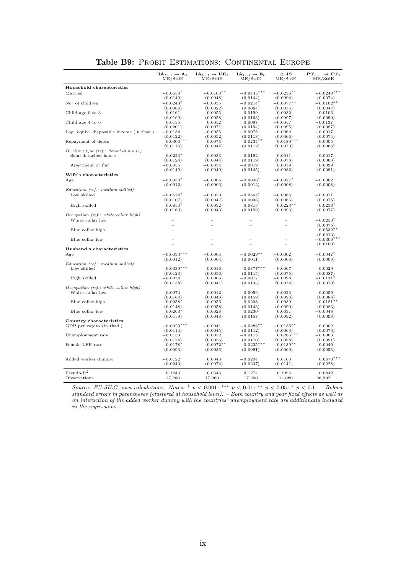| Household characteristics<br>$-0.0558^{\dagger}$<br>Married<br>$-0.0103**$<br>$-0.0445***$<br>$-0.0236**$<br>$-0.0240***$<br>(0.0149)<br>(0.0048)<br>(0.0144)<br>(0.0094)<br>(0.0074)<br>$-0.0243^\dagger$<br>$-0.0214$ <sup>T</sup><br>$-0.0077**$<br>$-0.0102**$<br>No. of children<br>$-0.0035$<br>(0.0066)<br>(0.0022)<br>(0.0064)<br>(0.0044)<br>(0.0035)<br>Child age 0 to 3<br>$-0.0161$<br>0.0056<br>$-0.0199$<br>$-0.0032$<br>$-0.0106$<br>(0.0169)<br>(0.0058)<br>(0.0163)<br>(0.0090)<br>(0.0097)<br>Child age 4 to 6<br>0.0052<br>0.0097<br>$-0.0137$<br>0.0135<br>$-0.0057$<br>(0.0201)<br>(0.0071)<br>(0.0194)<br>(0.0095)<br>(0.0087)<br>Log. equiv. disposable income (in thsd.)<br>$-0.0134$<br>$-0.0055$<br>$-0.0075$<br>$-0.0062$<br>$-0.0017$<br>(0.0122)<br>(0.0052)<br>(0.0113)<br>(0.0066)<br>(0.0074)<br>$0.0303***$<br>$0.0189***$<br>$0.0234**$<br>Repayment of debts<br>$0.0075*$<br>0.0005<br>(0.0116)<br>(0.0044)<br>(0.0112)<br>(0.0070)<br>(0.0066)<br>Dwelling type (ref.: detached house)<br>Semi-detached house<br>$-0.0223*$<br>$-0.0033$<br>$-0.0192$<br>0.0011<br>0.0017<br>(0.0124)<br>(0.0044)<br>(0.0119)<br>(0.0078)<br>(0.0068)<br>$-0.0055$<br>$-0.0034$<br>$-0.0019$<br>0.0039<br>0.0099<br>Apartment or flat<br>(0.0149)<br>(0.0049)<br>(0.0145)<br>(0.0082)<br>(0.0091)<br>Wife's characteristics<br>$-0.0053^{\dagger}$<br>$-0.0048^{\dagger}$<br>$-0.0027^{\dagger}$<br>$-0.0005$<br>$-0.0002$<br>Age<br>(0.0012)<br>(0.0003)<br>(0.0012)<br>(0.0008)<br>(0.0008)<br>Education (ref.: medium skilled)<br>$-0.0565^{\dagger}$<br>Low skilled<br>$-0.0574^{\dagger}$<br>$-0.0020$<br>$-0.0065$<br>$-0.0071$<br>(0.0107)<br>(0.0047)<br>(0.0098)<br>(0.0066)<br>(0.0075)<br>$0.0853^{\dagger}$<br>0.0032<br>$0.0815^{\dagger}$<br>$0.0223**$<br>$0.0253^{\dagger}$<br>High skilled<br>(0.0163)<br>(0.0043)<br>(0.0159)<br>(0.0093)<br>(0.0077)<br>Occupation (ref.: white collar high)<br>White collar low<br>$-0.0253$ <sup>T</sup><br>L<br>L.<br>$\equiv$<br>(0.0075)<br>Blue collar high<br>$0.0532*$<br>L<br>(0.0213)<br>$-0.0306***$<br>Blue collar low<br>(0.0100)<br>Husband's characteristics<br>$-0.0033***$<br>$-0.0004$<br>$-0.0029**$<br>$-0.0002$<br>$-0.0047^{\dagger}$<br>Age<br>(0.0004)<br>(0.0011)<br>(0.0008)<br>(0.0008)<br>(0.0012)<br>Education (ref.: medium skilled)<br>$-0.0339***$<br>Low skilled<br>$-0.0377***$<br>$-0.0067$<br>0.0016<br>0.0029<br>(0.0123)<br>(0.0056)<br>(0.0115)<br>(0.0075)<br>(0.0087)<br>$-0.0074$<br>0.0006<br>$-0.0077$<br>High skilled<br>$-0.0098$<br>$-0.0131*$<br>(0.0041)<br>(0.0138)<br>(0.0133)<br>(0.0074)<br>(0.0070)<br>Occupation (ref.: white collar high)<br>White collar low<br>$-0.0074$<br>$-0.0012$<br>$-0.0059$<br>$-0.0023$<br>0.0059<br>(0.0164)<br>(0.0048)<br>(0.0159)<br>(0.0098)<br>(0.0086)<br>Blue collar high<br>$0.0258*$<br>0.0056<br>0.0208<br>$-0.0039$<br>$-0.0181**$<br>(0.0148)<br>(0.0058)<br>(0.0090)<br>(0.0143)<br>(0.0083)<br>Blue collar low<br>$0.0263*$<br>0.0028<br>0.0230<br>0.0031<br>$-0.0048$<br>(0.0092)<br>(0.0159)<br>(0.0048)<br>(0.0157)<br>(0.0098)<br>Country characteristics<br>$-0.0329***$<br>$-0.0286**$<br>$-0.0135**$<br>GDP per capita (in thsd.)<br>$-0.0041$<br>0.0002<br>(0.0114)<br>(0.0045)<br>(0.0112)<br>(0.0063)<br>(0.0070)<br>$0.0266***$<br>Unemployment rate<br>$-0.0133$<br>0.0052<br>$-0.0115$<br>$-0.0063$<br>(0.0098)<br>(0.0174)<br>(0.0056)<br>(0.0170)<br>(0.0091)<br>$0.0072**$<br>$0.0139**$<br>Female LFP rate<br>$-0.0178^*$<br>$-0.0235*$<br>$-0.0040$<br>(0.0093)<br>(0.0036)<br>(0.0091)<br>(0.0060)<br>(0.0053)<br>$0.0670***$<br>Added worker dummy<br>$-0.0122$<br>0.0043<br>$-0.0204$<br>0.0103<br>(0.0243)<br>(0.0074)<br>(0.0237)<br>(0.0141)<br>(0.0228)<br>$Pseudo-R2$<br>0.1243<br>0.0646<br>0.1096<br>0.0842<br>0.1274<br>Observations<br>17,260<br>17,260<br>17,260<br>14,080<br>26,902 | $IA_{t-1} \rightarrow A_t$<br>ME/StdE | $\mathbf{IA}_{t-1} \rightarrow \mathbf{UE}_{t}$<br>ME/StdE | $IA_{t-1} \rightarrow E_t$<br>ME/StdE | $\Delta$ JS<br>ME/StdE | $PT_{t-1} \rightarrow FT_t$<br>ME/StdE |
|---------------------------------------------------------------------------------------------------------------------------------------------------------------------------------------------------------------------------------------------------------------------------------------------------------------------------------------------------------------------------------------------------------------------------------------------------------------------------------------------------------------------------------------------------------------------------------------------------------------------------------------------------------------------------------------------------------------------------------------------------------------------------------------------------------------------------------------------------------------------------------------------------------------------------------------------------------------------------------------------------------------------------------------------------------------------------------------------------------------------------------------------------------------------------------------------------------------------------------------------------------------------------------------------------------------------------------------------------------------------------------------------------------------------------------------------------------------------------------------------------------------------------------------------------------------------------------------------------------------------------------------------------------------------------------------------------------------------------------------------------------------------------------------------------------------------------------------------------------------------------------------------------------------------------------------------------------------------------------------------------------------------------------------------------------------------------------------------------------------------------------------------------------------------------------------------------------------------------------------------------------------------------------------------------------------------------------------------------------------------------------------------------------------------------------------------------------------------------------------------------------------------------------------------------------------------------------------------------------------------------------------------------------------------------------------------------------------------------------------------------------------------------------------------------------------------------------------------------------------------------------------------------------------------------------------------------------------------------------------------------------------------------------------------------------------------------------------------------------------------------------------------------------------------------------------------------------------------------------------------------------------------------------------------------------------------------------------------------------------------------------------------------------------------------------------------------------------------------------------------------------------------------------------------------------------------------------------------------------------------------------------------------------------------------------------------------------------------------------------------------------------------------------------------------------------------------------------------------------------------------------------------|---------------------------------------|------------------------------------------------------------|---------------------------------------|------------------------|----------------------------------------|
|                                                                                                                                                                                                                                                                                                                                                                                                                                                                                                                                                                                                                                                                                                                                                                                                                                                                                                                                                                                                                                                                                                                                                                                                                                                                                                                                                                                                                                                                                                                                                                                                                                                                                                                                                                                                                                                                                                                                                                                                                                                                                                                                                                                                                                                                                                                                                                                                                                                                                                                                                                                                                                                                                                                                                                                                                                                                                                                                                                                                                                                                                                                                                                                                                                                                                                                                                                                                                                                                                                                                                                                                                                                                                                                                                                                                                                                                                             |                                       |                                                            |                                       |                        |                                        |
|                                                                                                                                                                                                                                                                                                                                                                                                                                                                                                                                                                                                                                                                                                                                                                                                                                                                                                                                                                                                                                                                                                                                                                                                                                                                                                                                                                                                                                                                                                                                                                                                                                                                                                                                                                                                                                                                                                                                                                                                                                                                                                                                                                                                                                                                                                                                                                                                                                                                                                                                                                                                                                                                                                                                                                                                                                                                                                                                                                                                                                                                                                                                                                                                                                                                                                                                                                                                                                                                                                                                                                                                                                                                                                                                                                                                                                                                                             |                                       |                                                            |                                       |                        |                                        |
|                                                                                                                                                                                                                                                                                                                                                                                                                                                                                                                                                                                                                                                                                                                                                                                                                                                                                                                                                                                                                                                                                                                                                                                                                                                                                                                                                                                                                                                                                                                                                                                                                                                                                                                                                                                                                                                                                                                                                                                                                                                                                                                                                                                                                                                                                                                                                                                                                                                                                                                                                                                                                                                                                                                                                                                                                                                                                                                                                                                                                                                                                                                                                                                                                                                                                                                                                                                                                                                                                                                                                                                                                                                                                                                                                                                                                                                                                             |                                       |                                                            |                                       |                        |                                        |
|                                                                                                                                                                                                                                                                                                                                                                                                                                                                                                                                                                                                                                                                                                                                                                                                                                                                                                                                                                                                                                                                                                                                                                                                                                                                                                                                                                                                                                                                                                                                                                                                                                                                                                                                                                                                                                                                                                                                                                                                                                                                                                                                                                                                                                                                                                                                                                                                                                                                                                                                                                                                                                                                                                                                                                                                                                                                                                                                                                                                                                                                                                                                                                                                                                                                                                                                                                                                                                                                                                                                                                                                                                                                                                                                                                                                                                                                                             |                                       |                                                            |                                       |                        |                                        |
|                                                                                                                                                                                                                                                                                                                                                                                                                                                                                                                                                                                                                                                                                                                                                                                                                                                                                                                                                                                                                                                                                                                                                                                                                                                                                                                                                                                                                                                                                                                                                                                                                                                                                                                                                                                                                                                                                                                                                                                                                                                                                                                                                                                                                                                                                                                                                                                                                                                                                                                                                                                                                                                                                                                                                                                                                                                                                                                                                                                                                                                                                                                                                                                                                                                                                                                                                                                                                                                                                                                                                                                                                                                                                                                                                                                                                                                                                             |                                       |                                                            |                                       |                        |                                        |
|                                                                                                                                                                                                                                                                                                                                                                                                                                                                                                                                                                                                                                                                                                                                                                                                                                                                                                                                                                                                                                                                                                                                                                                                                                                                                                                                                                                                                                                                                                                                                                                                                                                                                                                                                                                                                                                                                                                                                                                                                                                                                                                                                                                                                                                                                                                                                                                                                                                                                                                                                                                                                                                                                                                                                                                                                                                                                                                                                                                                                                                                                                                                                                                                                                                                                                                                                                                                                                                                                                                                                                                                                                                                                                                                                                                                                                                                                             |                                       |                                                            |                                       |                        |                                        |
|                                                                                                                                                                                                                                                                                                                                                                                                                                                                                                                                                                                                                                                                                                                                                                                                                                                                                                                                                                                                                                                                                                                                                                                                                                                                                                                                                                                                                                                                                                                                                                                                                                                                                                                                                                                                                                                                                                                                                                                                                                                                                                                                                                                                                                                                                                                                                                                                                                                                                                                                                                                                                                                                                                                                                                                                                                                                                                                                                                                                                                                                                                                                                                                                                                                                                                                                                                                                                                                                                                                                                                                                                                                                                                                                                                                                                                                                                             |                                       |                                                            |                                       |                        |                                        |
|                                                                                                                                                                                                                                                                                                                                                                                                                                                                                                                                                                                                                                                                                                                                                                                                                                                                                                                                                                                                                                                                                                                                                                                                                                                                                                                                                                                                                                                                                                                                                                                                                                                                                                                                                                                                                                                                                                                                                                                                                                                                                                                                                                                                                                                                                                                                                                                                                                                                                                                                                                                                                                                                                                                                                                                                                                                                                                                                                                                                                                                                                                                                                                                                                                                                                                                                                                                                                                                                                                                                                                                                                                                                                                                                                                                                                                                                                             |                                       |                                                            |                                       |                        |                                        |
|                                                                                                                                                                                                                                                                                                                                                                                                                                                                                                                                                                                                                                                                                                                                                                                                                                                                                                                                                                                                                                                                                                                                                                                                                                                                                                                                                                                                                                                                                                                                                                                                                                                                                                                                                                                                                                                                                                                                                                                                                                                                                                                                                                                                                                                                                                                                                                                                                                                                                                                                                                                                                                                                                                                                                                                                                                                                                                                                                                                                                                                                                                                                                                                                                                                                                                                                                                                                                                                                                                                                                                                                                                                                                                                                                                                                                                                                                             |                                       |                                                            |                                       |                        |                                        |
|                                                                                                                                                                                                                                                                                                                                                                                                                                                                                                                                                                                                                                                                                                                                                                                                                                                                                                                                                                                                                                                                                                                                                                                                                                                                                                                                                                                                                                                                                                                                                                                                                                                                                                                                                                                                                                                                                                                                                                                                                                                                                                                                                                                                                                                                                                                                                                                                                                                                                                                                                                                                                                                                                                                                                                                                                                                                                                                                                                                                                                                                                                                                                                                                                                                                                                                                                                                                                                                                                                                                                                                                                                                                                                                                                                                                                                                                                             |                                       |                                                            |                                       |                        |                                        |
|                                                                                                                                                                                                                                                                                                                                                                                                                                                                                                                                                                                                                                                                                                                                                                                                                                                                                                                                                                                                                                                                                                                                                                                                                                                                                                                                                                                                                                                                                                                                                                                                                                                                                                                                                                                                                                                                                                                                                                                                                                                                                                                                                                                                                                                                                                                                                                                                                                                                                                                                                                                                                                                                                                                                                                                                                                                                                                                                                                                                                                                                                                                                                                                                                                                                                                                                                                                                                                                                                                                                                                                                                                                                                                                                                                                                                                                                                             |                                       |                                                            |                                       |                        |                                        |
|                                                                                                                                                                                                                                                                                                                                                                                                                                                                                                                                                                                                                                                                                                                                                                                                                                                                                                                                                                                                                                                                                                                                                                                                                                                                                                                                                                                                                                                                                                                                                                                                                                                                                                                                                                                                                                                                                                                                                                                                                                                                                                                                                                                                                                                                                                                                                                                                                                                                                                                                                                                                                                                                                                                                                                                                                                                                                                                                                                                                                                                                                                                                                                                                                                                                                                                                                                                                                                                                                                                                                                                                                                                                                                                                                                                                                                                                                             |                                       |                                                            |                                       |                        |                                        |
|                                                                                                                                                                                                                                                                                                                                                                                                                                                                                                                                                                                                                                                                                                                                                                                                                                                                                                                                                                                                                                                                                                                                                                                                                                                                                                                                                                                                                                                                                                                                                                                                                                                                                                                                                                                                                                                                                                                                                                                                                                                                                                                                                                                                                                                                                                                                                                                                                                                                                                                                                                                                                                                                                                                                                                                                                                                                                                                                                                                                                                                                                                                                                                                                                                                                                                                                                                                                                                                                                                                                                                                                                                                                                                                                                                                                                                                                                             |                                       |                                                            |                                       |                        |                                        |
|                                                                                                                                                                                                                                                                                                                                                                                                                                                                                                                                                                                                                                                                                                                                                                                                                                                                                                                                                                                                                                                                                                                                                                                                                                                                                                                                                                                                                                                                                                                                                                                                                                                                                                                                                                                                                                                                                                                                                                                                                                                                                                                                                                                                                                                                                                                                                                                                                                                                                                                                                                                                                                                                                                                                                                                                                                                                                                                                                                                                                                                                                                                                                                                                                                                                                                                                                                                                                                                                                                                                                                                                                                                                                                                                                                                                                                                                                             |                                       |                                                            |                                       |                        |                                        |
|                                                                                                                                                                                                                                                                                                                                                                                                                                                                                                                                                                                                                                                                                                                                                                                                                                                                                                                                                                                                                                                                                                                                                                                                                                                                                                                                                                                                                                                                                                                                                                                                                                                                                                                                                                                                                                                                                                                                                                                                                                                                                                                                                                                                                                                                                                                                                                                                                                                                                                                                                                                                                                                                                                                                                                                                                                                                                                                                                                                                                                                                                                                                                                                                                                                                                                                                                                                                                                                                                                                                                                                                                                                                                                                                                                                                                                                                                             |                                       |                                                            |                                       |                        |                                        |
|                                                                                                                                                                                                                                                                                                                                                                                                                                                                                                                                                                                                                                                                                                                                                                                                                                                                                                                                                                                                                                                                                                                                                                                                                                                                                                                                                                                                                                                                                                                                                                                                                                                                                                                                                                                                                                                                                                                                                                                                                                                                                                                                                                                                                                                                                                                                                                                                                                                                                                                                                                                                                                                                                                                                                                                                                                                                                                                                                                                                                                                                                                                                                                                                                                                                                                                                                                                                                                                                                                                                                                                                                                                                                                                                                                                                                                                                                             |                                       |                                                            |                                       |                        |                                        |
|                                                                                                                                                                                                                                                                                                                                                                                                                                                                                                                                                                                                                                                                                                                                                                                                                                                                                                                                                                                                                                                                                                                                                                                                                                                                                                                                                                                                                                                                                                                                                                                                                                                                                                                                                                                                                                                                                                                                                                                                                                                                                                                                                                                                                                                                                                                                                                                                                                                                                                                                                                                                                                                                                                                                                                                                                                                                                                                                                                                                                                                                                                                                                                                                                                                                                                                                                                                                                                                                                                                                                                                                                                                                                                                                                                                                                                                                                             |                                       |                                                            |                                       |                        |                                        |
|                                                                                                                                                                                                                                                                                                                                                                                                                                                                                                                                                                                                                                                                                                                                                                                                                                                                                                                                                                                                                                                                                                                                                                                                                                                                                                                                                                                                                                                                                                                                                                                                                                                                                                                                                                                                                                                                                                                                                                                                                                                                                                                                                                                                                                                                                                                                                                                                                                                                                                                                                                                                                                                                                                                                                                                                                                                                                                                                                                                                                                                                                                                                                                                                                                                                                                                                                                                                                                                                                                                                                                                                                                                                                                                                                                                                                                                                                             |                                       |                                                            |                                       |                        |                                        |
|                                                                                                                                                                                                                                                                                                                                                                                                                                                                                                                                                                                                                                                                                                                                                                                                                                                                                                                                                                                                                                                                                                                                                                                                                                                                                                                                                                                                                                                                                                                                                                                                                                                                                                                                                                                                                                                                                                                                                                                                                                                                                                                                                                                                                                                                                                                                                                                                                                                                                                                                                                                                                                                                                                                                                                                                                                                                                                                                                                                                                                                                                                                                                                                                                                                                                                                                                                                                                                                                                                                                                                                                                                                                                                                                                                                                                                                                                             |                                       |                                                            |                                       |                        |                                        |
|                                                                                                                                                                                                                                                                                                                                                                                                                                                                                                                                                                                                                                                                                                                                                                                                                                                                                                                                                                                                                                                                                                                                                                                                                                                                                                                                                                                                                                                                                                                                                                                                                                                                                                                                                                                                                                                                                                                                                                                                                                                                                                                                                                                                                                                                                                                                                                                                                                                                                                                                                                                                                                                                                                                                                                                                                                                                                                                                                                                                                                                                                                                                                                                                                                                                                                                                                                                                                                                                                                                                                                                                                                                                                                                                                                                                                                                                                             |                                       |                                                            |                                       |                        |                                        |
|                                                                                                                                                                                                                                                                                                                                                                                                                                                                                                                                                                                                                                                                                                                                                                                                                                                                                                                                                                                                                                                                                                                                                                                                                                                                                                                                                                                                                                                                                                                                                                                                                                                                                                                                                                                                                                                                                                                                                                                                                                                                                                                                                                                                                                                                                                                                                                                                                                                                                                                                                                                                                                                                                                                                                                                                                                                                                                                                                                                                                                                                                                                                                                                                                                                                                                                                                                                                                                                                                                                                                                                                                                                                                                                                                                                                                                                                                             |                                       |                                                            |                                       |                        |                                        |
|                                                                                                                                                                                                                                                                                                                                                                                                                                                                                                                                                                                                                                                                                                                                                                                                                                                                                                                                                                                                                                                                                                                                                                                                                                                                                                                                                                                                                                                                                                                                                                                                                                                                                                                                                                                                                                                                                                                                                                                                                                                                                                                                                                                                                                                                                                                                                                                                                                                                                                                                                                                                                                                                                                                                                                                                                                                                                                                                                                                                                                                                                                                                                                                                                                                                                                                                                                                                                                                                                                                                                                                                                                                                                                                                                                                                                                                                                             |                                       |                                                            |                                       |                        |                                        |
|                                                                                                                                                                                                                                                                                                                                                                                                                                                                                                                                                                                                                                                                                                                                                                                                                                                                                                                                                                                                                                                                                                                                                                                                                                                                                                                                                                                                                                                                                                                                                                                                                                                                                                                                                                                                                                                                                                                                                                                                                                                                                                                                                                                                                                                                                                                                                                                                                                                                                                                                                                                                                                                                                                                                                                                                                                                                                                                                                                                                                                                                                                                                                                                                                                                                                                                                                                                                                                                                                                                                                                                                                                                                                                                                                                                                                                                                                             |                                       |                                                            |                                       |                        |                                        |
|                                                                                                                                                                                                                                                                                                                                                                                                                                                                                                                                                                                                                                                                                                                                                                                                                                                                                                                                                                                                                                                                                                                                                                                                                                                                                                                                                                                                                                                                                                                                                                                                                                                                                                                                                                                                                                                                                                                                                                                                                                                                                                                                                                                                                                                                                                                                                                                                                                                                                                                                                                                                                                                                                                                                                                                                                                                                                                                                                                                                                                                                                                                                                                                                                                                                                                                                                                                                                                                                                                                                                                                                                                                                                                                                                                                                                                                                                             |                                       |                                                            |                                       |                        |                                        |
|                                                                                                                                                                                                                                                                                                                                                                                                                                                                                                                                                                                                                                                                                                                                                                                                                                                                                                                                                                                                                                                                                                                                                                                                                                                                                                                                                                                                                                                                                                                                                                                                                                                                                                                                                                                                                                                                                                                                                                                                                                                                                                                                                                                                                                                                                                                                                                                                                                                                                                                                                                                                                                                                                                                                                                                                                                                                                                                                                                                                                                                                                                                                                                                                                                                                                                                                                                                                                                                                                                                                                                                                                                                                                                                                                                                                                                                                                             |                                       |                                                            |                                       |                        |                                        |
|                                                                                                                                                                                                                                                                                                                                                                                                                                                                                                                                                                                                                                                                                                                                                                                                                                                                                                                                                                                                                                                                                                                                                                                                                                                                                                                                                                                                                                                                                                                                                                                                                                                                                                                                                                                                                                                                                                                                                                                                                                                                                                                                                                                                                                                                                                                                                                                                                                                                                                                                                                                                                                                                                                                                                                                                                                                                                                                                                                                                                                                                                                                                                                                                                                                                                                                                                                                                                                                                                                                                                                                                                                                                                                                                                                                                                                                                                             |                                       |                                                            |                                       |                        |                                        |
|                                                                                                                                                                                                                                                                                                                                                                                                                                                                                                                                                                                                                                                                                                                                                                                                                                                                                                                                                                                                                                                                                                                                                                                                                                                                                                                                                                                                                                                                                                                                                                                                                                                                                                                                                                                                                                                                                                                                                                                                                                                                                                                                                                                                                                                                                                                                                                                                                                                                                                                                                                                                                                                                                                                                                                                                                                                                                                                                                                                                                                                                                                                                                                                                                                                                                                                                                                                                                                                                                                                                                                                                                                                                                                                                                                                                                                                                                             |                                       |                                                            |                                       |                        |                                        |
|                                                                                                                                                                                                                                                                                                                                                                                                                                                                                                                                                                                                                                                                                                                                                                                                                                                                                                                                                                                                                                                                                                                                                                                                                                                                                                                                                                                                                                                                                                                                                                                                                                                                                                                                                                                                                                                                                                                                                                                                                                                                                                                                                                                                                                                                                                                                                                                                                                                                                                                                                                                                                                                                                                                                                                                                                                                                                                                                                                                                                                                                                                                                                                                                                                                                                                                                                                                                                                                                                                                                                                                                                                                                                                                                                                                                                                                                                             |                                       |                                                            |                                       |                        |                                        |
|                                                                                                                                                                                                                                                                                                                                                                                                                                                                                                                                                                                                                                                                                                                                                                                                                                                                                                                                                                                                                                                                                                                                                                                                                                                                                                                                                                                                                                                                                                                                                                                                                                                                                                                                                                                                                                                                                                                                                                                                                                                                                                                                                                                                                                                                                                                                                                                                                                                                                                                                                                                                                                                                                                                                                                                                                                                                                                                                                                                                                                                                                                                                                                                                                                                                                                                                                                                                                                                                                                                                                                                                                                                                                                                                                                                                                                                                                             |                                       |                                                            |                                       |                        |                                        |
|                                                                                                                                                                                                                                                                                                                                                                                                                                                                                                                                                                                                                                                                                                                                                                                                                                                                                                                                                                                                                                                                                                                                                                                                                                                                                                                                                                                                                                                                                                                                                                                                                                                                                                                                                                                                                                                                                                                                                                                                                                                                                                                                                                                                                                                                                                                                                                                                                                                                                                                                                                                                                                                                                                                                                                                                                                                                                                                                                                                                                                                                                                                                                                                                                                                                                                                                                                                                                                                                                                                                                                                                                                                                                                                                                                                                                                                                                             |                                       |                                                            |                                       |                        |                                        |
|                                                                                                                                                                                                                                                                                                                                                                                                                                                                                                                                                                                                                                                                                                                                                                                                                                                                                                                                                                                                                                                                                                                                                                                                                                                                                                                                                                                                                                                                                                                                                                                                                                                                                                                                                                                                                                                                                                                                                                                                                                                                                                                                                                                                                                                                                                                                                                                                                                                                                                                                                                                                                                                                                                                                                                                                                                                                                                                                                                                                                                                                                                                                                                                                                                                                                                                                                                                                                                                                                                                                                                                                                                                                                                                                                                                                                                                                                             |                                       |                                                            |                                       |                        |                                        |
|                                                                                                                                                                                                                                                                                                                                                                                                                                                                                                                                                                                                                                                                                                                                                                                                                                                                                                                                                                                                                                                                                                                                                                                                                                                                                                                                                                                                                                                                                                                                                                                                                                                                                                                                                                                                                                                                                                                                                                                                                                                                                                                                                                                                                                                                                                                                                                                                                                                                                                                                                                                                                                                                                                                                                                                                                                                                                                                                                                                                                                                                                                                                                                                                                                                                                                                                                                                                                                                                                                                                                                                                                                                                                                                                                                                                                                                                                             |                                       |                                                            |                                       |                        |                                        |
|                                                                                                                                                                                                                                                                                                                                                                                                                                                                                                                                                                                                                                                                                                                                                                                                                                                                                                                                                                                                                                                                                                                                                                                                                                                                                                                                                                                                                                                                                                                                                                                                                                                                                                                                                                                                                                                                                                                                                                                                                                                                                                                                                                                                                                                                                                                                                                                                                                                                                                                                                                                                                                                                                                                                                                                                                                                                                                                                                                                                                                                                                                                                                                                                                                                                                                                                                                                                                                                                                                                                                                                                                                                                                                                                                                                                                                                                                             |                                       |                                                            |                                       |                        |                                        |
|                                                                                                                                                                                                                                                                                                                                                                                                                                                                                                                                                                                                                                                                                                                                                                                                                                                                                                                                                                                                                                                                                                                                                                                                                                                                                                                                                                                                                                                                                                                                                                                                                                                                                                                                                                                                                                                                                                                                                                                                                                                                                                                                                                                                                                                                                                                                                                                                                                                                                                                                                                                                                                                                                                                                                                                                                                                                                                                                                                                                                                                                                                                                                                                                                                                                                                                                                                                                                                                                                                                                                                                                                                                                                                                                                                                                                                                                                             |                                       |                                                            |                                       |                        |                                        |
|                                                                                                                                                                                                                                                                                                                                                                                                                                                                                                                                                                                                                                                                                                                                                                                                                                                                                                                                                                                                                                                                                                                                                                                                                                                                                                                                                                                                                                                                                                                                                                                                                                                                                                                                                                                                                                                                                                                                                                                                                                                                                                                                                                                                                                                                                                                                                                                                                                                                                                                                                                                                                                                                                                                                                                                                                                                                                                                                                                                                                                                                                                                                                                                                                                                                                                                                                                                                                                                                                                                                                                                                                                                                                                                                                                                                                                                                                             |                                       |                                                            |                                       |                        |                                        |
|                                                                                                                                                                                                                                                                                                                                                                                                                                                                                                                                                                                                                                                                                                                                                                                                                                                                                                                                                                                                                                                                                                                                                                                                                                                                                                                                                                                                                                                                                                                                                                                                                                                                                                                                                                                                                                                                                                                                                                                                                                                                                                                                                                                                                                                                                                                                                                                                                                                                                                                                                                                                                                                                                                                                                                                                                                                                                                                                                                                                                                                                                                                                                                                                                                                                                                                                                                                                                                                                                                                                                                                                                                                                                                                                                                                                                                                                                             |                                       |                                                            |                                       |                        |                                        |
|                                                                                                                                                                                                                                                                                                                                                                                                                                                                                                                                                                                                                                                                                                                                                                                                                                                                                                                                                                                                                                                                                                                                                                                                                                                                                                                                                                                                                                                                                                                                                                                                                                                                                                                                                                                                                                                                                                                                                                                                                                                                                                                                                                                                                                                                                                                                                                                                                                                                                                                                                                                                                                                                                                                                                                                                                                                                                                                                                                                                                                                                                                                                                                                                                                                                                                                                                                                                                                                                                                                                                                                                                                                                                                                                                                                                                                                                                             |                                       |                                                            |                                       |                        |                                        |
|                                                                                                                                                                                                                                                                                                                                                                                                                                                                                                                                                                                                                                                                                                                                                                                                                                                                                                                                                                                                                                                                                                                                                                                                                                                                                                                                                                                                                                                                                                                                                                                                                                                                                                                                                                                                                                                                                                                                                                                                                                                                                                                                                                                                                                                                                                                                                                                                                                                                                                                                                                                                                                                                                                                                                                                                                                                                                                                                                                                                                                                                                                                                                                                                                                                                                                                                                                                                                                                                                                                                                                                                                                                                                                                                                                                                                                                                                             |                                       |                                                            |                                       |                        |                                        |
|                                                                                                                                                                                                                                                                                                                                                                                                                                                                                                                                                                                                                                                                                                                                                                                                                                                                                                                                                                                                                                                                                                                                                                                                                                                                                                                                                                                                                                                                                                                                                                                                                                                                                                                                                                                                                                                                                                                                                                                                                                                                                                                                                                                                                                                                                                                                                                                                                                                                                                                                                                                                                                                                                                                                                                                                                                                                                                                                                                                                                                                                                                                                                                                                                                                                                                                                                                                                                                                                                                                                                                                                                                                                                                                                                                                                                                                                                             |                                       |                                                            |                                       |                        |                                        |
|                                                                                                                                                                                                                                                                                                                                                                                                                                                                                                                                                                                                                                                                                                                                                                                                                                                                                                                                                                                                                                                                                                                                                                                                                                                                                                                                                                                                                                                                                                                                                                                                                                                                                                                                                                                                                                                                                                                                                                                                                                                                                                                                                                                                                                                                                                                                                                                                                                                                                                                                                                                                                                                                                                                                                                                                                                                                                                                                                                                                                                                                                                                                                                                                                                                                                                                                                                                                                                                                                                                                                                                                                                                                                                                                                                                                                                                                                             |                                       |                                                            |                                       |                        |                                        |
|                                                                                                                                                                                                                                                                                                                                                                                                                                                                                                                                                                                                                                                                                                                                                                                                                                                                                                                                                                                                                                                                                                                                                                                                                                                                                                                                                                                                                                                                                                                                                                                                                                                                                                                                                                                                                                                                                                                                                                                                                                                                                                                                                                                                                                                                                                                                                                                                                                                                                                                                                                                                                                                                                                                                                                                                                                                                                                                                                                                                                                                                                                                                                                                                                                                                                                                                                                                                                                                                                                                                                                                                                                                                                                                                                                                                                                                                                             |                                       |                                                            |                                       |                        |                                        |
|                                                                                                                                                                                                                                                                                                                                                                                                                                                                                                                                                                                                                                                                                                                                                                                                                                                                                                                                                                                                                                                                                                                                                                                                                                                                                                                                                                                                                                                                                                                                                                                                                                                                                                                                                                                                                                                                                                                                                                                                                                                                                                                                                                                                                                                                                                                                                                                                                                                                                                                                                                                                                                                                                                                                                                                                                                                                                                                                                                                                                                                                                                                                                                                                                                                                                                                                                                                                                                                                                                                                                                                                                                                                                                                                                                                                                                                                                             |                                       |                                                            |                                       |                        |                                        |
|                                                                                                                                                                                                                                                                                                                                                                                                                                                                                                                                                                                                                                                                                                                                                                                                                                                                                                                                                                                                                                                                                                                                                                                                                                                                                                                                                                                                                                                                                                                                                                                                                                                                                                                                                                                                                                                                                                                                                                                                                                                                                                                                                                                                                                                                                                                                                                                                                                                                                                                                                                                                                                                                                                                                                                                                                                                                                                                                                                                                                                                                                                                                                                                                                                                                                                                                                                                                                                                                                                                                                                                                                                                                                                                                                                                                                                                                                             |                                       |                                                            |                                       |                        |                                        |
|                                                                                                                                                                                                                                                                                                                                                                                                                                                                                                                                                                                                                                                                                                                                                                                                                                                                                                                                                                                                                                                                                                                                                                                                                                                                                                                                                                                                                                                                                                                                                                                                                                                                                                                                                                                                                                                                                                                                                                                                                                                                                                                                                                                                                                                                                                                                                                                                                                                                                                                                                                                                                                                                                                                                                                                                                                                                                                                                                                                                                                                                                                                                                                                                                                                                                                                                                                                                                                                                                                                                                                                                                                                                                                                                                                                                                                                                                             |                                       |                                                            |                                       |                        |                                        |
|                                                                                                                                                                                                                                                                                                                                                                                                                                                                                                                                                                                                                                                                                                                                                                                                                                                                                                                                                                                                                                                                                                                                                                                                                                                                                                                                                                                                                                                                                                                                                                                                                                                                                                                                                                                                                                                                                                                                                                                                                                                                                                                                                                                                                                                                                                                                                                                                                                                                                                                                                                                                                                                                                                                                                                                                                                                                                                                                                                                                                                                                                                                                                                                                                                                                                                                                                                                                                                                                                                                                                                                                                                                                                                                                                                                                                                                                                             |                                       |                                                            |                                       |                        |                                        |
|                                                                                                                                                                                                                                                                                                                                                                                                                                                                                                                                                                                                                                                                                                                                                                                                                                                                                                                                                                                                                                                                                                                                                                                                                                                                                                                                                                                                                                                                                                                                                                                                                                                                                                                                                                                                                                                                                                                                                                                                                                                                                                                                                                                                                                                                                                                                                                                                                                                                                                                                                                                                                                                                                                                                                                                                                                                                                                                                                                                                                                                                                                                                                                                                                                                                                                                                                                                                                                                                                                                                                                                                                                                                                                                                                                                                                                                                                             |                                       |                                                            |                                       |                        |                                        |
|                                                                                                                                                                                                                                                                                                                                                                                                                                                                                                                                                                                                                                                                                                                                                                                                                                                                                                                                                                                                                                                                                                                                                                                                                                                                                                                                                                                                                                                                                                                                                                                                                                                                                                                                                                                                                                                                                                                                                                                                                                                                                                                                                                                                                                                                                                                                                                                                                                                                                                                                                                                                                                                                                                                                                                                                                                                                                                                                                                                                                                                                                                                                                                                                                                                                                                                                                                                                                                                                                                                                                                                                                                                                                                                                                                                                                                                                                             |                                       |                                                            |                                       |                        |                                        |
|                                                                                                                                                                                                                                                                                                                                                                                                                                                                                                                                                                                                                                                                                                                                                                                                                                                                                                                                                                                                                                                                                                                                                                                                                                                                                                                                                                                                                                                                                                                                                                                                                                                                                                                                                                                                                                                                                                                                                                                                                                                                                                                                                                                                                                                                                                                                                                                                                                                                                                                                                                                                                                                                                                                                                                                                                                                                                                                                                                                                                                                                                                                                                                                                                                                                                                                                                                                                                                                                                                                                                                                                                                                                                                                                                                                                                                                                                             |                                       |                                                            |                                       |                        |                                        |
|                                                                                                                                                                                                                                                                                                                                                                                                                                                                                                                                                                                                                                                                                                                                                                                                                                                                                                                                                                                                                                                                                                                                                                                                                                                                                                                                                                                                                                                                                                                                                                                                                                                                                                                                                                                                                                                                                                                                                                                                                                                                                                                                                                                                                                                                                                                                                                                                                                                                                                                                                                                                                                                                                                                                                                                                                                                                                                                                                                                                                                                                                                                                                                                                                                                                                                                                                                                                                                                                                                                                                                                                                                                                                                                                                                                                                                                                                             |                                       |                                                            |                                       |                        |                                        |
|                                                                                                                                                                                                                                                                                                                                                                                                                                                                                                                                                                                                                                                                                                                                                                                                                                                                                                                                                                                                                                                                                                                                                                                                                                                                                                                                                                                                                                                                                                                                                                                                                                                                                                                                                                                                                                                                                                                                                                                                                                                                                                                                                                                                                                                                                                                                                                                                                                                                                                                                                                                                                                                                                                                                                                                                                                                                                                                                                                                                                                                                                                                                                                                                                                                                                                                                                                                                                                                                                                                                                                                                                                                                                                                                                                                                                                                                                             |                                       |                                                            |                                       |                        |                                        |
|                                                                                                                                                                                                                                                                                                                                                                                                                                                                                                                                                                                                                                                                                                                                                                                                                                                                                                                                                                                                                                                                                                                                                                                                                                                                                                                                                                                                                                                                                                                                                                                                                                                                                                                                                                                                                                                                                                                                                                                                                                                                                                                                                                                                                                                                                                                                                                                                                                                                                                                                                                                                                                                                                                                                                                                                                                                                                                                                                                                                                                                                                                                                                                                                                                                                                                                                                                                                                                                                                                                                                                                                                                                                                                                                                                                                                                                                                             |                                       |                                                            |                                       |                        |                                        |
|                                                                                                                                                                                                                                                                                                                                                                                                                                                                                                                                                                                                                                                                                                                                                                                                                                                                                                                                                                                                                                                                                                                                                                                                                                                                                                                                                                                                                                                                                                                                                                                                                                                                                                                                                                                                                                                                                                                                                                                                                                                                                                                                                                                                                                                                                                                                                                                                                                                                                                                                                                                                                                                                                                                                                                                                                                                                                                                                                                                                                                                                                                                                                                                                                                                                                                                                                                                                                                                                                                                                                                                                                                                                                                                                                                                                                                                                                             |                                       |                                                            |                                       |                        |                                        |
|                                                                                                                                                                                                                                                                                                                                                                                                                                                                                                                                                                                                                                                                                                                                                                                                                                                                                                                                                                                                                                                                                                                                                                                                                                                                                                                                                                                                                                                                                                                                                                                                                                                                                                                                                                                                                                                                                                                                                                                                                                                                                                                                                                                                                                                                                                                                                                                                                                                                                                                                                                                                                                                                                                                                                                                                                                                                                                                                                                                                                                                                                                                                                                                                                                                                                                                                                                                                                                                                                                                                                                                                                                                                                                                                                                                                                                                                                             |                                       |                                                            |                                       |                        |                                        |

### Table B9: PROBIT ESTIMATIONS: CONTINENTAL EUROPE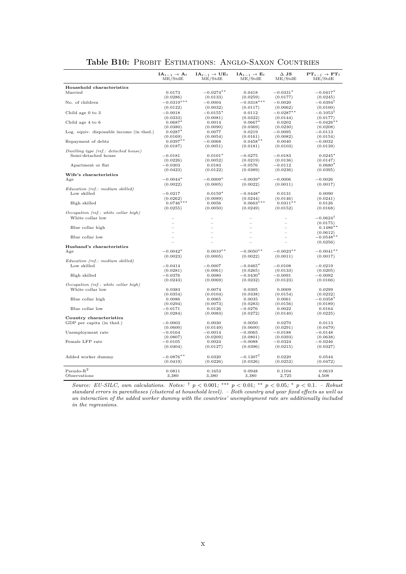| $IA_{t-1} \rightarrow A_t$<br>$IA_{t-1} \rightarrow UE_t$<br>$IA_{t-1} \rightarrow E_t$<br>$\Delta$ JS<br>$PT_{t-1} \rightarrow FT_t$<br>ME/StdE<br>ME/StdE<br>ME/StdE<br>ME/StdE<br>ME/StdE<br>Household characteristics<br>$-0.0274***$<br>$-0.0331*$<br>$-0.0417*$<br>Married<br>0.0173<br>0.0418<br>(0.0286)<br>(0.0133)<br>(0.0259)<br>(0.0177)<br>(0.0245)<br>$-0.0319***$<br>$-0.0318***$<br>$-0.0394^{\dagger}$<br>No. of children<br>$-0.0004$<br>$-0.0020$<br>(0.0122)<br>(0.0032)<br>(0.0117)<br>(0.0062)<br>(0.0100)<br>$-0.1053^{\dagger}$<br>Child age 0 to 3<br>$-0.0018$<br>$-0.0155*$<br>0.0112<br>$-0.0287**$<br>(0.0333)<br>(0.0081)<br>(0.0322)<br>(0.0144)<br>(0.0177)<br>Child age 4 to 6<br>$0.0687*$<br>0.0014<br>$0.0667*$<br>0.0202<br>$-0.0426**$<br>(0.0380)<br>(0.0090)<br>(0.0369)<br>(0.0230)<br>(0.0208)<br>Log. equiv. disposable income (in thsd.)<br>$0.0287*$<br>0.0077<br>0.0219<br>$-0.0095$<br>$-0.0113$<br>(0.0169)<br>(0.0054)<br>(0.0161)<br>(0.0082)<br>(0.0154)<br>$0.0458**$<br>$0.0397**$<br>Repayment of debts<br>$-0.0068$<br>0.0040<br>$-0.0032$<br>(0.0187)<br>(0.0051)<br>(0.0181)<br>(0.0103)<br>(0.0139)<br>Dwelling type (ref.: detached house)<br>$0.0101*$<br>$0.0245*$<br>Semi-detached house<br>$-0.0181$<br>$-0.0275$<br>$-0.0183$<br>(0.0226)<br>(0.0052)<br>(0.0219)<br>(0.0136)<br>(0.0147)<br>0.0183<br>$-0.0112$<br>$0.0680*$<br>Apartment or flat<br>$-0.0303$<br>$-0.0576$<br>(0.0423)<br>(0.0122)<br>(0.0389)<br>(0.0236)<br>(0.0395)<br>Wife's characteristics<br>$-0.0044*$<br>$-0.0009*$<br>$-0.0039*$<br>$-0.0006$<br>$-0.0026$<br>Age<br>(0.0022)<br>(0.0005)<br>(0.0022)<br>(0.0011)<br>(0.0017)<br>Education (ref.: medium skilled)<br>Low skilled<br>$-0.0217$<br>$0.0159*$<br>$-0.0448*$<br>0.0131<br>0.0090<br>(0.0089)<br>(0.0244)<br>(0.0146)<br>(0.0241)<br>(0.0262)<br>$0.0746***$<br>$0.0663***$<br>$0.0311**$<br>High skilled<br>0.0056<br>0.0126<br>(0.0255)<br>(0.0050)<br>(0.0249)<br>(0.0152)<br>(0.0168)<br>Occupation (ref.: white collar high)<br>White collar low<br>$-0.0624^{\dagger}$<br>(0.0175)<br>$0.1486**$<br>Blue collar high<br>(0.0612)<br>Blue collar low<br>$-0.0548**$<br>(0.0256)<br>Husband's characteristics<br>$-0.0042*$<br>$0.0010**$<br>$-0.0050**$<br>$-0.0023**$<br>$-0.0041$ **<br>Age<br>(0.0023)<br>(0.0005)<br>(0.0022)<br>(0.0011)<br>(0.0017)<br>Education (ref.: medium skilled)<br>Low skilled<br>$-0.0414$<br>$-0.0007$<br>$-0.0465*$<br>$-0.0108$<br>$-0.0219$<br>(0.0281)<br>(0.0061)<br>(0.0265)<br>(0.0133)<br>(0.0205)<br>High skilled<br>$-0.0376$<br>0.0080<br>$-0.0430*$<br>$-0.0091$<br>$-0.0092$<br>(0.0069)<br>(0.0232)<br>(0.0166)<br>(0.0243)<br>(0.0123)<br>Occupation (ref.: white collar high)<br>White collar low<br>0.0383<br>0.0074<br>0.0305<br>0.0009<br>0.0299<br>(0.0354)<br>(0.0104)<br>(0.0338)<br>(0.0154)<br>(0.0232)<br>$-0.0358*$<br>Blue collar high<br>0.0086<br>0.0065<br>0.0035<br>0.0061<br>(0.0294)<br>(0.0073)<br>(0.0283)<br>(0.0156)<br>(0.0189)<br>Blue collar low<br>0.0126<br>$-0.0276$<br>0.0164<br>$-0.0171$<br>0.0022<br>(0.0284)<br>(0.0083)<br>(0.0272)<br>(0.0140)<br>(0.0225)<br>Country characteristics<br>$-0.0003$<br>GDP per capita (in thsd.)<br>0.0030<br>0.0050<br>0.0270<br>0.0113<br>(0.0600)<br>(0.0149)<br>(0.0600)<br>(0.0291)<br>(0.0479)<br>$-0.0014$<br>$-0.0065$<br>Unemployment rate<br>$-0.0164$<br>$-0.0188$<br>$-0.0148$<br>(0.0807)<br>(0.0209)<br>(0.0801)<br>(0.0393)<br>(0.0638)<br>Female LFP rate<br>0.0024<br>$-0.0088$<br>$-0.0324$<br>$-0.0246$<br>$-0.0105$<br>(0.0404)<br>(0.0127)<br>(0.0396)<br>(0.0215)<br>(0.0327)<br>$-0.1307^{\dagger}$<br>$-0.0876**$<br>Added worker dummy<br>0.0320<br>0.0220<br>0.0544<br>(0.0326)<br>(0.0472)<br>(0.0419)<br>(0.0226)<br>(0.0252)<br>$Pseudo-R2$<br>0.0811<br>0.1653<br>0.0948<br>0.0619<br>0.1104 |  |  |  |
|---------------------------------------------------------------------------------------------------------------------------------------------------------------------------------------------------------------------------------------------------------------------------------------------------------------------------------------------------------------------------------------------------------------------------------------------------------------------------------------------------------------------------------------------------------------------------------------------------------------------------------------------------------------------------------------------------------------------------------------------------------------------------------------------------------------------------------------------------------------------------------------------------------------------------------------------------------------------------------------------------------------------------------------------------------------------------------------------------------------------------------------------------------------------------------------------------------------------------------------------------------------------------------------------------------------------------------------------------------------------------------------------------------------------------------------------------------------------------------------------------------------------------------------------------------------------------------------------------------------------------------------------------------------------------------------------------------------------------------------------------------------------------------------------------------------------------------------------------------------------------------------------------------------------------------------------------------------------------------------------------------------------------------------------------------------------------------------------------------------------------------------------------------------------------------------------------------------------------------------------------------------------------------------------------------------------------------------------------------------------------------------------------------------------------------------------------------------------------------------------------------------------------------------------------------------------------------------------------------------------------------------------------------------------------------------------------------------------------------------------------------------------------------------------------------------------------------------------------------------------------------------------------------------------------------------------------------------------------------------------------------------------------------------------------------------------------------------------------------------------------------------------------------------------------------------------------------------------------------------------------------------------------------------------------------------------------------------------------------------------------------------------------------------------------------------------------------------------------------------------------------------------------------------------------------------------------------------------------------------------------------------------------------------------------------------------------------------------------------------------------------------------------------------------------------------------------------------------------------|--|--|--|
|                                                                                                                                                                                                                                                                                                                                                                                                                                                                                                                                                                                                                                                                                                                                                                                                                                                                                                                                                                                                                                                                                                                                                                                                                                                                                                                                                                                                                                                                                                                                                                                                                                                                                                                                                                                                                                                                                                                                                                                                                                                                                                                                                                                                                                                                                                                                                                                                                                                                                                                                                                                                                                                                                                                                                                                                                                                                                                                                                                                                                                                                                                                                                                                                                                                                                                                                                                                                                                                                                                                                                                                                                                                                                                                                                                                                                                                         |  |  |  |
|                                                                                                                                                                                                                                                                                                                                                                                                                                                                                                                                                                                                                                                                                                                                                                                                                                                                                                                                                                                                                                                                                                                                                                                                                                                                                                                                                                                                                                                                                                                                                                                                                                                                                                                                                                                                                                                                                                                                                                                                                                                                                                                                                                                                                                                                                                                                                                                                                                                                                                                                                                                                                                                                                                                                                                                                                                                                                                                                                                                                                                                                                                                                                                                                                                                                                                                                                                                                                                                                                                                                                                                                                                                                                                                                                                                                                                                         |  |  |  |
|                                                                                                                                                                                                                                                                                                                                                                                                                                                                                                                                                                                                                                                                                                                                                                                                                                                                                                                                                                                                                                                                                                                                                                                                                                                                                                                                                                                                                                                                                                                                                                                                                                                                                                                                                                                                                                                                                                                                                                                                                                                                                                                                                                                                                                                                                                                                                                                                                                                                                                                                                                                                                                                                                                                                                                                                                                                                                                                                                                                                                                                                                                                                                                                                                                                                                                                                                                                                                                                                                                                                                                                                                                                                                                                                                                                                                                                         |  |  |  |
|                                                                                                                                                                                                                                                                                                                                                                                                                                                                                                                                                                                                                                                                                                                                                                                                                                                                                                                                                                                                                                                                                                                                                                                                                                                                                                                                                                                                                                                                                                                                                                                                                                                                                                                                                                                                                                                                                                                                                                                                                                                                                                                                                                                                                                                                                                                                                                                                                                                                                                                                                                                                                                                                                                                                                                                                                                                                                                                                                                                                                                                                                                                                                                                                                                                                                                                                                                                                                                                                                                                                                                                                                                                                                                                                                                                                                                                         |  |  |  |
|                                                                                                                                                                                                                                                                                                                                                                                                                                                                                                                                                                                                                                                                                                                                                                                                                                                                                                                                                                                                                                                                                                                                                                                                                                                                                                                                                                                                                                                                                                                                                                                                                                                                                                                                                                                                                                                                                                                                                                                                                                                                                                                                                                                                                                                                                                                                                                                                                                                                                                                                                                                                                                                                                                                                                                                                                                                                                                                                                                                                                                                                                                                                                                                                                                                                                                                                                                                                                                                                                                                                                                                                                                                                                                                                                                                                                                                         |  |  |  |
|                                                                                                                                                                                                                                                                                                                                                                                                                                                                                                                                                                                                                                                                                                                                                                                                                                                                                                                                                                                                                                                                                                                                                                                                                                                                                                                                                                                                                                                                                                                                                                                                                                                                                                                                                                                                                                                                                                                                                                                                                                                                                                                                                                                                                                                                                                                                                                                                                                                                                                                                                                                                                                                                                                                                                                                                                                                                                                                                                                                                                                                                                                                                                                                                                                                                                                                                                                                                                                                                                                                                                                                                                                                                                                                                                                                                                                                         |  |  |  |
|                                                                                                                                                                                                                                                                                                                                                                                                                                                                                                                                                                                                                                                                                                                                                                                                                                                                                                                                                                                                                                                                                                                                                                                                                                                                                                                                                                                                                                                                                                                                                                                                                                                                                                                                                                                                                                                                                                                                                                                                                                                                                                                                                                                                                                                                                                                                                                                                                                                                                                                                                                                                                                                                                                                                                                                                                                                                                                                                                                                                                                                                                                                                                                                                                                                                                                                                                                                                                                                                                                                                                                                                                                                                                                                                                                                                                                                         |  |  |  |
|                                                                                                                                                                                                                                                                                                                                                                                                                                                                                                                                                                                                                                                                                                                                                                                                                                                                                                                                                                                                                                                                                                                                                                                                                                                                                                                                                                                                                                                                                                                                                                                                                                                                                                                                                                                                                                                                                                                                                                                                                                                                                                                                                                                                                                                                                                                                                                                                                                                                                                                                                                                                                                                                                                                                                                                                                                                                                                                                                                                                                                                                                                                                                                                                                                                                                                                                                                                                                                                                                                                                                                                                                                                                                                                                                                                                                                                         |  |  |  |
|                                                                                                                                                                                                                                                                                                                                                                                                                                                                                                                                                                                                                                                                                                                                                                                                                                                                                                                                                                                                                                                                                                                                                                                                                                                                                                                                                                                                                                                                                                                                                                                                                                                                                                                                                                                                                                                                                                                                                                                                                                                                                                                                                                                                                                                                                                                                                                                                                                                                                                                                                                                                                                                                                                                                                                                                                                                                                                                                                                                                                                                                                                                                                                                                                                                                                                                                                                                                                                                                                                                                                                                                                                                                                                                                                                                                                                                         |  |  |  |
|                                                                                                                                                                                                                                                                                                                                                                                                                                                                                                                                                                                                                                                                                                                                                                                                                                                                                                                                                                                                                                                                                                                                                                                                                                                                                                                                                                                                                                                                                                                                                                                                                                                                                                                                                                                                                                                                                                                                                                                                                                                                                                                                                                                                                                                                                                                                                                                                                                                                                                                                                                                                                                                                                                                                                                                                                                                                                                                                                                                                                                                                                                                                                                                                                                                                                                                                                                                                                                                                                                                                                                                                                                                                                                                                                                                                                                                         |  |  |  |
|                                                                                                                                                                                                                                                                                                                                                                                                                                                                                                                                                                                                                                                                                                                                                                                                                                                                                                                                                                                                                                                                                                                                                                                                                                                                                                                                                                                                                                                                                                                                                                                                                                                                                                                                                                                                                                                                                                                                                                                                                                                                                                                                                                                                                                                                                                                                                                                                                                                                                                                                                                                                                                                                                                                                                                                                                                                                                                                                                                                                                                                                                                                                                                                                                                                                                                                                                                                                                                                                                                                                                                                                                                                                                                                                                                                                                                                         |  |  |  |
|                                                                                                                                                                                                                                                                                                                                                                                                                                                                                                                                                                                                                                                                                                                                                                                                                                                                                                                                                                                                                                                                                                                                                                                                                                                                                                                                                                                                                                                                                                                                                                                                                                                                                                                                                                                                                                                                                                                                                                                                                                                                                                                                                                                                                                                                                                                                                                                                                                                                                                                                                                                                                                                                                                                                                                                                                                                                                                                                                                                                                                                                                                                                                                                                                                                                                                                                                                                                                                                                                                                                                                                                                                                                                                                                                                                                                                                         |  |  |  |
|                                                                                                                                                                                                                                                                                                                                                                                                                                                                                                                                                                                                                                                                                                                                                                                                                                                                                                                                                                                                                                                                                                                                                                                                                                                                                                                                                                                                                                                                                                                                                                                                                                                                                                                                                                                                                                                                                                                                                                                                                                                                                                                                                                                                                                                                                                                                                                                                                                                                                                                                                                                                                                                                                                                                                                                                                                                                                                                                                                                                                                                                                                                                                                                                                                                                                                                                                                                                                                                                                                                                                                                                                                                                                                                                                                                                                                                         |  |  |  |
|                                                                                                                                                                                                                                                                                                                                                                                                                                                                                                                                                                                                                                                                                                                                                                                                                                                                                                                                                                                                                                                                                                                                                                                                                                                                                                                                                                                                                                                                                                                                                                                                                                                                                                                                                                                                                                                                                                                                                                                                                                                                                                                                                                                                                                                                                                                                                                                                                                                                                                                                                                                                                                                                                                                                                                                                                                                                                                                                                                                                                                                                                                                                                                                                                                                                                                                                                                                                                                                                                                                                                                                                                                                                                                                                                                                                                                                         |  |  |  |
|                                                                                                                                                                                                                                                                                                                                                                                                                                                                                                                                                                                                                                                                                                                                                                                                                                                                                                                                                                                                                                                                                                                                                                                                                                                                                                                                                                                                                                                                                                                                                                                                                                                                                                                                                                                                                                                                                                                                                                                                                                                                                                                                                                                                                                                                                                                                                                                                                                                                                                                                                                                                                                                                                                                                                                                                                                                                                                                                                                                                                                                                                                                                                                                                                                                                                                                                                                                                                                                                                                                                                                                                                                                                                                                                                                                                                                                         |  |  |  |
|                                                                                                                                                                                                                                                                                                                                                                                                                                                                                                                                                                                                                                                                                                                                                                                                                                                                                                                                                                                                                                                                                                                                                                                                                                                                                                                                                                                                                                                                                                                                                                                                                                                                                                                                                                                                                                                                                                                                                                                                                                                                                                                                                                                                                                                                                                                                                                                                                                                                                                                                                                                                                                                                                                                                                                                                                                                                                                                                                                                                                                                                                                                                                                                                                                                                                                                                                                                                                                                                                                                                                                                                                                                                                                                                                                                                                                                         |  |  |  |
|                                                                                                                                                                                                                                                                                                                                                                                                                                                                                                                                                                                                                                                                                                                                                                                                                                                                                                                                                                                                                                                                                                                                                                                                                                                                                                                                                                                                                                                                                                                                                                                                                                                                                                                                                                                                                                                                                                                                                                                                                                                                                                                                                                                                                                                                                                                                                                                                                                                                                                                                                                                                                                                                                                                                                                                                                                                                                                                                                                                                                                                                                                                                                                                                                                                                                                                                                                                                                                                                                                                                                                                                                                                                                                                                                                                                                                                         |  |  |  |
|                                                                                                                                                                                                                                                                                                                                                                                                                                                                                                                                                                                                                                                                                                                                                                                                                                                                                                                                                                                                                                                                                                                                                                                                                                                                                                                                                                                                                                                                                                                                                                                                                                                                                                                                                                                                                                                                                                                                                                                                                                                                                                                                                                                                                                                                                                                                                                                                                                                                                                                                                                                                                                                                                                                                                                                                                                                                                                                                                                                                                                                                                                                                                                                                                                                                                                                                                                                                                                                                                                                                                                                                                                                                                                                                                                                                                                                         |  |  |  |
|                                                                                                                                                                                                                                                                                                                                                                                                                                                                                                                                                                                                                                                                                                                                                                                                                                                                                                                                                                                                                                                                                                                                                                                                                                                                                                                                                                                                                                                                                                                                                                                                                                                                                                                                                                                                                                                                                                                                                                                                                                                                                                                                                                                                                                                                                                                                                                                                                                                                                                                                                                                                                                                                                                                                                                                                                                                                                                                                                                                                                                                                                                                                                                                                                                                                                                                                                                                                                                                                                                                                                                                                                                                                                                                                                                                                                                                         |  |  |  |
|                                                                                                                                                                                                                                                                                                                                                                                                                                                                                                                                                                                                                                                                                                                                                                                                                                                                                                                                                                                                                                                                                                                                                                                                                                                                                                                                                                                                                                                                                                                                                                                                                                                                                                                                                                                                                                                                                                                                                                                                                                                                                                                                                                                                                                                                                                                                                                                                                                                                                                                                                                                                                                                                                                                                                                                                                                                                                                                                                                                                                                                                                                                                                                                                                                                                                                                                                                                                                                                                                                                                                                                                                                                                                                                                                                                                                                                         |  |  |  |
|                                                                                                                                                                                                                                                                                                                                                                                                                                                                                                                                                                                                                                                                                                                                                                                                                                                                                                                                                                                                                                                                                                                                                                                                                                                                                                                                                                                                                                                                                                                                                                                                                                                                                                                                                                                                                                                                                                                                                                                                                                                                                                                                                                                                                                                                                                                                                                                                                                                                                                                                                                                                                                                                                                                                                                                                                                                                                                                                                                                                                                                                                                                                                                                                                                                                                                                                                                                                                                                                                                                                                                                                                                                                                                                                                                                                                                                         |  |  |  |
|                                                                                                                                                                                                                                                                                                                                                                                                                                                                                                                                                                                                                                                                                                                                                                                                                                                                                                                                                                                                                                                                                                                                                                                                                                                                                                                                                                                                                                                                                                                                                                                                                                                                                                                                                                                                                                                                                                                                                                                                                                                                                                                                                                                                                                                                                                                                                                                                                                                                                                                                                                                                                                                                                                                                                                                                                                                                                                                                                                                                                                                                                                                                                                                                                                                                                                                                                                                                                                                                                                                                                                                                                                                                                                                                                                                                                                                         |  |  |  |
|                                                                                                                                                                                                                                                                                                                                                                                                                                                                                                                                                                                                                                                                                                                                                                                                                                                                                                                                                                                                                                                                                                                                                                                                                                                                                                                                                                                                                                                                                                                                                                                                                                                                                                                                                                                                                                                                                                                                                                                                                                                                                                                                                                                                                                                                                                                                                                                                                                                                                                                                                                                                                                                                                                                                                                                                                                                                                                                                                                                                                                                                                                                                                                                                                                                                                                                                                                                                                                                                                                                                                                                                                                                                                                                                                                                                                                                         |  |  |  |
|                                                                                                                                                                                                                                                                                                                                                                                                                                                                                                                                                                                                                                                                                                                                                                                                                                                                                                                                                                                                                                                                                                                                                                                                                                                                                                                                                                                                                                                                                                                                                                                                                                                                                                                                                                                                                                                                                                                                                                                                                                                                                                                                                                                                                                                                                                                                                                                                                                                                                                                                                                                                                                                                                                                                                                                                                                                                                                                                                                                                                                                                                                                                                                                                                                                                                                                                                                                                                                                                                                                                                                                                                                                                                                                                                                                                                                                         |  |  |  |
|                                                                                                                                                                                                                                                                                                                                                                                                                                                                                                                                                                                                                                                                                                                                                                                                                                                                                                                                                                                                                                                                                                                                                                                                                                                                                                                                                                                                                                                                                                                                                                                                                                                                                                                                                                                                                                                                                                                                                                                                                                                                                                                                                                                                                                                                                                                                                                                                                                                                                                                                                                                                                                                                                                                                                                                                                                                                                                                                                                                                                                                                                                                                                                                                                                                                                                                                                                                                                                                                                                                                                                                                                                                                                                                                                                                                                                                         |  |  |  |
|                                                                                                                                                                                                                                                                                                                                                                                                                                                                                                                                                                                                                                                                                                                                                                                                                                                                                                                                                                                                                                                                                                                                                                                                                                                                                                                                                                                                                                                                                                                                                                                                                                                                                                                                                                                                                                                                                                                                                                                                                                                                                                                                                                                                                                                                                                                                                                                                                                                                                                                                                                                                                                                                                                                                                                                                                                                                                                                                                                                                                                                                                                                                                                                                                                                                                                                                                                                                                                                                                                                                                                                                                                                                                                                                                                                                                                                         |  |  |  |
|                                                                                                                                                                                                                                                                                                                                                                                                                                                                                                                                                                                                                                                                                                                                                                                                                                                                                                                                                                                                                                                                                                                                                                                                                                                                                                                                                                                                                                                                                                                                                                                                                                                                                                                                                                                                                                                                                                                                                                                                                                                                                                                                                                                                                                                                                                                                                                                                                                                                                                                                                                                                                                                                                                                                                                                                                                                                                                                                                                                                                                                                                                                                                                                                                                                                                                                                                                                                                                                                                                                                                                                                                                                                                                                                                                                                                                                         |  |  |  |
|                                                                                                                                                                                                                                                                                                                                                                                                                                                                                                                                                                                                                                                                                                                                                                                                                                                                                                                                                                                                                                                                                                                                                                                                                                                                                                                                                                                                                                                                                                                                                                                                                                                                                                                                                                                                                                                                                                                                                                                                                                                                                                                                                                                                                                                                                                                                                                                                                                                                                                                                                                                                                                                                                                                                                                                                                                                                                                                                                                                                                                                                                                                                                                                                                                                                                                                                                                                                                                                                                                                                                                                                                                                                                                                                                                                                                                                         |  |  |  |
|                                                                                                                                                                                                                                                                                                                                                                                                                                                                                                                                                                                                                                                                                                                                                                                                                                                                                                                                                                                                                                                                                                                                                                                                                                                                                                                                                                                                                                                                                                                                                                                                                                                                                                                                                                                                                                                                                                                                                                                                                                                                                                                                                                                                                                                                                                                                                                                                                                                                                                                                                                                                                                                                                                                                                                                                                                                                                                                                                                                                                                                                                                                                                                                                                                                                                                                                                                                                                                                                                                                                                                                                                                                                                                                                                                                                                                                         |  |  |  |
|                                                                                                                                                                                                                                                                                                                                                                                                                                                                                                                                                                                                                                                                                                                                                                                                                                                                                                                                                                                                                                                                                                                                                                                                                                                                                                                                                                                                                                                                                                                                                                                                                                                                                                                                                                                                                                                                                                                                                                                                                                                                                                                                                                                                                                                                                                                                                                                                                                                                                                                                                                                                                                                                                                                                                                                                                                                                                                                                                                                                                                                                                                                                                                                                                                                                                                                                                                                                                                                                                                                                                                                                                                                                                                                                                                                                                                                         |  |  |  |
|                                                                                                                                                                                                                                                                                                                                                                                                                                                                                                                                                                                                                                                                                                                                                                                                                                                                                                                                                                                                                                                                                                                                                                                                                                                                                                                                                                                                                                                                                                                                                                                                                                                                                                                                                                                                                                                                                                                                                                                                                                                                                                                                                                                                                                                                                                                                                                                                                                                                                                                                                                                                                                                                                                                                                                                                                                                                                                                                                                                                                                                                                                                                                                                                                                                                                                                                                                                                                                                                                                                                                                                                                                                                                                                                                                                                                                                         |  |  |  |
|                                                                                                                                                                                                                                                                                                                                                                                                                                                                                                                                                                                                                                                                                                                                                                                                                                                                                                                                                                                                                                                                                                                                                                                                                                                                                                                                                                                                                                                                                                                                                                                                                                                                                                                                                                                                                                                                                                                                                                                                                                                                                                                                                                                                                                                                                                                                                                                                                                                                                                                                                                                                                                                                                                                                                                                                                                                                                                                                                                                                                                                                                                                                                                                                                                                                                                                                                                                                                                                                                                                                                                                                                                                                                                                                                                                                                                                         |  |  |  |
|                                                                                                                                                                                                                                                                                                                                                                                                                                                                                                                                                                                                                                                                                                                                                                                                                                                                                                                                                                                                                                                                                                                                                                                                                                                                                                                                                                                                                                                                                                                                                                                                                                                                                                                                                                                                                                                                                                                                                                                                                                                                                                                                                                                                                                                                                                                                                                                                                                                                                                                                                                                                                                                                                                                                                                                                                                                                                                                                                                                                                                                                                                                                                                                                                                                                                                                                                                                                                                                                                                                                                                                                                                                                                                                                                                                                                                                         |  |  |  |
|                                                                                                                                                                                                                                                                                                                                                                                                                                                                                                                                                                                                                                                                                                                                                                                                                                                                                                                                                                                                                                                                                                                                                                                                                                                                                                                                                                                                                                                                                                                                                                                                                                                                                                                                                                                                                                                                                                                                                                                                                                                                                                                                                                                                                                                                                                                                                                                                                                                                                                                                                                                                                                                                                                                                                                                                                                                                                                                                                                                                                                                                                                                                                                                                                                                                                                                                                                                                                                                                                                                                                                                                                                                                                                                                                                                                                                                         |  |  |  |
|                                                                                                                                                                                                                                                                                                                                                                                                                                                                                                                                                                                                                                                                                                                                                                                                                                                                                                                                                                                                                                                                                                                                                                                                                                                                                                                                                                                                                                                                                                                                                                                                                                                                                                                                                                                                                                                                                                                                                                                                                                                                                                                                                                                                                                                                                                                                                                                                                                                                                                                                                                                                                                                                                                                                                                                                                                                                                                                                                                                                                                                                                                                                                                                                                                                                                                                                                                                                                                                                                                                                                                                                                                                                                                                                                                                                                                                         |  |  |  |
|                                                                                                                                                                                                                                                                                                                                                                                                                                                                                                                                                                                                                                                                                                                                                                                                                                                                                                                                                                                                                                                                                                                                                                                                                                                                                                                                                                                                                                                                                                                                                                                                                                                                                                                                                                                                                                                                                                                                                                                                                                                                                                                                                                                                                                                                                                                                                                                                                                                                                                                                                                                                                                                                                                                                                                                                                                                                                                                                                                                                                                                                                                                                                                                                                                                                                                                                                                                                                                                                                                                                                                                                                                                                                                                                                                                                                                                         |  |  |  |
|                                                                                                                                                                                                                                                                                                                                                                                                                                                                                                                                                                                                                                                                                                                                                                                                                                                                                                                                                                                                                                                                                                                                                                                                                                                                                                                                                                                                                                                                                                                                                                                                                                                                                                                                                                                                                                                                                                                                                                                                                                                                                                                                                                                                                                                                                                                                                                                                                                                                                                                                                                                                                                                                                                                                                                                                                                                                                                                                                                                                                                                                                                                                                                                                                                                                                                                                                                                                                                                                                                                                                                                                                                                                                                                                                                                                                                                         |  |  |  |
|                                                                                                                                                                                                                                                                                                                                                                                                                                                                                                                                                                                                                                                                                                                                                                                                                                                                                                                                                                                                                                                                                                                                                                                                                                                                                                                                                                                                                                                                                                                                                                                                                                                                                                                                                                                                                                                                                                                                                                                                                                                                                                                                                                                                                                                                                                                                                                                                                                                                                                                                                                                                                                                                                                                                                                                                                                                                                                                                                                                                                                                                                                                                                                                                                                                                                                                                                                                                                                                                                                                                                                                                                                                                                                                                                                                                                                                         |  |  |  |
|                                                                                                                                                                                                                                                                                                                                                                                                                                                                                                                                                                                                                                                                                                                                                                                                                                                                                                                                                                                                                                                                                                                                                                                                                                                                                                                                                                                                                                                                                                                                                                                                                                                                                                                                                                                                                                                                                                                                                                                                                                                                                                                                                                                                                                                                                                                                                                                                                                                                                                                                                                                                                                                                                                                                                                                                                                                                                                                                                                                                                                                                                                                                                                                                                                                                                                                                                                                                                                                                                                                                                                                                                                                                                                                                                                                                                                                         |  |  |  |
|                                                                                                                                                                                                                                                                                                                                                                                                                                                                                                                                                                                                                                                                                                                                                                                                                                                                                                                                                                                                                                                                                                                                                                                                                                                                                                                                                                                                                                                                                                                                                                                                                                                                                                                                                                                                                                                                                                                                                                                                                                                                                                                                                                                                                                                                                                                                                                                                                                                                                                                                                                                                                                                                                                                                                                                                                                                                                                                                                                                                                                                                                                                                                                                                                                                                                                                                                                                                                                                                                                                                                                                                                                                                                                                                                                                                                                                         |  |  |  |
|                                                                                                                                                                                                                                                                                                                                                                                                                                                                                                                                                                                                                                                                                                                                                                                                                                                                                                                                                                                                                                                                                                                                                                                                                                                                                                                                                                                                                                                                                                                                                                                                                                                                                                                                                                                                                                                                                                                                                                                                                                                                                                                                                                                                                                                                                                                                                                                                                                                                                                                                                                                                                                                                                                                                                                                                                                                                                                                                                                                                                                                                                                                                                                                                                                                                                                                                                                                                                                                                                                                                                                                                                                                                                                                                                                                                                                                         |  |  |  |
|                                                                                                                                                                                                                                                                                                                                                                                                                                                                                                                                                                                                                                                                                                                                                                                                                                                                                                                                                                                                                                                                                                                                                                                                                                                                                                                                                                                                                                                                                                                                                                                                                                                                                                                                                                                                                                                                                                                                                                                                                                                                                                                                                                                                                                                                                                                                                                                                                                                                                                                                                                                                                                                                                                                                                                                                                                                                                                                                                                                                                                                                                                                                                                                                                                                                                                                                                                                                                                                                                                                                                                                                                                                                                                                                                                                                                                                         |  |  |  |
|                                                                                                                                                                                                                                                                                                                                                                                                                                                                                                                                                                                                                                                                                                                                                                                                                                                                                                                                                                                                                                                                                                                                                                                                                                                                                                                                                                                                                                                                                                                                                                                                                                                                                                                                                                                                                                                                                                                                                                                                                                                                                                                                                                                                                                                                                                                                                                                                                                                                                                                                                                                                                                                                                                                                                                                                                                                                                                                                                                                                                                                                                                                                                                                                                                                                                                                                                                                                                                                                                                                                                                                                                                                                                                                                                                                                                                                         |  |  |  |
|                                                                                                                                                                                                                                                                                                                                                                                                                                                                                                                                                                                                                                                                                                                                                                                                                                                                                                                                                                                                                                                                                                                                                                                                                                                                                                                                                                                                                                                                                                                                                                                                                                                                                                                                                                                                                                                                                                                                                                                                                                                                                                                                                                                                                                                                                                                                                                                                                                                                                                                                                                                                                                                                                                                                                                                                                                                                                                                                                                                                                                                                                                                                                                                                                                                                                                                                                                                                                                                                                                                                                                                                                                                                                                                                                                                                                                                         |  |  |  |
|                                                                                                                                                                                                                                                                                                                                                                                                                                                                                                                                                                                                                                                                                                                                                                                                                                                                                                                                                                                                                                                                                                                                                                                                                                                                                                                                                                                                                                                                                                                                                                                                                                                                                                                                                                                                                                                                                                                                                                                                                                                                                                                                                                                                                                                                                                                                                                                                                                                                                                                                                                                                                                                                                                                                                                                                                                                                                                                                                                                                                                                                                                                                                                                                                                                                                                                                                                                                                                                                                                                                                                                                                                                                                                                                                                                                                                                         |  |  |  |
|                                                                                                                                                                                                                                                                                                                                                                                                                                                                                                                                                                                                                                                                                                                                                                                                                                                                                                                                                                                                                                                                                                                                                                                                                                                                                                                                                                                                                                                                                                                                                                                                                                                                                                                                                                                                                                                                                                                                                                                                                                                                                                                                                                                                                                                                                                                                                                                                                                                                                                                                                                                                                                                                                                                                                                                                                                                                                                                                                                                                                                                                                                                                                                                                                                                                                                                                                                                                                                                                                                                                                                                                                                                                                                                                                                                                                                                         |  |  |  |
|                                                                                                                                                                                                                                                                                                                                                                                                                                                                                                                                                                                                                                                                                                                                                                                                                                                                                                                                                                                                                                                                                                                                                                                                                                                                                                                                                                                                                                                                                                                                                                                                                                                                                                                                                                                                                                                                                                                                                                                                                                                                                                                                                                                                                                                                                                                                                                                                                                                                                                                                                                                                                                                                                                                                                                                                                                                                                                                                                                                                                                                                                                                                                                                                                                                                                                                                                                                                                                                                                                                                                                                                                                                                                                                                                                                                                                                         |  |  |  |
|                                                                                                                                                                                                                                                                                                                                                                                                                                                                                                                                                                                                                                                                                                                                                                                                                                                                                                                                                                                                                                                                                                                                                                                                                                                                                                                                                                                                                                                                                                                                                                                                                                                                                                                                                                                                                                                                                                                                                                                                                                                                                                                                                                                                                                                                                                                                                                                                                                                                                                                                                                                                                                                                                                                                                                                                                                                                                                                                                                                                                                                                                                                                                                                                                                                                                                                                                                                                                                                                                                                                                                                                                                                                                                                                                                                                                                                         |  |  |  |
|                                                                                                                                                                                                                                                                                                                                                                                                                                                                                                                                                                                                                                                                                                                                                                                                                                                                                                                                                                                                                                                                                                                                                                                                                                                                                                                                                                                                                                                                                                                                                                                                                                                                                                                                                                                                                                                                                                                                                                                                                                                                                                                                                                                                                                                                                                                                                                                                                                                                                                                                                                                                                                                                                                                                                                                                                                                                                                                                                                                                                                                                                                                                                                                                                                                                                                                                                                                                                                                                                                                                                                                                                                                                                                                                                                                                                                                         |  |  |  |
|                                                                                                                                                                                                                                                                                                                                                                                                                                                                                                                                                                                                                                                                                                                                                                                                                                                                                                                                                                                                                                                                                                                                                                                                                                                                                                                                                                                                                                                                                                                                                                                                                                                                                                                                                                                                                                                                                                                                                                                                                                                                                                                                                                                                                                                                                                                                                                                                                                                                                                                                                                                                                                                                                                                                                                                                                                                                                                                                                                                                                                                                                                                                                                                                                                                                                                                                                                                                                                                                                                                                                                                                                                                                                                                                                                                                                                                         |  |  |  |
|                                                                                                                                                                                                                                                                                                                                                                                                                                                                                                                                                                                                                                                                                                                                                                                                                                                                                                                                                                                                                                                                                                                                                                                                                                                                                                                                                                                                                                                                                                                                                                                                                                                                                                                                                                                                                                                                                                                                                                                                                                                                                                                                                                                                                                                                                                                                                                                                                                                                                                                                                                                                                                                                                                                                                                                                                                                                                                                                                                                                                                                                                                                                                                                                                                                                                                                                                                                                                                                                                                                                                                                                                                                                                                                                                                                                                                                         |  |  |  |
|                                                                                                                                                                                                                                                                                                                                                                                                                                                                                                                                                                                                                                                                                                                                                                                                                                                                                                                                                                                                                                                                                                                                                                                                                                                                                                                                                                                                                                                                                                                                                                                                                                                                                                                                                                                                                                                                                                                                                                                                                                                                                                                                                                                                                                                                                                                                                                                                                                                                                                                                                                                                                                                                                                                                                                                                                                                                                                                                                                                                                                                                                                                                                                                                                                                                                                                                                                                                                                                                                                                                                                                                                                                                                                                                                                                                                                                         |  |  |  |
|                                                                                                                                                                                                                                                                                                                                                                                                                                                                                                                                                                                                                                                                                                                                                                                                                                                                                                                                                                                                                                                                                                                                                                                                                                                                                                                                                                                                                                                                                                                                                                                                                                                                                                                                                                                                                                                                                                                                                                                                                                                                                                                                                                                                                                                                                                                                                                                                                                                                                                                                                                                                                                                                                                                                                                                                                                                                                                                                                                                                                                                                                                                                                                                                                                                                                                                                                                                                                                                                                                                                                                                                                                                                                                                                                                                                                                                         |  |  |  |
|                                                                                                                                                                                                                                                                                                                                                                                                                                                                                                                                                                                                                                                                                                                                                                                                                                                                                                                                                                                                                                                                                                                                                                                                                                                                                                                                                                                                                                                                                                                                                                                                                                                                                                                                                                                                                                                                                                                                                                                                                                                                                                                                                                                                                                                                                                                                                                                                                                                                                                                                                                                                                                                                                                                                                                                                                                                                                                                                                                                                                                                                                                                                                                                                                                                                                                                                                                                                                                                                                                                                                                                                                                                                                                                                                                                                                                                         |  |  |  |
|                                                                                                                                                                                                                                                                                                                                                                                                                                                                                                                                                                                                                                                                                                                                                                                                                                                                                                                                                                                                                                                                                                                                                                                                                                                                                                                                                                                                                                                                                                                                                                                                                                                                                                                                                                                                                                                                                                                                                                                                                                                                                                                                                                                                                                                                                                                                                                                                                                                                                                                                                                                                                                                                                                                                                                                                                                                                                                                                                                                                                                                                                                                                                                                                                                                                                                                                                                                                                                                                                                                                                                                                                                                                                                                                                                                                                                                         |  |  |  |
|                                                                                                                                                                                                                                                                                                                                                                                                                                                                                                                                                                                                                                                                                                                                                                                                                                                                                                                                                                                                                                                                                                                                                                                                                                                                                                                                                                                                                                                                                                                                                                                                                                                                                                                                                                                                                                                                                                                                                                                                                                                                                                                                                                                                                                                                                                                                                                                                                                                                                                                                                                                                                                                                                                                                                                                                                                                                                                                                                                                                                                                                                                                                                                                                                                                                                                                                                                                                                                                                                                                                                                                                                                                                                                                                                                                                                                                         |  |  |  |
|                                                                                                                                                                                                                                                                                                                                                                                                                                                                                                                                                                                                                                                                                                                                                                                                                                                                                                                                                                                                                                                                                                                                                                                                                                                                                                                                                                                                                                                                                                                                                                                                                                                                                                                                                                                                                                                                                                                                                                                                                                                                                                                                                                                                                                                                                                                                                                                                                                                                                                                                                                                                                                                                                                                                                                                                                                                                                                                                                                                                                                                                                                                                                                                                                                                                                                                                                                                                                                                                                                                                                                                                                                                                                                                                                                                                                                                         |  |  |  |
|                                                                                                                                                                                                                                                                                                                                                                                                                                                                                                                                                                                                                                                                                                                                                                                                                                                                                                                                                                                                                                                                                                                                                                                                                                                                                                                                                                                                                                                                                                                                                                                                                                                                                                                                                                                                                                                                                                                                                                                                                                                                                                                                                                                                                                                                                                                                                                                                                                                                                                                                                                                                                                                                                                                                                                                                                                                                                                                                                                                                                                                                                                                                                                                                                                                                                                                                                                                                                                                                                                                                                                                                                                                                                                                                                                                                                                                         |  |  |  |
|                                                                                                                                                                                                                                                                                                                                                                                                                                                                                                                                                                                                                                                                                                                                                                                                                                                                                                                                                                                                                                                                                                                                                                                                                                                                                                                                                                                                                                                                                                                                                                                                                                                                                                                                                                                                                                                                                                                                                                                                                                                                                                                                                                                                                                                                                                                                                                                                                                                                                                                                                                                                                                                                                                                                                                                                                                                                                                                                                                                                                                                                                                                                                                                                                                                                                                                                                                                                                                                                                                                                                                                                                                                                                                                                                                                                                                                         |  |  |  |
|                                                                                                                                                                                                                                                                                                                                                                                                                                                                                                                                                                                                                                                                                                                                                                                                                                                                                                                                                                                                                                                                                                                                                                                                                                                                                                                                                                                                                                                                                                                                                                                                                                                                                                                                                                                                                                                                                                                                                                                                                                                                                                                                                                                                                                                                                                                                                                                                                                                                                                                                                                                                                                                                                                                                                                                                                                                                                                                                                                                                                                                                                                                                                                                                                                                                                                                                                                                                                                                                                                                                                                                                                                                                                                                                                                                                                                                         |  |  |  |
|                                                                                                                                                                                                                                                                                                                                                                                                                                                                                                                                                                                                                                                                                                                                                                                                                                                                                                                                                                                                                                                                                                                                                                                                                                                                                                                                                                                                                                                                                                                                                                                                                                                                                                                                                                                                                                                                                                                                                                                                                                                                                                                                                                                                                                                                                                                                                                                                                                                                                                                                                                                                                                                                                                                                                                                                                                                                                                                                                                                                                                                                                                                                                                                                                                                                                                                                                                                                                                                                                                                                                                                                                                                                                                                                                                                                                                                         |  |  |  |
| Observations<br>3,380<br>3,380<br>3,380<br>2,725<br>4,508                                                                                                                                                                                                                                                                                                                                                                                                                                                                                                                                                                                                                                                                                                                                                                                                                                                                                                                                                                                                                                                                                                                                                                                                                                                                                                                                                                                                                                                                                                                                                                                                                                                                                                                                                                                                                                                                                                                                                                                                                                                                                                                                                                                                                                                                                                                                                                                                                                                                                                                                                                                                                                                                                                                                                                                                                                                                                                                                                                                                                                                                                                                                                                                                                                                                                                                                                                                                                                                                                                                                                                                                                                                                                                                                                                                               |  |  |  |

| Table B10: PROBIT ESTIMATIONS: ANGLO-SAXON COUNTRIES |  |
|------------------------------------------------------|--|
|------------------------------------------------------|--|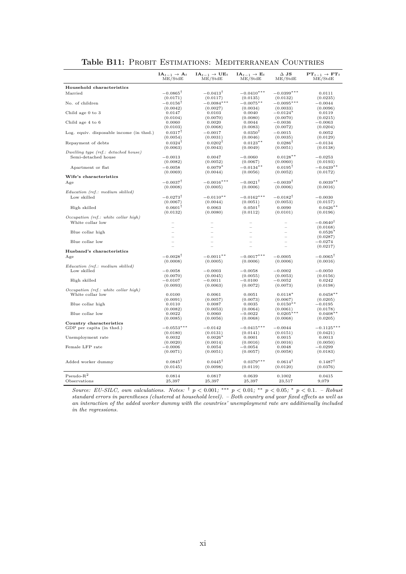|                                          | $IA_{t-1} \rightarrow A_t$ | $IA_{t-1} \rightarrow UE_t$<br>ME/StdE | $IA_{t-1} \rightarrow E_t$<br>ME/StdE | $\Delta$ JS            | $PT_{t-1} \rightarrow FT_t$<br>ME/StdE |
|------------------------------------------|----------------------------|----------------------------------------|---------------------------------------|------------------------|----------------------------------------|
|                                          | ME/StdE                    |                                        |                                       | ME/StdE                |                                        |
| Household characteristics                |                            |                                        |                                       |                        |                                        |
| Married                                  | $-0.0865^{\dagger}$        | $-0.0413^{\dagger}$                    | $-0.0410***$                          | $-0.0399***$           | 0.0111                                 |
|                                          | (0.0171)                   | (0.0117)                               | (0.0135)                              | (0.0132)               | (0.0235)                               |
| No. of children                          | $-0.0156^\intercal$        | $-0.0084***$                           | $-0.0075***$                          | $-0.0095***$           | $-0.0044$                              |
|                                          | (0.0042)                   | (0.0027)                               | (0.0034)                              | (0.0033)               | (0.0096)                               |
| Child age 0 to 3                         | 0.0147<br>(0.0104)         | 0.0103<br>(0.0070)                     | 0.0040<br>(0.0080)                    | $-0.0124$<br>(0.0070)  | 0.0119                                 |
| Child age 4 to 6                         | 0.0060                     | 0.0020                                 | 0.0044                                | $-0.0036$              | (0.0215)<br>$-0.0063$                  |
|                                          | (0.0103)                   | (0.0068)                               | (0.0083)                              | (0.0072)               | (0.0204)                               |
| Log. equiv. disposable income (in thsd.) | $0.0317^{\dagger}$         | $-0.0017$                              | $0.0350^{\dagger}$                    | $-0.0015$              | 0.0052                                 |
|                                          | (0.0054)                   | (0.0031)                               | (0.0046)                              | (0.0035)               | (0.0129)                               |
| Repayment of debts                       | $0.0324$ <sup>T</sup>      | $0.0202$ <sup>T</sup>                  | $0.0123**$                            | $0.0286$ <sup>T</sup>  | $-0.0134$                              |
|                                          | (0.0063)                   | (0.0043)                               | (0.0049)                              | (0.0051)               | (0.0138)                               |
| Dwelling type (ref.: detached house)     |                            |                                        |                                       |                        |                                        |
| Semi-detached house                      | $-0.0013$                  | 0.0047                                 | $-0.0060$                             | $0.0128**$             | $-0.0253$                              |
|                                          | (0.0082)                   | (0.0052)                               | (0.0067)                              | (0.0060)               | (0.0193)                               |
| Apartment or flat                        | $-0.0058$                  | $0.0079*$                              | $-0.0134***$                          | $0.0195^{\dagger}$     | $-0.0439**$                            |
|                                          | (0.0069)                   | (0.0044)                               | (0.0056)                              | (0.0052)               | (0.0172)                               |
| Wife's characteristics                   |                            |                                        |                                       |                        |                                        |
| Age                                      | $-0.0037^{\dagger}$        | $-0.0016***$                           | $-0.0021^{\dagger}$                   | $-0.0039^{\dagger}$    | $0.0039**$                             |
|                                          | (0.0008)                   | (0.0005)                               | (0.0006)                              | (0.0006)               | (0.0016)                               |
| Education (ref.: medium skilled)         |                            |                                        |                                       |                        |                                        |
| Low skilled                              | $-0.0273^{\dagger}$        | $-0.0110**$                            | $-0.0162***$                          | $-0.0182$ <sup>T</sup> | $-0.0030$                              |
|                                          | (0.0067)                   | (0.0044)                               | (0.0051)                              | (0.0053)               | (0.0157)                               |
| High skilled                             | $0.0601^{\dagger}$         | 0.0063                                 | $0.0501$ <sup>T</sup>                 | 0.0090                 | $0.0426**$                             |
|                                          | (0.0132)                   | (0.0080)                               | (0.0112)                              | (0.0101)               | (0.0196)                               |
| Occupation (ref.: white collar high)     |                            |                                        |                                       |                        |                                        |
| White collar low                         |                            |                                        |                                       |                        | $-0.0640^{\dagger}$                    |
| Blue collar high                         |                            |                                        |                                       |                        | (0.0168)<br>$0.0526*$                  |
|                                          |                            |                                        |                                       |                        | (0.0287)                               |
| Blue collar low                          |                            |                                        |                                       |                        | $-0.0274$                              |
|                                          |                            |                                        |                                       |                        | (0.0217)                               |
| Husband's characteristics                |                            |                                        |                                       |                        |                                        |
| Age                                      | $-0.0028^{\dagger}$        | $-0.0011**$                            | $-0.0017***$                          | $-0.0005$              | $-0.0065^{\dagger}$                    |
|                                          | (0.0008)                   | (0.0005)                               | (0.0006)                              | (0.0006)               | (0.0016)                               |
| Education (ref.: medium skilled)         |                            |                                        |                                       |                        |                                        |
| Low skilled                              | $-0.0058$                  | $-0.0003$                              | $-0.0058$                             | $-0.0002$              | $-0.0050$                              |
|                                          | (0.0070)                   | (0.0045)                               | (0.0055)                              | (0.0053)               | (0.0156)                               |
| High skilled                             | $-0.0107$                  | $-0.0011$                              | $-0.0100$                             | $-0.0052$              | 0.0242                                 |
| Occupation (ref.: white collar high)     | (0.0093)                   | (0.0063)                               | (0.0072)                              | (0.0073)               | (0.0198)                               |
| White collar low                         | 0.0100                     | 0.0061                                 | 0.0051                                | $0.0118*$              | $0.0458**$                             |
|                                          | (0.0091)                   | (0.0057)                               | (0.0073)                              | (0.0067)               | (0.0205)                               |
| Blue collar high                         | 0.0110                     | 0.0087                                 | 0.0035                                | $0.0150**$             | $-0.0195$                              |
|                                          | (0.0082)                   | (0.0053)                               | (0.0064)                              | (0.0061)               | (0.0178)                               |
| Blue collar low                          | 0.0022                     | 0.0060                                 | $-0.0022$                             | $0.0205***$            | $0.0408**$                             |
|                                          | (0.0085)                   | (0.0056)                               | (0.0068)                              | (0.0068)               | (0.0205)                               |
| Country characteristics                  |                            |                                        |                                       |                        |                                        |
| GDP per capita (in thsd.)                | $-0.0553***$               | $-0.0142$                              | $-0.0415***$                          | $-0.0044$              | $-0.1125***$                           |
|                                          | (0.0180)                   | (0.0131)                               | (0.0141)                              | (0.0151)               | (0.0421)                               |
| Unemployment rate                        | 0.0032<br>(0.0020)         | $0.0026*$<br>(0.0014)                  | 0.0001<br>(0.0016)                    | 0.0015<br>(0.0016)     | 0.0013<br>(0.0050)                     |
| Female LFP rate                          | $-0.0006$                  | 0.0054                                 | $-0.0054$                             | 0.0048                 | $-0.0299$                              |
|                                          | (0.0071)                   | (0.0051)                               | (0.0057)                              | (0.0058)               | (0.0183)                               |
|                                          |                            |                                        |                                       |                        |                                        |
| Added worker dummy                       | $0.0845^{\dagger}$         | $0.0445$ <sup>T</sup>                  | $0.0379***$                           | $0.0614$ <sup>T</sup>  | $0.1487$ <sup>T</sup>                  |
|                                          | (0.0145)                   | (0.0098)                               | (0.0119)                              | (0.0120)               | (0.0376)                               |
|                                          |                            |                                        |                                       |                        |                                        |
| $Pseudo-R2$                              | 0.0814                     | 0.0817                                 | 0.0639                                | 0.1002                 | 0.0415                                 |
| Observations                             | 25,397                     | 25,397                                 | 25,397                                | 23,517                 | 9,079                                  |

#### Table B11: PROBIT ESTIMATIONS: MEDITERRANEAN COUNTRIES